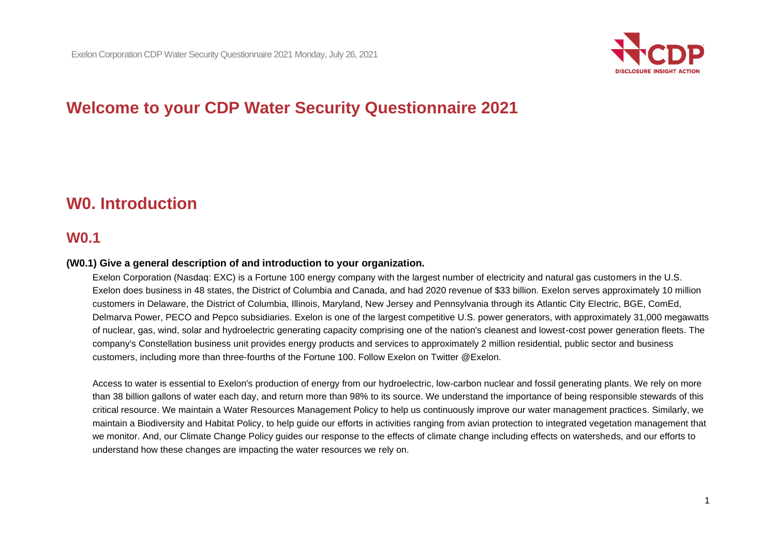

# **Welcome to your CDP Water Security Questionnaire 2021**

## **W0. Introduction**

### **W0.1**

#### **(W0.1) Give a general description of and introduction to your organization.**

Exelon Corporation (Nasdaq: EXC) is a Fortune 100 energy company with the largest number of electricity and natural gas customers in the U.S. Exelon does business in 48 states, the District of Columbia and Canada, and had 2020 revenue of \$33 billion. Exelon serves approximately 10 million customers in Delaware, the District of Columbia, Illinois, Maryland, New Jersey and Pennsylvania through its Atlantic City Electric, BGE, ComEd, Delmarva Power, PECO and Pepco subsidiaries. Exelon is one of the largest competitive U.S. power generators, with approximately 31,000 megawatts of nuclear, gas, wind, solar and hydroelectric generating capacity comprising one of the nation's cleanest and lowest-cost power generation fleets. The company's Constellation business unit provides energy products and services to approximately 2 million residential, public sector and business customers, including more than three-fourths of the Fortune 100. Follow Exelon on Twitter @Exelon.

Access to water is essential to Exelon's production of energy from our hydroelectric, low-carbon nuclear and fossil generating plants. We rely on more than 38 billion gallons of water each day, and return more than 98% to its source. We understand the importance of being responsible stewards of this critical resource. We maintain a Water Resources Management Policy to help us continuously improve our water management practices. Similarly, we maintain a Biodiversity and Habitat Policy, to help guide our efforts in activities ranging from avian protection to integrated vegetation management that we monitor. And, our Climate Change Policy guides our response to the effects of climate change including effects on watersheds, and our efforts to understand how these changes are impacting the water resources we rely on.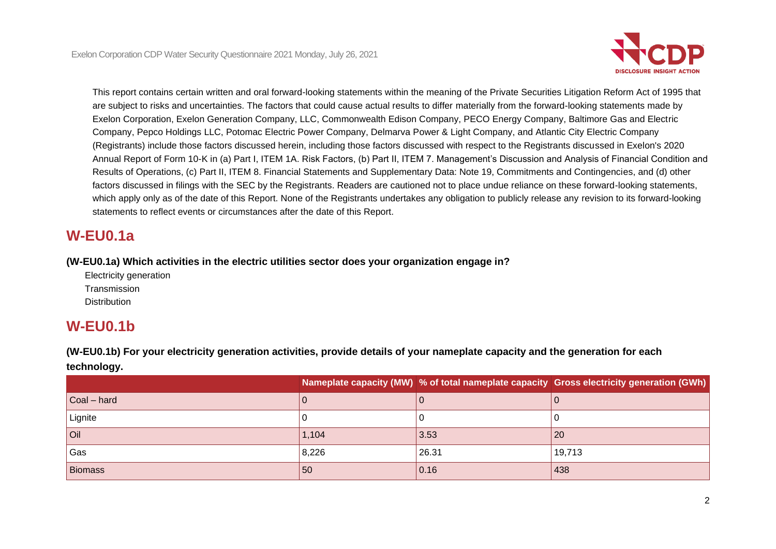

This report contains certain written and oral forward-looking statements within the meaning of the Private Securities Litigation Reform Act of 1995 that are subject to risks and uncertainties. The factors that could cause actual results to differ materially from the forward-looking statements made by Exelon Corporation, Exelon Generation Company, LLC, Commonwealth Edison Company, PECO Energy Company, Baltimore Gas and Electric Company, Pepco Holdings LLC, Potomac Electric Power Company, Delmarva Power & Light Company, and Atlantic City Electric Company (Registrants) include those factors discussed herein, including those factors discussed with respect to the Registrants discussed in Exelon's 2020 Annual Report of Form 10-K in (a) Part I, ITEM 1A. Risk Factors, (b) Part II, ITEM 7. Management's Discussion and Analysis of Financial Condition and Results of Operations, (c) Part II, ITEM 8. Financial Statements and Supplementary Data: Note 19, Commitments and Contingencies, and (d) other factors discussed in filings with the SEC by the Registrants. Readers are cautioned not to place undue reliance on these forward-looking statements, which apply only as of the date of this Report. None of the Registrants undertakes any obligation to publicly release any revision to its forward-looking statements to reflect events or circumstances after the date of this Report.

## **W-EU0.1a**

**(W-EU0.1a) Which activities in the electric utilities sector does your organization engage in?**

Electricity generation Transmission **Distribution** 

## **W-EU0.1b**

**(W-EU0.1b) For your electricity generation activities, provide details of your nameplate capacity and the generation for each technology.**

|                     |       |       | Nameplate capacity (MW) % of total nameplate capacity Gross electricity generation (GWh) |
|---------------------|-------|-------|------------------------------------------------------------------------------------------|
| $\vert$ Coal – hard |       |       |                                                                                          |
| Lignite             |       |       |                                                                                          |
| <b>Oil</b>          | 1,104 | 3.53  | 20                                                                                       |
| Gas                 | 8,226 | 26.31 | 19,713                                                                                   |
| <b>Biomass</b>      | 50    | 0.16  | 438                                                                                      |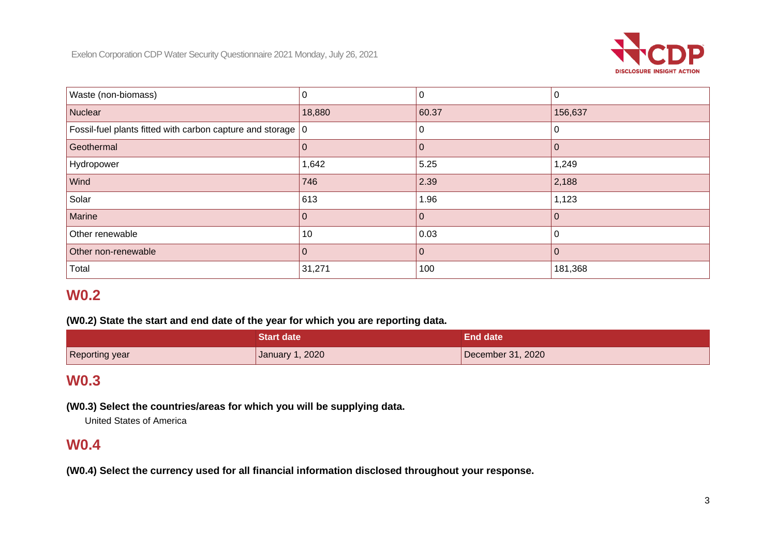

| Waste (non-biomass)                                           | 0        |       |         |
|---------------------------------------------------------------|----------|-------|---------|
| Nuclear                                                       | 18,880   | 60.37 | 156,637 |
| Fossil-fuel plants fitted with carbon capture and storage   0 |          |       |         |
| Geothermal                                                    |          |       |         |
| Hydropower                                                    | 1,642    | 5.25  | 1,249   |
| Wind                                                          | 746      | 2.39  | 2,188   |
| Solar                                                         | 613      | 1.96  | 1,123   |
| Marine                                                        |          |       |         |
| Other renewable                                               | 10       | 0.03  |         |
| Other non-renewable                                           | $\Omega$ |       |         |
| Total                                                         | 31,271   | 100   | 181,368 |

## **W0.2**

#### **(W0.2) State the start and end date of the year for which you are reporting data.**

|                | <b>Start date</b> | <b>End date</b>   |
|----------------|-------------------|-------------------|
| Reporting year | January 1, 2020   | December 31, 2020 |

## **W0.3**

**(W0.3) Select the countries/areas for which you will be supplying data.**

United States of America

### **W0.4**

**(W0.4) Select the currency used for all financial information disclosed throughout your response.**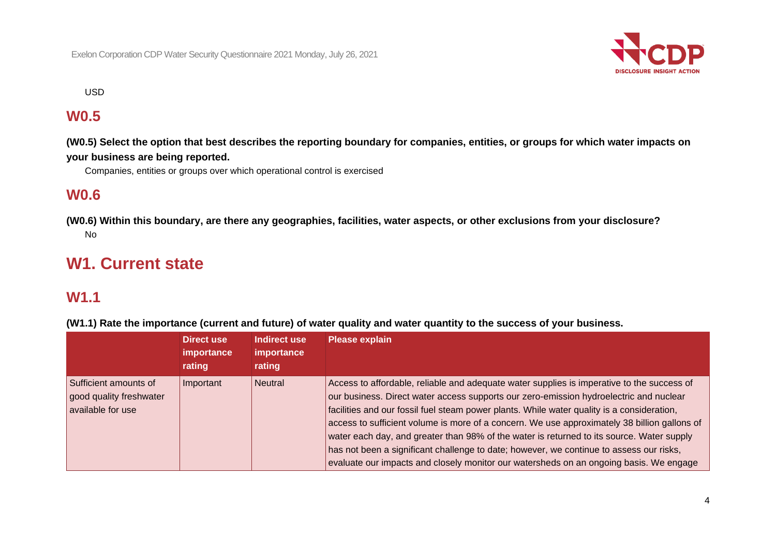

USD

## **W0.5**

**(W0.5) Select the option that best describes the reporting boundary for companies, entities, or groups for which water impacts on your business are being reported.**

Companies, entities or groups over which operational control is exercised

### **W0.6**

**(W0.6) Within this boundary, are there any geographies, facilities, water aspects, or other exclusions from your disclosure?** No

## **W1. Current state**

### **W1.1**

**(W1.1) Rate the importance (current and future) of water quality and water quantity to the success of your business.**

|                                                                       | Direct use<br>importance<br>rating | Indirect use<br>importance<br>rating | <b>Please explain</b>                                                                                                                                                                                                                                                                                                                                                                                                                                                                                                                                                                                                                                                |
|-----------------------------------------------------------------------|------------------------------------|--------------------------------------|----------------------------------------------------------------------------------------------------------------------------------------------------------------------------------------------------------------------------------------------------------------------------------------------------------------------------------------------------------------------------------------------------------------------------------------------------------------------------------------------------------------------------------------------------------------------------------------------------------------------------------------------------------------------|
| Sufficient amounts of<br>good quality freshwater<br>available for use | Important                          | Neutral                              | Access to affordable, reliable and adequate water supplies is imperative to the success of<br>our business. Direct water access supports our zero-emission hydroelectric and nuclear<br>facilities and our fossil fuel steam power plants. While water quality is a consideration,<br>access to sufficient volume is more of a concern. We use approximately 38 billion gallons of<br>water each day, and greater than 98% of the water is returned to its source. Water supply<br>has not been a significant challenge to date; however, we continue to assess our risks,<br>evaluate our impacts and closely monitor our watersheds on an ongoing basis. We engage |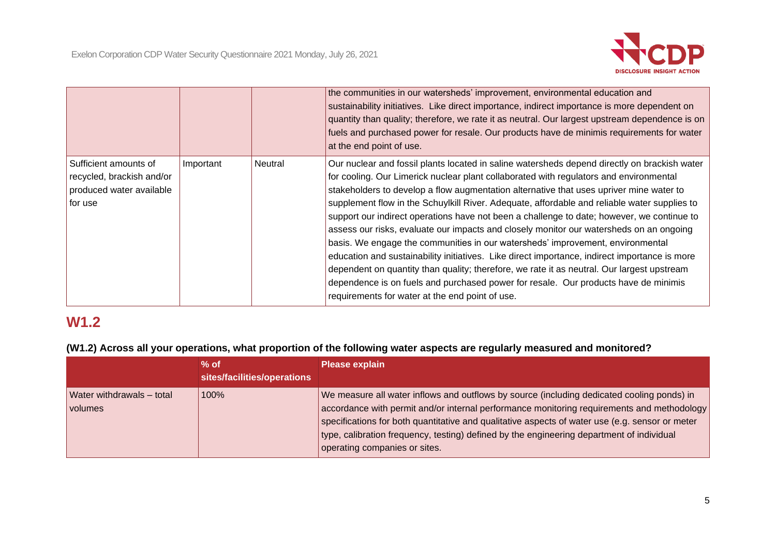

|                                                                                           |           |         | the communities in our watersheds' improvement, environmental education and<br>sustainability initiatives. Like direct importance, indirect importance is more dependent on<br>quantity than quality; therefore, we rate it as neutral. Our largest upstream dependence is on<br>fuels and purchased power for resale. Our products have de minimis requirements for water<br>at the end point of use.                                                                                                                                                                                                                                                                                                                                                                                                                                                                                                                                                                                                |
|-------------------------------------------------------------------------------------------|-----------|---------|-------------------------------------------------------------------------------------------------------------------------------------------------------------------------------------------------------------------------------------------------------------------------------------------------------------------------------------------------------------------------------------------------------------------------------------------------------------------------------------------------------------------------------------------------------------------------------------------------------------------------------------------------------------------------------------------------------------------------------------------------------------------------------------------------------------------------------------------------------------------------------------------------------------------------------------------------------------------------------------------------------|
| Sufficient amounts of<br>recycled, brackish and/or<br>produced water available<br>for use | Important | Neutral | Our nuclear and fossil plants located in saline watersheds depend directly on brackish water<br>for cooling. Our Limerick nuclear plant collaborated with regulators and environmental<br>stakeholders to develop a flow augmentation alternative that uses upriver mine water to<br>supplement flow in the Schuylkill River. Adequate, affordable and reliable water supplies to<br>support our indirect operations have not been a challenge to date; however, we continue to<br>assess our risks, evaluate our impacts and closely monitor our watersheds on an ongoing<br>basis. We engage the communities in our watersheds' improvement, environmental<br>education and sustainability initiatives. Like direct importance, indirect importance is more<br>dependent on quantity than quality; therefore, we rate it as neutral. Our largest upstream<br>dependence is on fuels and purchased power for resale. Our products have de minimis<br>requirements for water at the end point of use. |

## **W1.2**

#### **(W1.2) Across all your operations, what proportion of the following water aspects are regularly measured and monitored?**

|                                             | $%$ of<br>sites/facilities/operations | <b>Please explain</b>                                                                                                                                                                                                                                                                                                                                                                                                     |
|---------------------------------------------|---------------------------------------|---------------------------------------------------------------------------------------------------------------------------------------------------------------------------------------------------------------------------------------------------------------------------------------------------------------------------------------------------------------------------------------------------------------------------|
| Water withdrawals - total<br><i>volumes</i> | 100%                                  | We measure all water inflows and outflows by source (including dedicated cooling ponds) in<br>accordance with permit and/or internal performance monitoring requirements and methodology<br>specifications for both quantitative and qualitative aspects of water use (e.g. sensor or meter<br>type, calibration frequency, testing) defined by the engineering department of individual<br>operating companies or sites. |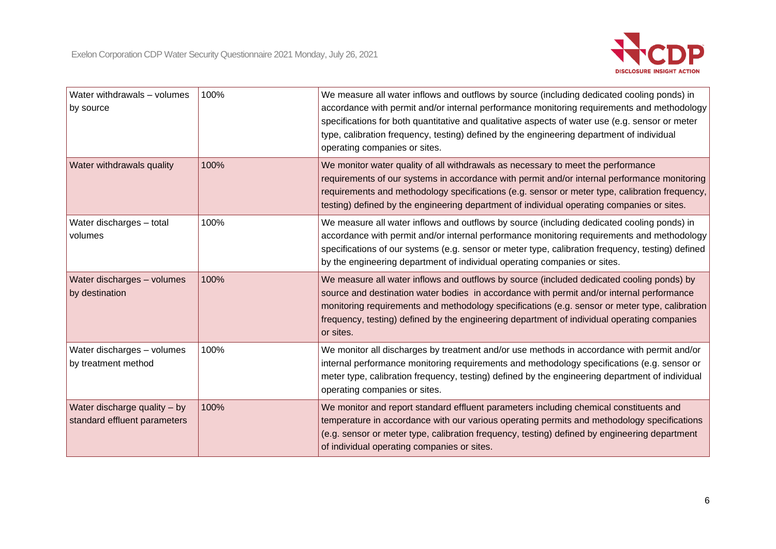

| Water withdrawals - volumes<br>by source                     | 100% | We measure all water inflows and outflows by source (including dedicated cooling ponds) in<br>accordance with permit and/or internal performance monitoring requirements and methodology<br>specifications for both quantitative and qualitative aspects of water use (e.g. sensor or meter<br>type, calibration frequency, testing) defined by the engineering department of individual<br>operating companies or sites. |
|--------------------------------------------------------------|------|---------------------------------------------------------------------------------------------------------------------------------------------------------------------------------------------------------------------------------------------------------------------------------------------------------------------------------------------------------------------------------------------------------------------------|
| Water withdrawals quality                                    | 100% | We monitor water quality of all withdrawals as necessary to meet the performance<br>requirements of our systems in accordance with permit and/or internal performance monitoring<br>requirements and methodology specifications (e.g. sensor or meter type, calibration frequency,<br>testing) defined by the engineering department of individual operating companies or sites.                                          |
| Water discharges - total<br>volumes                          | 100% | We measure all water inflows and outflows by source (including dedicated cooling ponds) in<br>accordance with permit and/or internal performance monitoring requirements and methodology<br>specifications of our systems (e.g. sensor or meter type, calibration frequency, testing) defined<br>by the engineering department of individual operating companies or sites.                                                |
| Water discharges - volumes<br>by destination                 | 100% | We measure all water inflows and outflows by source (included dedicated cooling ponds) by<br>source and destination water bodies in accordance with permit and/or internal performance<br>monitoring requirements and methodology specifications (e.g. sensor or meter type, calibration<br>frequency, testing) defined by the engineering department of individual operating companies<br>or sites.                      |
| Water discharges - volumes<br>by treatment method            | 100% | We monitor all discharges by treatment and/or use methods in accordance with permit and/or<br>internal performance monitoring requirements and methodology specifications (e.g. sensor or<br>meter type, calibration frequency, testing) defined by the engineering department of individual<br>operating companies or sites.                                                                                             |
| Water discharge quality - by<br>standard effluent parameters | 100% | We monitor and report standard effluent parameters including chemical constituents and<br>temperature in accordance with our various operating permits and methodology specifications<br>(e.g. sensor or meter type, calibration frequency, testing) defined by engineering department<br>of individual operating companies or sites.                                                                                     |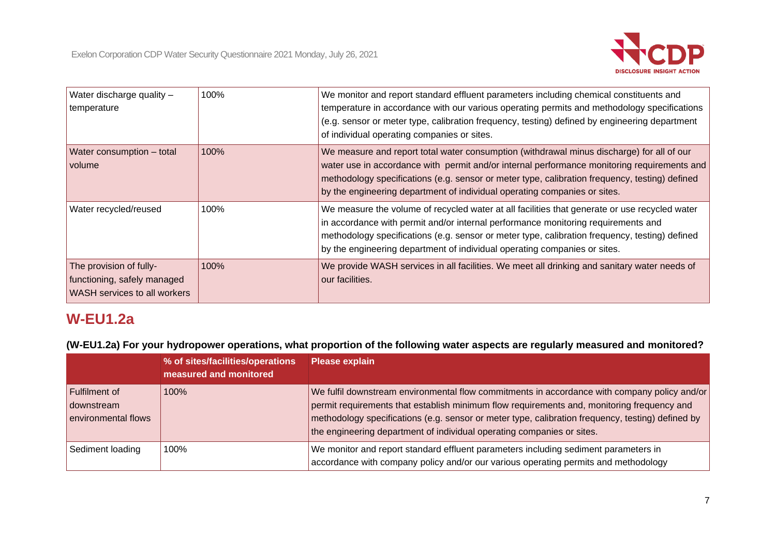

| Water discharge quality -<br>temperature                                               | 100% | We monitor and report standard effluent parameters including chemical constituents and<br>temperature in accordance with our various operating permits and methodology specifications<br>(e.g. sensor or meter type, calibration frequency, testing) defined by engineering department<br>of individual operating companies or sites.                                   |
|----------------------------------------------------------------------------------------|------|-------------------------------------------------------------------------------------------------------------------------------------------------------------------------------------------------------------------------------------------------------------------------------------------------------------------------------------------------------------------------|
| Water consumption - total<br>volume                                                    | 100% | We measure and report total water consumption (withdrawal minus discharge) for all of our<br>water use in accordance with permit and/or internal performance monitoring requirements and<br>methodology specifications (e.g. sensor or meter type, calibration frequency, testing) defined<br>by the engineering department of individual operating companies or sites. |
| Water recycled/reused                                                                  | 100% | We measure the volume of recycled water at all facilities that generate or use recycled water<br>in accordance with permit and/or internal performance monitoring requirements and<br>methodology specifications (e.g. sensor or meter type, calibration frequency, testing) defined<br>by the engineering department of individual operating companies or sites.       |
| The provision of fully-<br>functioning, safely managed<br>WASH services to all workers | 100% | We provide WASH services in all facilities. We meet all drinking and sanitary water needs of<br>our facilities.                                                                                                                                                                                                                                                         |

## **W-EU1.2a**

**(W-EU1.2a) For your hydropower operations, what proportion of the following water aspects are regularly measured and monitored?**

|                                                    | % of sites/facilities/operations<br>measured and monitored | <b>Please explain</b>                                                                                                                                                                                                                                                                                                                                                     |
|----------------------------------------------------|------------------------------------------------------------|---------------------------------------------------------------------------------------------------------------------------------------------------------------------------------------------------------------------------------------------------------------------------------------------------------------------------------------------------------------------------|
| Fulfilment of<br>downstream<br>environmental flows | 100%                                                       | We fulfil downstream environmental flow commitments in accordance with company policy and/or<br>permit requirements that establish minimum flow requirements and, monitoring frequency and<br>methodology specifications (e.g. sensor or meter type, calibration frequency, testing) defined by<br>the engineering department of individual operating companies or sites. |
| Sediment loading                                   | 100%                                                       | We monitor and report standard effluent parameters including sediment parameters in<br>accordance with company policy and/or our various operating permits and methodology                                                                                                                                                                                                |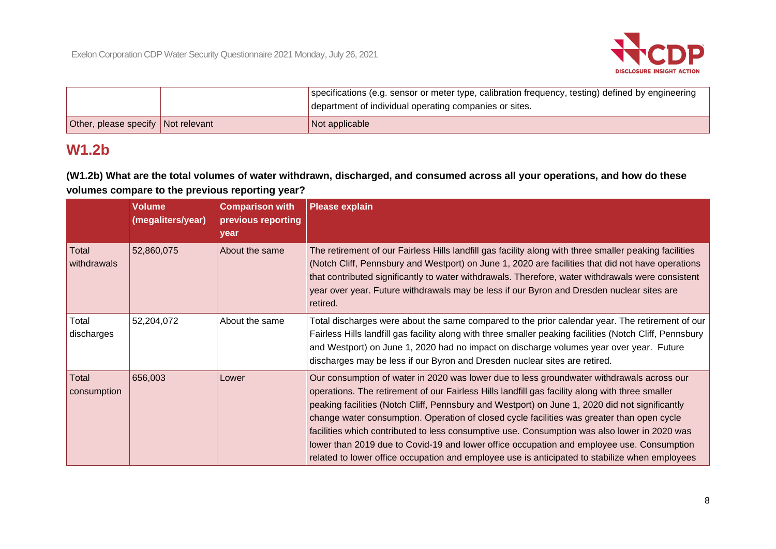

|                                    | specifications (e.g. sensor or meter type, calibration frequency, testing) defined by engineering |
|------------------------------------|---------------------------------------------------------------------------------------------------|
|                                    | department of individual operating companies or sites.                                            |
| Other, please specify Not relevant | Not applicable                                                                                    |

## **W1.2b**

**(W1.2b) What are the total volumes of water withdrawn, discharged, and consumed across all your operations, and how do these volumes compare to the previous reporting year?**

|                      | <b>Volume</b><br>(megaliters/year) | <b>Comparison with</b><br>previous reporting<br>year | <b>Please explain</b>                                                                                                                                                                                                                                                                                                                                                                                                                                                                                                                                                                                                                                                                       |
|----------------------|------------------------------------|------------------------------------------------------|---------------------------------------------------------------------------------------------------------------------------------------------------------------------------------------------------------------------------------------------------------------------------------------------------------------------------------------------------------------------------------------------------------------------------------------------------------------------------------------------------------------------------------------------------------------------------------------------------------------------------------------------------------------------------------------------|
| Total<br>withdrawals | 52,860,075                         | About the same                                       | The retirement of our Fairless Hills landfill gas facility along with three smaller peaking facilities<br>(Notch Cliff, Pennsbury and Westport) on June 1, 2020 are facilities that did not have operations<br>that contributed significantly to water withdrawals. Therefore, water withdrawals were consistent<br>year over year. Future withdrawals may be less if our Byron and Dresden nuclear sites are<br>retired.                                                                                                                                                                                                                                                                   |
| Total<br>discharges  | 52,204,072                         | About the same                                       | Total discharges were about the same compared to the prior calendar year. The retirement of our<br>Fairless Hills landfill gas facility along with three smaller peaking facilities (Notch Cliff, Pennsbury<br>and Westport) on June 1, 2020 had no impact on discharge volumes year over year. Future<br>discharges may be less if our Byron and Dresden nuclear sites are retired.                                                                                                                                                                                                                                                                                                        |
| Total<br>consumption | 656,003                            | Lower                                                | Our consumption of water in 2020 was lower due to less groundwater withdrawals across our<br>operations. The retirement of our Fairless Hills landfill gas facility along with three smaller<br>peaking facilities (Notch Cliff, Pennsbury and Westport) on June 1, 2020 did not significantly<br>change water consumption. Operation of closed cycle facilities was greater than open cycle<br>facilities which contributed to less consumptive use. Consumption was also lower in 2020 was<br>lower than 2019 due to Covid-19 and lower office occupation and employee use. Consumption<br>related to lower office occupation and employee use is anticipated to stabilize when employees |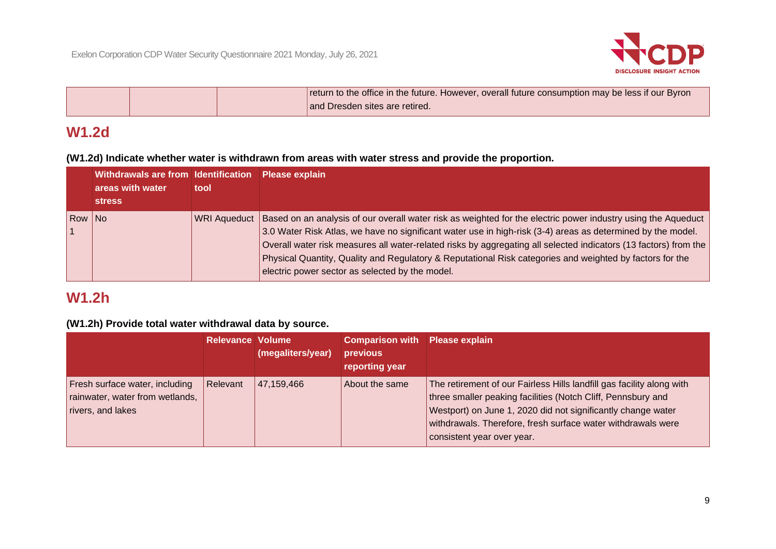

|  | return to the office in the future. However, overall future consumption may be less if our Byron |
|--|--------------------------------------------------------------------------------------------------|
|  | and Dresden sites are retired.                                                                   |

## **W1.2d**

**(W1.2d) Indicate whether water is withdrawn from areas with water stress and provide the proportion.**

|        | Withdrawals are from Identification<br>areas with water | tool         | <b>Please explain</b>                                                                                                                                                                                                                                                                                                                                                                                                                                                                                           |
|--------|---------------------------------------------------------|--------------|-----------------------------------------------------------------------------------------------------------------------------------------------------------------------------------------------------------------------------------------------------------------------------------------------------------------------------------------------------------------------------------------------------------------------------------------------------------------------------------------------------------------|
|        | <b>stress</b>                                           |              |                                                                                                                                                                                                                                                                                                                                                                                                                                                                                                                 |
| Row No |                                                         | WRI Aqueduct | Based on an analysis of our overall water risk as weighted for the electric power industry using the Aqueduct<br>3.0 Water Risk Atlas, we have no significant water use in high-risk (3-4) areas as determined by the model.<br>Overall water risk measures all water-related risks by aggregating all selected indicators (13 factors) from the<br>Physical Quantity, Quality and Regulatory & Reputational Risk categories and weighted by factors for the<br>electric power sector as selected by the model. |

## **W1.2h**

#### **(W1.2h) Provide total water withdrawal data by source.**

|                                                                                        | <b>Relevance Volume</b> | (megaliters/year) | <b>Comparison with Please explain</b><br>previous<br>reporting year |                                                                                                                                                                                                                                                                                                     |
|----------------------------------------------------------------------------------------|-------------------------|-------------------|---------------------------------------------------------------------|-----------------------------------------------------------------------------------------------------------------------------------------------------------------------------------------------------------------------------------------------------------------------------------------------------|
| Fresh surface water, including<br>rainwater, water from wetlands,<br>rivers, and lakes | Relevant                | 47, 159, 466      | About the same                                                      | The retirement of our Fairless Hills landfill gas facility along with<br>three smaller peaking facilities (Notch Cliff, Pennsbury and<br>Westport) on June 1, 2020 did not significantly change water<br>withdrawals. Therefore, fresh surface water withdrawals were<br>consistent year over year. |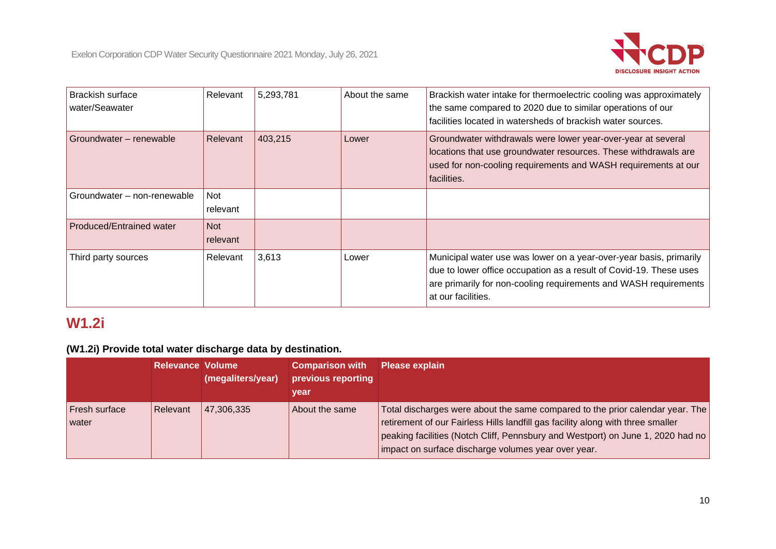

| <b>Brackish surface</b><br>water/Seawater | Relevant               | 5,293,781 | About the same | Brackish water intake for thermoelectric cooling was approximately<br>the same compared to 2020 due to similar operations of our<br>facilities located in watersheds of brackish water sources.                                    |
|-------------------------------------------|------------------------|-----------|----------------|------------------------------------------------------------------------------------------------------------------------------------------------------------------------------------------------------------------------------------|
| Groundwater – renewable                   | Relevant               | 403,215   | Lower          | Groundwater withdrawals were lower year-over-year at several<br>locations that use groundwater resources. These withdrawals are<br>used for non-cooling requirements and WASH requirements at our<br>facilities.                   |
| Groundwater - non-renewable               | Not<br>relevant        |           |                |                                                                                                                                                                                                                                    |
| <b>Produced/Entrained water</b>           | <b>Not</b><br>relevant |           |                |                                                                                                                                                                                                                                    |
| Third party sources                       | Relevant               | 3,613     | Lower          | Municipal water use was lower on a year-over-year basis, primarily<br>due to lower office occupation as a result of Covid-19. These uses<br>are primarily for non-cooling requirements and WASH requirements<br>at our facilities. |

# **W1.2i**

#### **(W1.2i) Provide total water discharge data by destination.**

|                               | <b>Relevance Volume</b> | (megaliters/year) | <b>Comparison with</b><br>previous reporting<br>vear | <b>Please explain</b>                                                                                                                                                                                                                                                                                      |
|-------------------------------|-------------------------|-------------------|------------------------------------------------------|------------------------------------------------------------------------------------------------------------------------------------------------------------------------------------------------------------------------------------------------------------------------------------------------------------|
| <b>Fresh surface</b><br>water | Relevant                | 47,306,335        | About the same                                       | Total discharges were about the same compared to the prior calendar year. The<br>retirement of our Fairless Hills landfill gas facility along with three smaller<br>peaking facilities (Notch Cliff, Pennsbury and Westport) on June 1, 2020 had no<br>impact on surface discharge volumes year over year. |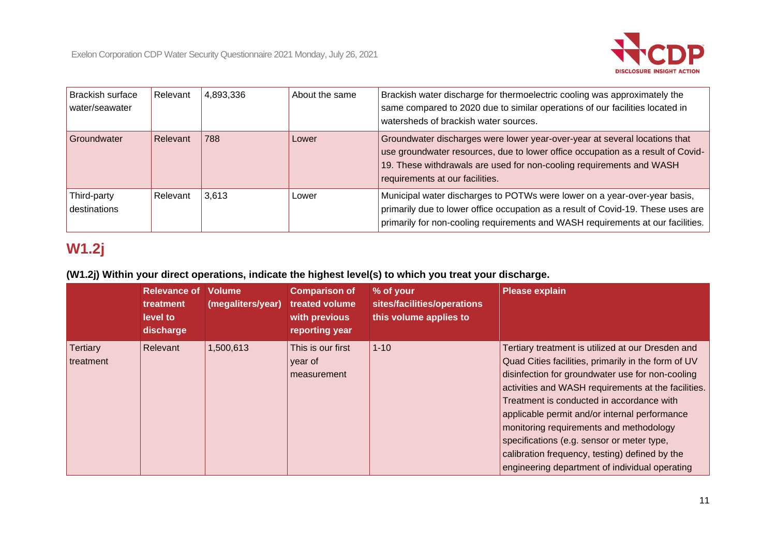

| Brackish surface<br>water/seawater | Relevant | 4,893,336 | About the same | Brackish water discharge for thermoelectric cooling was approximately the<br>same compared to 2020 due to similar operations of our facilities located in<br>watersheds of brackish water sources.                                                                       |
|------------------------------------|----------|-----------|----------------|--------------------------------------------------------------------------------------------------------------------------------------------------------------------------------------------------------------------------------------------------------------------------|
| Groundwater                        | Relevant | 788       | Lower          | Groundwater discharges were lower year-over-year at several locations that<br>use groundwater resources, due to lower office occupation as a result of Covid-<br>19. These withdrawals are used for non-cooling requirements and WASH<br>requirements at our facilities. |
| Third-party<br>destinations        | Relevant | 3,613     | Lower          | Municipal water discharges to POTWs were lower on a year-over-year basis,<br>primarily due to lower office occupation as a result of Covid-19. These uses are<br>primarily for non-cooling requirements and WASH requirements at our facilities.                         |

# **W1.2j**

### **(W1.2j) Within your direct operations, indicate the highest level(s) to which you treat your discharge.**

|                              | <b>Relevance of</b><br>treatment<br>level to<br>discharge | <b>Volume</b><br>(megaliters/year) | <b>Comparison of</b><br>treated volume<br>with previous<br>reporting year | % of your<br>sites/facilities/operations<br>this volume applies to | <b>Please explain</b>                                                                                                                                                                                                                                                                                                                                                                                                                                                                                          |
|------------------------------|-----------------------------------------------------------|------------------------------------|---------------------------------------------------------------------------|--------------------------------------------------------------------|----------------------------------------------------------------------------------------------------------------------------------------------------------------------------------------------------------------------------------------------------------------------------------------------------------------------------------------------------------------------------------------------------------------------------------------------------------------------------------------------------------------|
| <b>Tertiary</b><br>treatment | Relevant                                                  | 1,500,613                          | This is our first<br>year of<br>measurement                               | $1 - 10$                                                           | Tertiary treatment is utilized at our Dresden and<br>Quad Cities facilities, primarily in the form of UV<br>disinfection for groundwater use for non-cooling<br>activities and WASH requirements at the facilities.<br>Treatment is conducted in accordance with<br>applicable permit and/or internal performance<br>monitoring requirements and methodology<br>specifications (e.g. sensor or meter type,<br>calibration frequency, testing) defined by the<br>engineering department of individual operating |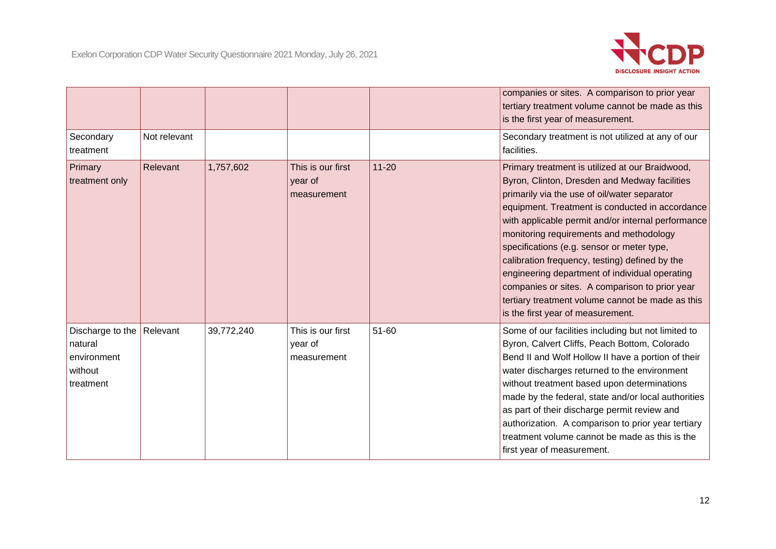

|                                                                    |              |            |                                             |           | companies or sites. A comparison to prior year<br>tertiary treatment volume cannot be made as this<br>is the first year of measurement.                                                                                                                                                                                                                                                                                                                                                                                                                                                           |
|--------------------------------------------------------------------|--------------|------------|---------------------------------------------|-----------|---------------------------------------------------------------------------------------------------------------------------------------------------------------------------------------------------------------------------------------------------------------------------------------------------------------------------------------------------------------------------------------------------------------------------------------------------------------------------------------------------------------------------------------------------------------------------------------------------|
| Secondary<br>treatment                                             | Not relevant |            |                                             |           | Secondary treatment is not utilized at any of our<br>facilities.                                                                                                                                                                                                                                                                                                                                                                                                                                                                                                                                  |
| Primary<br>treatment only                                          | Relevant     | 1,757,602  | This is our first<br>year of<br>measurement | $11 - 20$ | Primary treatment is utilized at our Braidwood,<br>Byron, Clinton, Dresden and Medway facilities<br>primarily via the use of oil/water separator<br>equipment. Treatment is conducted in accordance<br>with applicable permit and/or internal performance<br>monitoring requirements and methodology<br>specifications (e.g. sensor or meter type,<br>calibration frequency, testing) defined by the<br>engineering department of individual operating<br>companies or sites. A comparison to prior year<br>tertiary treatment volume cannot be made as this<br>is the first year of measurement. |
| Discharge to the<br>natural<br>environment<br>without<br>treatment | Relevant     | 39,772,240 | This is our first<br>year of<br>measurement | 51-60     | Some of our facilities including but not limited to<br>Byron, Calvert Cliffs, Peach Bottom, Colorado<br>Bend II and Wolf Hollow II have a portion of their<br>water discharges returned to the environment<br>without treatment based upon determinations<br>made by the federal, state and/or local authorities<br>as part of their discharge permit review and<br>authorization. A comparison to prior year tertiary<br>treatment volume cannot be made as this is the<br>first year of measurement.                                                                                            |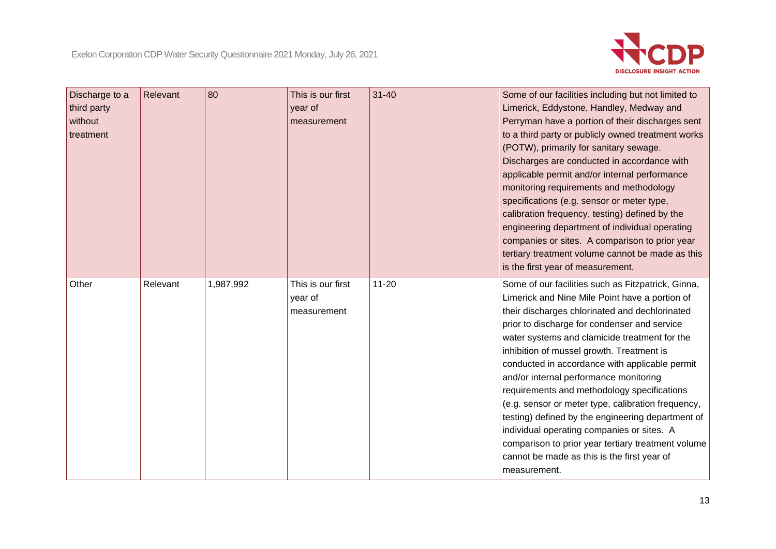

| Discharge to a<br>third party<br>without<br>treatment | Relevant | 80        | This is our first<br>year of<br>measurement | $31 - 40$ | Some of our facilities including but not limited to<br>Limerick, Eddystone, Handley, Medway and<br>Perryman have a portion of their discharges sent<br>to a third party or publicly owned treatment works<br>(POTW), primarily for sanitary sewage.<br>Discharges are conducted in accordance with<br>applicable permit and/or internal performance<br>monitoring requirements and methodology<br>specifications (e.g. sensor or meter type,<br>calibration frequency, testing) defined by the<br>engineering department of individual operating<br>companies or sites. A comparison to prior year<br>tertiary treatment volume cannot be made as this<br>is the first year of measurement.                                   |
|-------------------------------------------------------|----------|-----------|---------------------------------------------|-----------|-------------------------------------------------------------------------------------------------------------------------------------------------------------------------------------------------------------------------------------------------------------------------------------------------------------------------------------------------------------------------------------------------------------------------------------------------------------------------------------------------------------------------------------------------------------------------------------------------------------------------------------------------------------------------------------------------------------------------------|
| Other                                                 | Relevant | 1,987,992 | This is our first<br>year of<br>measurement | $11 - 20$ | Some of our facilities such as Fitzpatrick, Ginna,<br>Limerick and Nine Mile Point have a portion of<br>their discharges chlorinated and dechlorinated<br>prior to discharge for condenser and service<br>water systems and clamicide treatment for the<br>inhibition of mussel growth. Treatment is<br>conducted in accordance with applicable permit<br>and/or internal performance monitoring<br>requirements and methodology specifications<br>(e.g. sensor or meter type, calibration frequency,<br>testing) defined by the engineering department of<br>individual operating companies or sites. A<br>comparison to prior year tertiary treatment volume<br>cannot be made as this is the first year of<br>measurement. |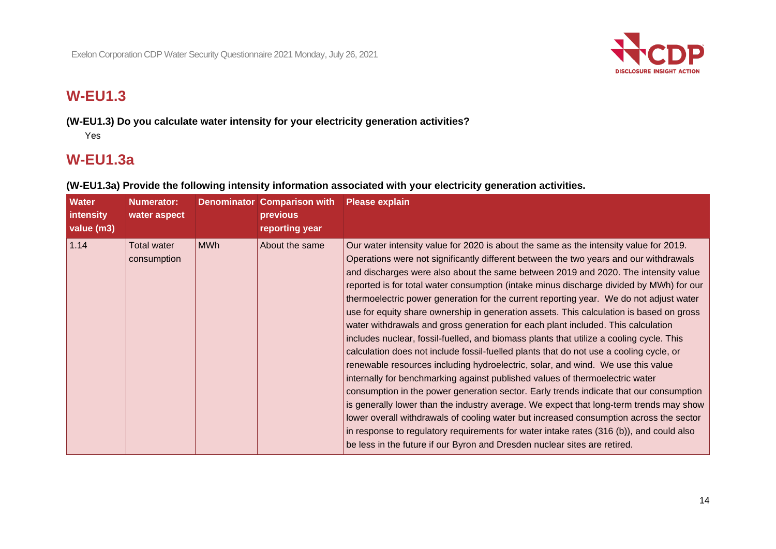

## **W-EU1.3**

**(W-EU1.3) Do you calculate water intensity for your electricity generation activities?**

Yes

## **W-EU1.3a**

| <b>Water</b><br>intensity<br>value (m3) | <b>Numerator:</b><br>water aspect |            | <b>Denominator Comparison with</b><br>previous<br>reporting year | <b>Please explain</b>                                                                                                                                                                                                                                                                                                                                                                                                                                                                                                                                                                                                                                                                                                                                                                                                                                                                                                                                                                                                                                                                                                                                                                                                                                                                                                                                                                                                                                  |
|-----------------------------------------|-----------------------------------|------------|------------------------------------------------------------------|--------------------------------------------------------------------------------------------------------------------------------------------------------------------------------------------------------------------------------------------------------------------------------------------------------------------------------------------------------------------------------------------------------------------------------------------------------------------------------------------------------------------------------------------------------------------------------------------------------------------------------------------------------------------------------------------------------------------------------------------------------------------------------------------------------------------------------------------------------------------------------------------------------------------------------------------------------------------------------------------------------------------------------------------------------------------------------------------------------------------------------------------------------------------------------------------------------------------------------------------------------------------------------------------------------------------------------------------------------------------------------------------------------------------------------------------------------|
| 1.14                                    | <b>Total water</b><br>consumption | <b>MWh</b> | About the same                                                   | Our water intensity value for 2020 is about the same as the intensity value for 2019.<br>Operations were not significantly different between the two years and our withdrawals<br>and discharges were also about the same between 2019 and 2020. The intensity value<br>reported is for total water consumption (intake minus discharge divided by MWh) for our<br>thermoelectric power generation for the current reporting year. We do not adjust water<br>use for equity share ownership in generation assets. This calculation is based on gross<br>water withdrawals and gross generation for each plant included. This calculation<br>includes nuclear, fossil-fuelled, and biomass plants that utilize a cooling cycle. This<br>calculation does not include fossil-fuelled plants that do not use a cooling cycle, or<br>renewable resources including hydroelectric, solar, and wind. We use this value<br>internally for benchmarking against published values of thermoelectric water<br>consumption in the power generation sector. Early trends indicate that our consumption<br>is generally lower than the industry average. We expect that long-term trends may show<br>lower overall withdrawals of cooling water but increased consumption across the sector<br>in response to regulatory requirements for water intake rates (316 (b)), and could also<br>be less in the future if our Byron and Dresden nuclear sites are retired. |

**(W-EU1.3a) Provide the following intensity information associated with your electricity generation activities.**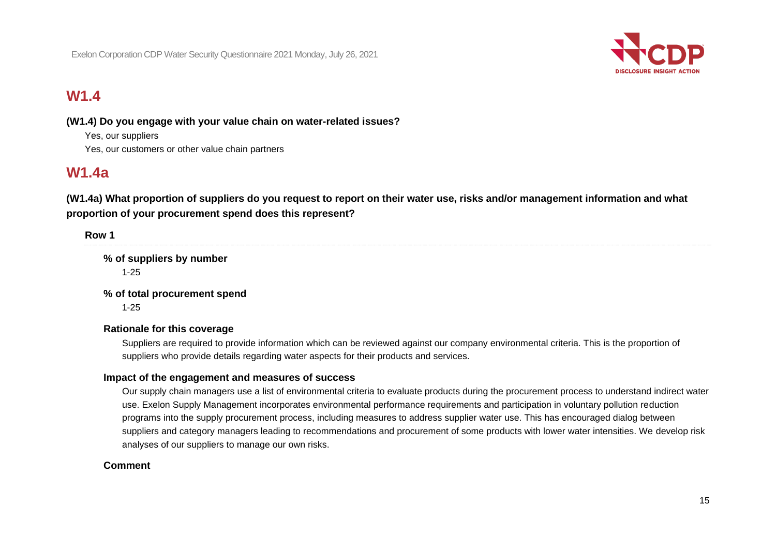Exelon Corporation CDP Water Security Questionnaire 2021 Monday, July 26, 2021



## **W1.4**

#### **(W1.4) Do you engage with your value chain on water-related issues?**

Yes, our suppliers Yes, our customers or other value chain partners

## **W1.4a**

**(W1.4a) What proportion of suppliers do you request to report on their water use, risks and/or management information and what proportion of your procurement spend does this represent?**

**Row 1 % of suppliers by number** 1-25 **% of total procurement spend** 1-25 **Rationale for this coverage** Suppliers are required to provide information which can be reviewed against our company environmental criteria. This is the proportion of

#### **Impact of the engagement and measures of success**

suppliers who provide details regarding water aspects for their products and services.

Our supply chain managers use a list of environmental criteria to evaluate products during the procurement process to understand indirect water use. Exelon Supply Management incorporates environmental performance requirements and participation in voluntary pollution reduction programs into the supply procurement process, including measures to address supplier water use. This has encouraged dialog between suppliers and category managers leading to recommendations and procurement of some products with lower water intensities. We develop risk analyses of our suppliers to manage our own risks.

#### **Comment**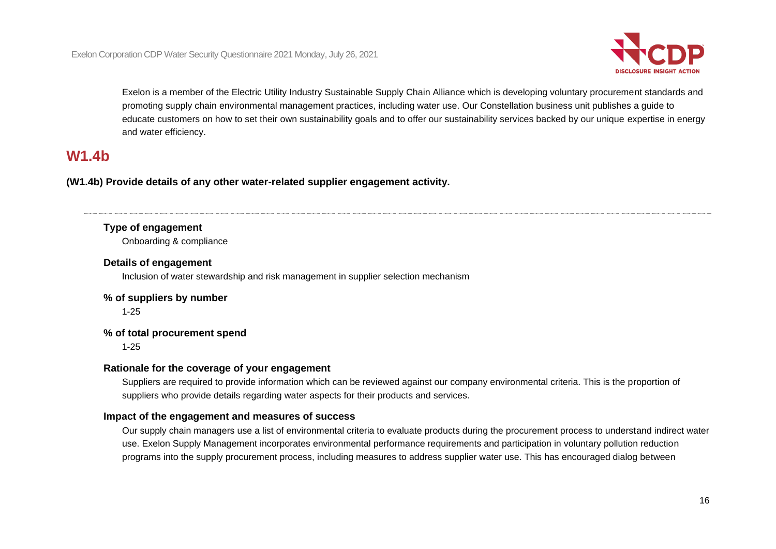

Exelon is a member of the Electric Utility Industry Sustainable Supply Chain Alliance which is developing voluntary procurement standards and promoting supply chain environmental management practices, including water use. Our Constellation business unit publishes a guide to educate customers on how to set their own sustainability goals and to offer our sustainability services backed by our unique expertise in energy and water efficiency.

## **W1.4b**

**(W1.4b) Provide details of any other water-related supplier engagement activity.**

#### **Type of engagement**

Onboarding & compliance

#### **Details of engagement**

Inclusion of water stewardship and risk management in supplier selection mechanism

#### **% of suppliers by number**

1-25

#### **% of total procurement spend**

1-25

#### **Rationale for the coverage of your engagement**

Suppliers are required to provide information which can be reviewed against our company environmental criteria. This is the proportion of suppliers who provide details regarding water aspects for their products and services.

#### **Impact of the engagement and measures of success**

Our supply chain managers use a list of environmental criteria to evaluate products during the procurement process to understand indirect water use. Exelon Supply Management incorporates environmental performance requirements and participation in voluntary pollution reduction programs into the supply procurement process, including measures to address supplier water use. This has encouraged dialog between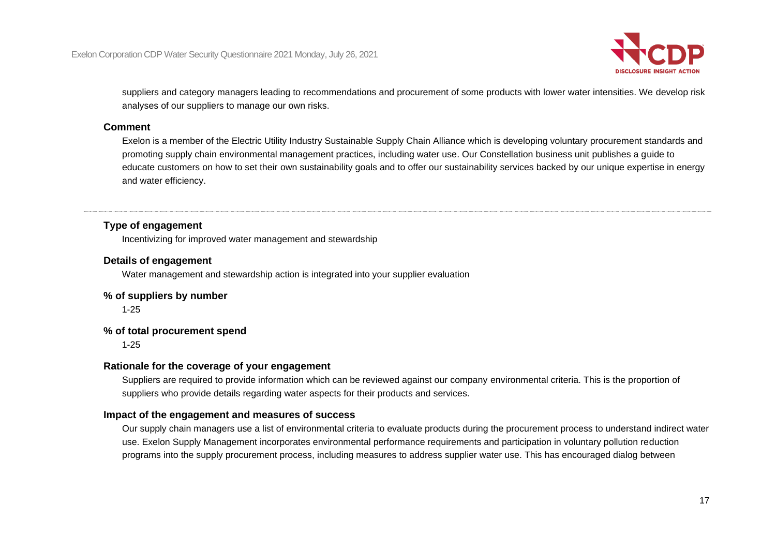

suppliers and category managers leading to recommendations and procurement of some products with lower water intensities. We develop risk analyses of our suppliers to manage our own risks.

#### **Comment**

Exelon is a member of the Electric Utility Industry Sustainable Supply Chain Alliance which is developing voluntary procurement standards and promoting supply chain environmental management practices, including water use. Our Constellation business unit publishes a guide to educate customers on how to set their own sustainability goals and to offer our sustainability services backed by our unique expertise in energy and water efficiency.

#### **Type of engagement**

Incentivizing for improved water management and stewardship

#### **Details of engagement**

Water management and stewardship action is integrated into your supplier evaluation

#### **% of suppliers by number**

1-25

#### **% of total procurement spend**

1-25

#### **Rationale for the coverage of your engagement**

Suppliers are required to provide information which can be reviewed against our company environmental criteria. This is the proportion of suppliers who provide details regarding water aspects for their products and services.

#### **Impact of the engagement and measures of success**

Our supply chain managers use a list of environmental criteria to evaluate products during the procurement process to understand indirect water use. Exelon Supply Management incorporates environmental performance requirements and participation in voluntary pollution reduction programs into the supply procurement process, including measures to address supplier water use. This has encouraged dialog between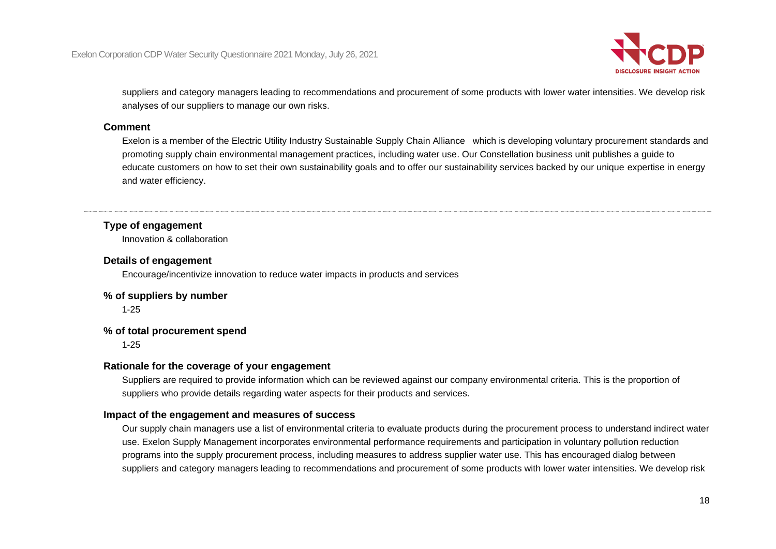

suppliers and category managers leading to recommendations and procurement of some products with lower water intensities. We develop risk analyses of our suppliers to manage our own risks.

#### **Comment**

Exelon is a member of the Electric Utility Industry Sustainable Supply Chain Alliance which is developing voluntary procurement standards and promoting supply chain environmental management practices, including water use. Our Constellation business unit publishes a guide to educate customers on how to set their own sustainability goals and to offer our sustainability services backed by our unique expertise in energy and water efficiency.

#### **Type of engagement**

Innovation & collaboration

#### **Details of engagement**

Encourage/incentivize innovation to reduce water impacts in products and services

#### **% of suppliers by number**

1-25

#### **% of total procurement spend**

1-25

#### **Rationale for the coverage of your engagement**

Suppliers are required to provide information which can be reviewed against our company environmental criteria. This is the proportion of suppliers who provide details regarding water aspects for their products and services.

#### **Impact of the engagement and measures of success**

Our supply chain managers use a list of environmental criteria to evaluate products during the procurement process to understand indirect water use. Exelon Supply Management incorporates environmental performance requirements and participation in voluntary pollution reduction programs into the supply procurement process, including measures to address supplier water use. This has encouraged dialog between suppliers and category managers leading to recommendations and procurement of some products with lower water intensities. We develop risk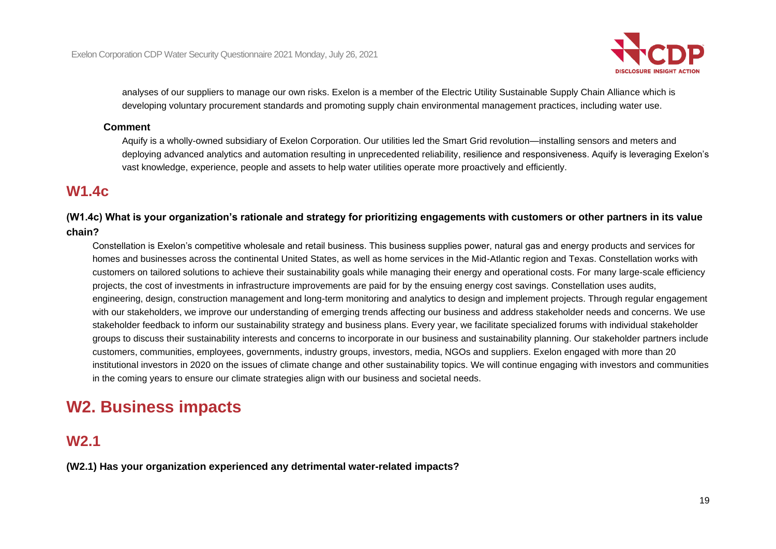

analyses of our suppliers to manage our own risks. Exelon is a member of the Electric Utility Sustainable Supply Chain Alliance which is developing voluntary procurement standards and promoting supply chain environmental management practices, including water use.

#### **Comment**

Aquify is a wholly-owned subsidiary of Exelon Corporation. Our utilities led the Smart Grid revolution—installing sensors and meters and deploying advanced analytics and automation resulting in unprecedented reliability, resilience and responsiveness. Aquify is leveraging Exelon's vast knowledge, experience, people and assets to help water utilities operate more proactively and efficiently.

### **W1.4c**

**(W1.4c) What is your organization's rationale and strategy for prioritizing engagements with customers or other partners in its value chain?**

Constellation is Exelon's competitive wholesale and retail business. This business supplies power, natural gas and energy products and services for homes and businesses across the continental United States, as well as home services in the Mid-Atlantic region and Texas. Constellation works with customers on tailored solutions to achieve their sustainability goals while managing their energy and operational costs. For many large-scale efficiency projects, the cost of investments in infrastructure improvements are paid for by the ensuing energy cost savings. Constellation uses audits, engineering, design, construction management and long-term monitoring and analytics to design and implement projects. Through regular engagement with our stakeholders, we improve our understanding of emerging trends affecting our business and address stakeholder needs and concerns. We use stakeholder feedback to inform our sustainability strategy and business plans. Every year, we facilitate specialized forums with individual stakeholder groups to discuss their sustainability interests and concerns to incorporate in our business and sustainability planning. Our stakeholder partners include customers, communities, employees, governments, industry groups, investors, media, NGOs and suppliers. Exelon engaged with more than 20 institutional investors in 2020 on the issues of climate change and other sustainability topics. We will continue engaging with investors and communities in the coming years to ensure our climate strategies align with our business and societal needs.

# **W2. Business impacts**

### **W2.1**

**(W2.1) Has your organization experienced any detrimental water-related impacts?**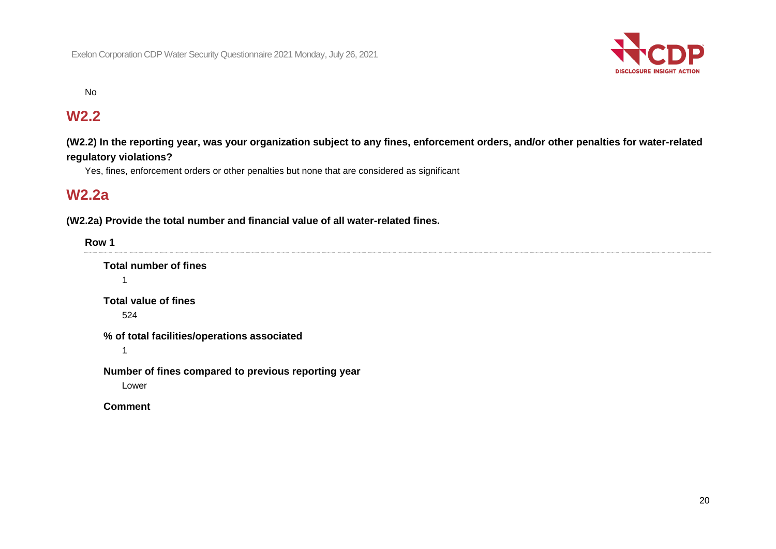

#### No

### **W2.2**

**(W2.2) In the reporting year, was your organization subject to any fines, enforcement orders, and/or other penalties for water-related regulatory violations?**

Yes, fines, enforcement orders or other penalties but none that are considered as significant

### **W2.2a**

**(W2.2a) Provide the total number and financial value of all water-related fines.**

| Row 1 |                                                     |
|-------|-----------------------------------------------------|
|       | <b>Total number of fines</b>                        |
|       | ◢                                                   |
|       | <b>Total value of fines</b>                         |
|       | 524                                                 |
|       | % of total facilities/operations associated         |
|       |                                                     |
|       | Number of fines compared to previous reporting year |
|       | Lower                                               |
|       | <b>Comment</b>                                      |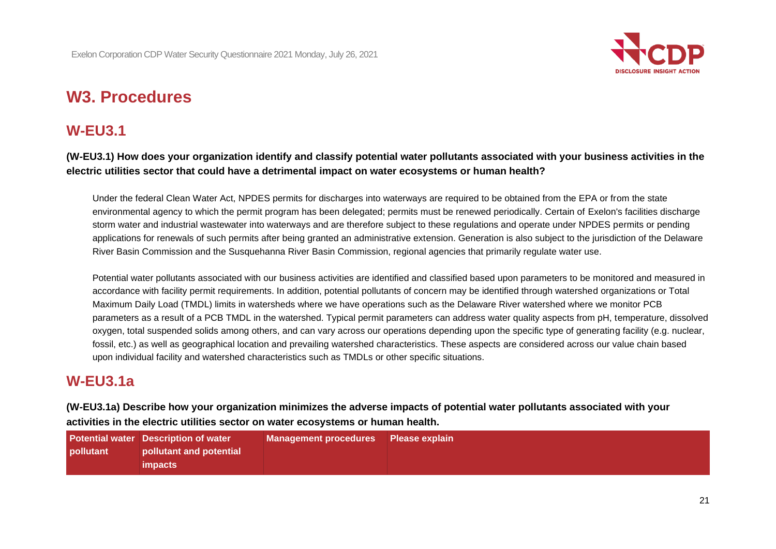

# **W3. Procedures**

### **W-EU3.1**

**(W-EU3.1) How does your organization identify and classify potential water pollutants associated with your business activities in the electric utilities sector that could have a detrimental impact on water ecosystems or human health?**

Under the federal Clean Water Act, NPDES permits for discharges into waterways are required to be obtained from the EPA or from the state environmental agency to which the permit program has been delegated; permits must be renewed periodically. Certain of Exelon's facilities discharge storm water and industrial wastewater into waterways and are therefore subject to these regulations and operate under NPDES permits or pending applications for renewals of such permits after being granted an administrative extension. Generation is also subject to the jurisdiction of the Delaware River Basin Commission and the Susquehanna River Basin Commission, regional agencies that primarily regulate water use.

Potential water pollutants associated with our business activities are identified and classified based upon parameters to be monitored and measured in accordance with facility permit requirements. In addition, potential pollutants of concern may be identified through watershed organizations or Total Maximum Daily Load (TMDL) limits in watersheds where we have operations such as the Delaware River watershed where we monitor PCB parameters as a result of a PCB TMDL in the watershed. Typical permit parameters can address water quality aspects from pH, temperature, dissolved oxygen, total suspended solids among others, and can vary across our operations depending upon the specific type of generating facility (e.g. nuclear, fossil, etc.) as well as geographical location and prevailing watershed characteristics. These aspects are considered across our value chain based upon individual facility and watershed characteristics such as TMDLs or other specific situations.

### **W-EU3.1a**

**(W-EU3.1a) Describe how your organization minimizes the adverse impacts of potential water pollutants associated with your activities in the electric utilities sector on water ecosystems or human health.**

|           | <b>Potential water Description of water</b> | Management procedures Please explain |  |
|-----------|---------------------------------------------|--------------------------------------|--|
| pollutant | pollutant and potential                     |                                      |  |
|           | <i>impacts</i>                              |                                      |  |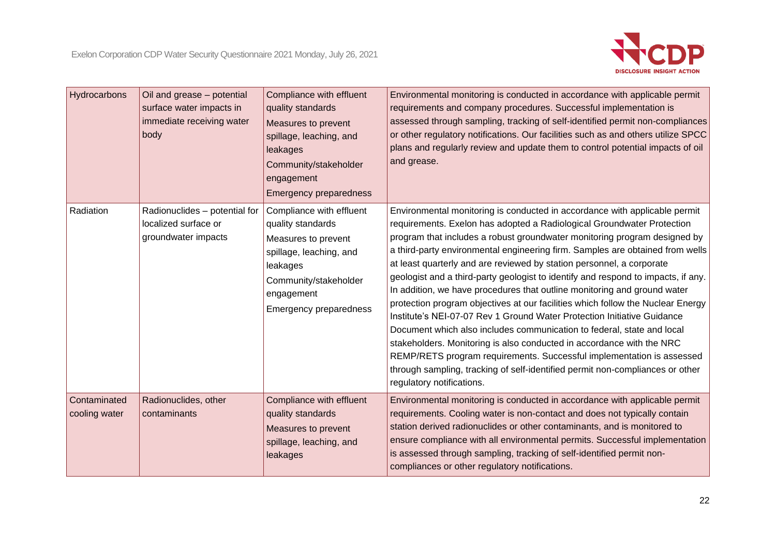

| Hydrocarbons                  | Oil and grease - potential<br>surface water impacts in<br>immediate receiving water<br>body | Compliance with effluent<br>quality standards<br>Measures to prevent<br>spillage, leaching, and<br>leakages<br>Community/stakeholder<br>engagement<br><b>Emergency preparedness</b> | Environmental monitoring is conducted in accordance with applicable permit<br>requirements and company procedures. Successful implementation is<br>assessed through sampling, tracking of self-identified permit non-compliances<br>or other regulatory notifications. Our facilities such as and others utilize SPCC<br>plans and regularly review and update them to control potential impacts of oil<br>and grease.                                                                                                                                                                                                                                                                                                                                                                                                                                                                                                                                                                                                                                               |
|-------------------------------|---------------------------------------------------------------------------------------------|-------------------------------------------------------------------------------------------------------------------------------------------------------------------------------------|----------------------------------------------------------------------------------------------------------------------------------------------------------------------------------------------------------------------------------------------------------------------------------------------------------------------------------------------------------------------------------------------------------------------------------------------------------------------------------------------------------------------------------------------------------------------------------------------------------------------------------------------------------------------------------------------------------------------------------------------------------------------------------------------------------------------------------------------------------------------------------------------------------------------------------------------------------------------------------------------------------------------------------------------------------------------|
| Radiation                     | Radionuclides - potential for<br>localized surface or<br>groundwater impacts                | Compliance with effluent<br>quality standards<br>Measures to prevent<br>spillage, leaching, and<br>leakages<br>Community/stakeholder<br>engagement<br>Emergency preparedness        | Environmental monitoring is conducted in accordance with applicable permit<br>requirements. Exelon has adopted a Radiological Groundwater Protection<br>program that includes a robust groundwater monitoring program designed by<br>a third-party environmental engineering firm. Samples are obtained from wells<br>at least quarterly and are reviewed by station personnel, a corporate<br>geologist and a third-party geologist to identify and respond to impacts, if any.<br>In addition, we have procedures that outline monitoring and ground water<br>protection program objectives at our facilities which follow the Nuclear Energy<br>Institute's NEI-07-07 Rev 1 Ground Water Protection Initiative Guidance<br>Document which also includes communication to federal, state and local<br>stakeholders. Monitoring is also conducted in accordance with the NRC<br>REMP/RETS program requirements. Successful implementation is assessed<br>through sampling, tracking of self-identified permit non-compliances or other<br>regulatory notifications. |
| Contaminated<br>cooling water | Radionuclides, other<br>contaminants                                                        | Compliance with effluent<br>quality standards<br>Measures to prevent<br>spillage, leaching, and<br>leakages                                                                         | Environmental monitoring is conducted in accordance with applicable permit<br>requirements. Cooling water is non-contact and does not typically contain<br>station derived radionuclides or other contaminants, and is monitored to<br>ensure compliance with all environmental permits. Successful implementation<br>is assessed through sampling, tracking of self-identified permit non-<br>compliances or other regulatory notifications.                                                                                                                                                                                                                                                                                                                                                                                                                                                                                                                                                                                                                        |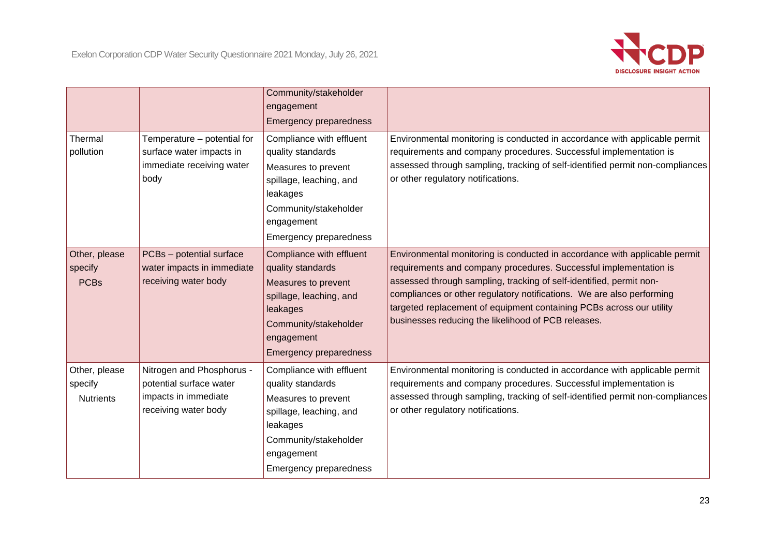

|                                              |                                                                                                      | Community/stakeholder<br>engagement<br>Emergency preparedness                                                                                                                       |                                                                                                                                                                                                                                                                                                                                                                                                                                |
|----------------------------------------------|------------------------------------------------------------------------------------------------------|-------------------------------------------------------------------------------------------------------------------------------------------------------------------------------------|--------------------------------------------------------------------------------------------------------------------------------------------------------------------------------------------------------------------------------------------------------------------------------------------------------------------------------------------------------------------------------------------------------------------------------|
| Thermal<br>pollution                         | Temperature - potential for<br>surface water impacts in<br>immediate receiving water<br>body         | Compliance with effluent<br>quality standards<br>Measures to prevent<br>spillage, leaching, and<br>leakages<br>Community/stakeholder<br>engagement<br>Emergency preparedness        | Environmental monitoring is conducted in accordance with applicable permit<br>requirements and company procedures. Successful implementation is<br>assessed through sampling, tracking of self-identified permit non-compliances<br>or other regulatory notifications.                                                                                                                                                         |
| Other, please<br>specify<br><b>PCBs</b>      | PCBs - potential surface<br>water impacts in immediate<br>receiving water body                       | Compliance with effluent<br>quality standards<br>Measures to prevent<br>spillage, leaching, and<br>leakages<br>Community/stakeholder<br>engagement<br><b>Emergency preparedness</b> | Environmental monitoring is conducted in accordance with applicable permit<br>requirements and company procedures. Successful implementation is<br>assessed through sampling, tracking of self-identified, permit non-<br>compliances or other regulatory notifications. We are also performing<br>targeted replacement of equipment containing PCBs across our utility<br>businesses reducing the likelihood of PCB releases. |
| Other, please<br>specify<br><b>Nutrients</b> | Nitrogen and Phosphorus -<br>potential surface water<br>impacts in immediate<br>receiving water body | Compliance with effluent<br>quality standards<br>Measures to prevent<br>spillage, leaching, and<br>leakages<br>Community/stakeholder<br>engagement<br>Emergency preparedness        | Environmental monitoring is conducted in accordance with applicable permit<br>requirements and company procedures. Successful implementation is<br>assessed through sampling, tracking of self-identified permit non-compliances<br>or other regulatory notifications.                                                                                                                                                         |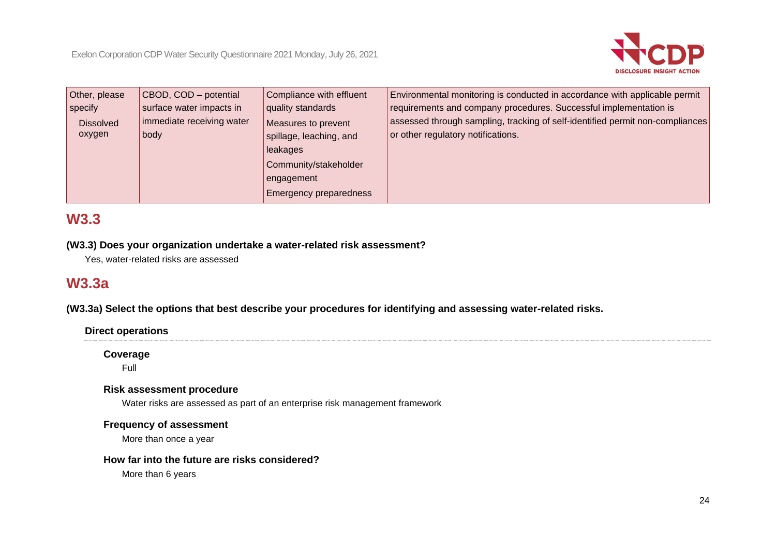

| Other, please    | CBOD, COD - potential     | Compliance with effluent      | Environmental monitoring is conducted in accordance with applicable permit    |
|------------------|---------------------------|-------------------------------|-------------------------------------------------------------------------------|
| specify          | surface water impacts in  | quality standards             | requirements and company procedures. Successful implementation is             |
| <b>Dissolved</b> | immediate receiving water | Measures to prevent           | assessed through sampling, tracking of self-identified permit non-compliances |
| oxygen           | body                      | spillage, leaching, and       | or other regulatory notifications.                                            |
|                  |                           | leakages                      |                                                                               |
|                  |                           | Community/stakeholder         |                                                                               |
|                  |                           | engagement                    |                                                                               |
|                  |                           | <b>Emergency preparedness</b> |                                                                               |

## **W3.3**

#### **(W3.3) Does your organization undertake a water-related risk assessment?**

Yes, water-related risks are assessed

## **W3.3a**

**(W3.3a) Select the options that best describe your procedures for identifying and assessing water-related risks.**

#### **Direct operations**

**Coverage**

Full

#### **Risk assessment procedure**

Water risks are assessed as part of an enterprise risk management framework

#### **Frequency of assessment**

More than once a year

#### **How far into the future are risks considered?**

More than 6 years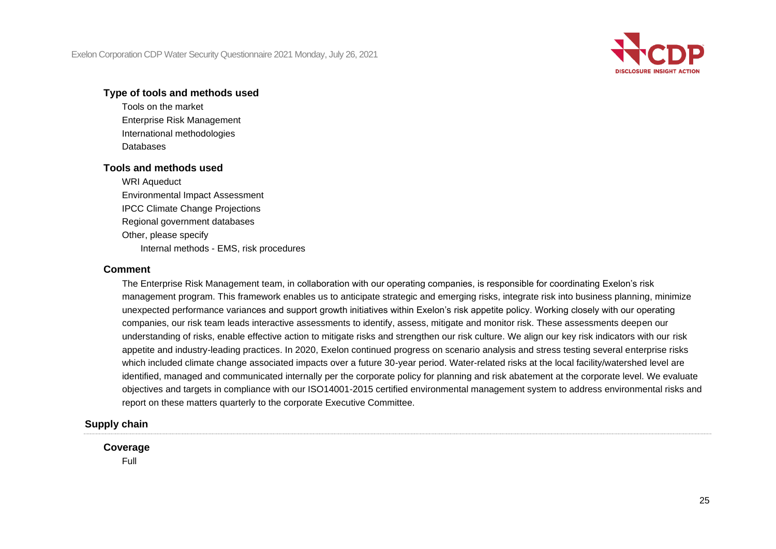

#### **Type of tools and methods used**

Tools on the market Enterprise Risk Management International methodologies Databases

#### **Tools and methods used**

WRI Aqueduct Environmental Impact Assessment IPCC Climate Change Projections Regional government databases Other, please specify Internal methods - EMS, risk procedures

#### **Comment**

The Enterprise Risk Management team, in collaboration with our operating companies, is responsible for coordinating Exelon's risk management program. This framework enables us to anticipate strategic and emerging risks, integrate risk into business planning, minimize unexpected performance variances and support growth initiatives within Exelon's risk appetite policy. Working closely with our operating companies, our risk team leads interactive assessments to identify, assess, mitigate and monitor risk. These assessments deepen our understanding of risks, enable effective action to mitigate risks and strengthen our risk culture. We align our key risk indicators with our risk appetite and industry-leading practices. In 2020, Exelon continued progress on scenario analysis and stress testing several enterprise risks which included climate change associated impacts over a future 30-year period. Water-related risks at the local facility/watershed level are identified, managed and communicated internally per the corporate policy for planning and risk abatement at the corporate level. We evaluate objectives and targets in compliance with our ISO14001-2015 certified environmental management system to address environmental risks and report on these matters quarterly to the corporate Executive Committee.

#### **Supply chain**

#### **Coverage**

Full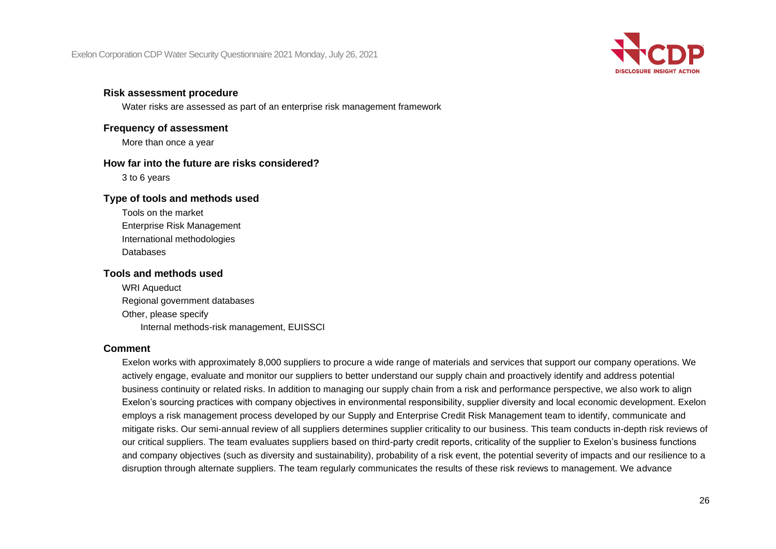Exelon Corporation CDP Water Security Questionnaire 2021 Monday, July 26, 2021



#### **Risk assessment procedure**

Water risks are assessed as part of an enterprise risk management framework

### **Frequency of assessment**

More than once a year

#### **How far into the future are risks considered?**

3 to 6 years

#### **Type of tools and methods used**

Tools on the market Enterprise Risk Management International methodologies Databases

#### **Tools and methods used**

WRI Aqueduct Regional government databases Other, please specify Internal methods-risk management, EUISSCI

#### **Comment**

Exelon works with approximately 8,000 suppliers to procure a wide range of materials and services that support our company operations. We actively engage, evaluate and monitor our suppliers to better understand our supply chain and proactively identify and address potential business continuity or related risks. In addition to managing our supply chain from a risk and performance perspective, we also work to align Exelon's sourcing practices with company objectives in environmental responsibility, supplier diversity and local economic development. Exelon employs a risk management process developed by our Supply and Enterprise Credit Risk Management team to identify, communicate and mitigate risks. Our semi-annual review of all suppliers determines supplier criticality to our business. This team conducts in-depth risk reviews of our critical suppliers. The team evaluates suppliers based on third-party credit reports, criticality of the supplier to Exelon's business functions and company objectives (such as diversity and sustainability), probability of a risk event, the potential severity of impacts and our resilience to a disruption through alternate suppliers. The team regularly communicates the results of these risk reviews to management. We advance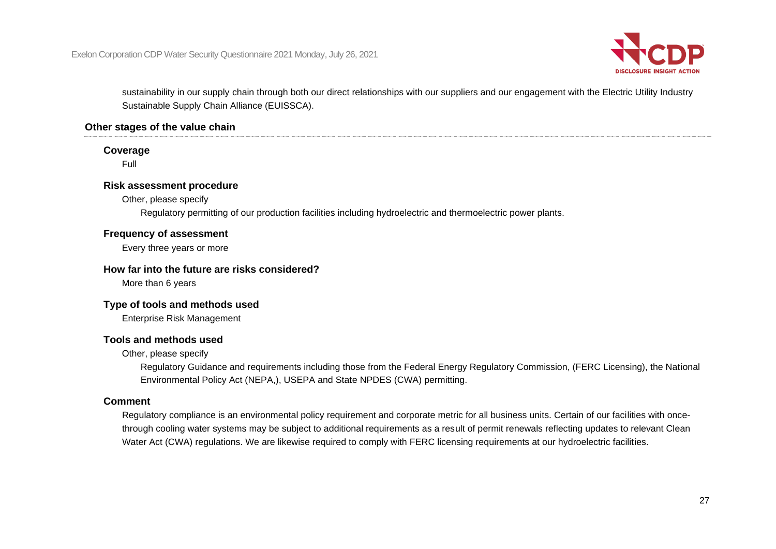

sustainability in our supply chain through both our direct relationships with our suppliers and our engagement with the Electric Utility Industry Sustainable Supply Chain Alliance (EUISSCA).

#### **Other stages of the value chain**

#### **Coverage**

Full

#### **Risk assessment procedure**

Other, please specify

Regulatory permitting of our production facilities including hydroelectric and thermoelectric power plants.

#### **Frequency of assessment**

Every three years or more

#### **How far into the future are risks considered?**

More than 6 years

#### **Type of tools and methods used**

Enterprise Risk Management

#### **Tools and methods used**

Other, please specify

Regulatory Guidance and requirements including those from the Federal Energy Regulatory Commission, (FERC Licensing), the National Environmental Policy Act (NEPA,), USEPA and State NPDES (CWA) permitting.

#### **Comment**

Regulatory compliance is an environmental policy requirement and corporate metric for all business units. Certain of our facilities with oncethrough cooling water systems may be subject to additional requirements as a result of permit renewals reflecting updates to relevant Clean Water Act (CWA) regulations. We are likewise required to comply with FERC licensing requirements at our hydroelectric facilities.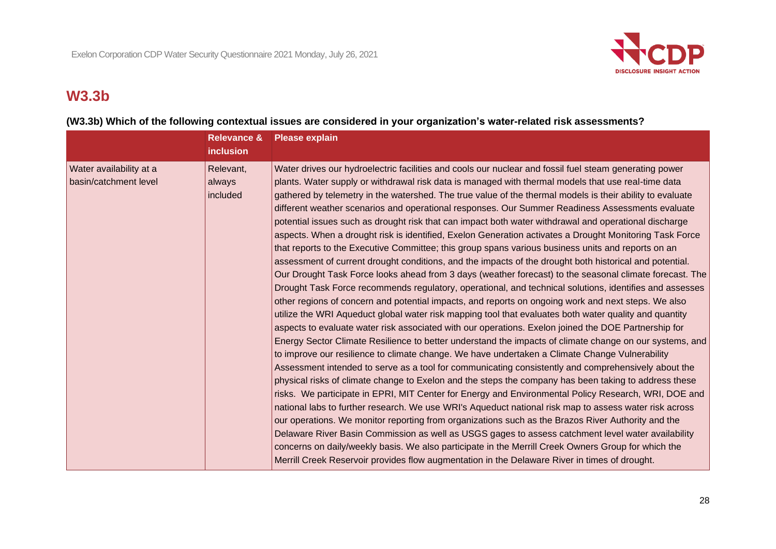

## **W3.3b**

#### **(W3.3b) Which of the following contextual issues are considered in your organization's water-related risk assessments?**

|                                                  | <b>Relevance &amp;</b><br><b>inclusion</b> | <b>Please explain</b>                                                                                                                                                                                                                                                                                                                                                                                                                                                                                                                                                                                                                                                                                                                                                                                                                                                                                                                                                                                                                                                                                                                                                                                                                                                                                                                                                                                                                                                                                                                                                                                                                                                                                                                                                                                                                                                                                                                                                                                                                                                                                                                                                                                                                                                                                                                                                                                                                                                                 |
|--------------------------------------------------|--------------------------------------------|---------------------------------------------------------------------------------------------------------------------------------------------------------------------------------------------------------------------------------------------------------------------------------------------------------------------------------------------------------------------------------------------------------------------------------------------------------------------------------------------------------------------------------------------------------------------------------------------------------------------------------------------------------------------------------------------------------------------------------------------------------------------------------------------------------------------------------------------------------------------------------------------------------------------------------------------------------------------------------------------------------------------------------------------------------------------------------------------------------------------------------------------------------------------------------------------------------------------------------------------------------------------------------------------------------------------------------------------------------------------------------------------------------------------------------------------------------------------------------------------------------------------------------------------------------------------------------------------------------------------------------------------------------------------------------------------------------------------------------------------------------------------------------------------------------------------------------------------------------------------------------------------------------------------------------------------------------------------------------------------------------------------------------------------------------------------------------------------------------------------------------------------------------------------------------------------------------------------------------------------------------------------------------------------------------------------------------------------------------------------------------------------------------------------------------------------------------------------------------------|
| Water availability at a<br>basin/catchment level | Relevant,<br>always<br>included            | Water drives our hydroelectric facilities and cools our nuclear and fossil fuel steam generating power<br>plants. Water supply or withdrawal risk data is managed with thermal models that use real-time data<br>gathered by telemetry in the watershed. The true value of the thermal models is their ability to evaluate<br>different weather scenarios and operational responses. Our Summer Readiness Assessments evaluate<br>potential issues such as drought risk that can impact both water withdrawal and operational discharge<br>aspects. When a drought risk is identified, Exelon Generation activates a Drought Monitoring Task Force<br>that reports to the Executive Committee; this group spans various business units and reports on an<br>assessment of current drought conditions, and the impacts of the drought both historical and potential.<br>Our Drought Task Force looks ahead from 3 days (weather forecast) to the seasonal climate forecast. The<br>Drought Task Force recommends regulatory, operational, and technical solutions, identifies and assesses<br>other regions of concern and potential impacts, and reports on ongoing work and next steps. We also<br>utilize the WRI Aqueduct global water risk mapping tool that evaluates both water quality and quantity<br>aspects to evaluate water risk associated with our operations. Exelon joined the DOE Partnership for<br>Energy Sector Climate Resilience to better understand the impacts of climate change on our systems, and<br>to improve our resilience to climate change. We have undertaken a Climate Change Vulnerability<br>Assessment intended to serve as a tool for communicating consistently and comprehensively about the<br>physical risks of climate change to Exelon and the steps the company has been taking to address these<br>risks. We participate in EPRI, MIT Center for Energy and Environmental Policy Research, WRI, DOE and<br>national labs to further research. We use WRI's Aqueduct national risk map to assess water risk across<br>our operations. We monitor reporting from organizations such as the Brazos River Authority and the<br>Delaware River Basin Commission as well as USGS gages to assess catchment level water availability<br>concerns on daily/weekly basis. We also participate in the Merrill Creek Owners Group for which the<br>Merrill Creek Reservoir provides flow augmentation in the Delaware River in times of drought. |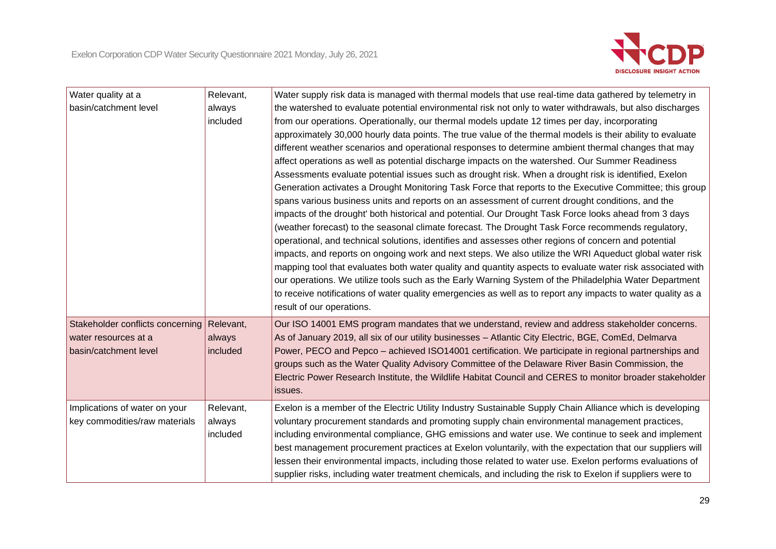

| Water quality at a<br>basin/catchment level                                       | Relevant,<br>always<br>included | Water supply risk data is managed with thermal models that use real-time data gathered by telemetry in<br>the watershed to evaluate potential environmental risk not only to water withdrawals, but also discharges<br>from our operations. Operationally, our thermal models update 12 times per day, incorporating<br>approximately 30,000 hourly data points. The true value of the thermal models is their ability to evaluate<br>different weather scenarios and operational responses to determine ambient thermal changes that may<br>affect operations as well as potential discharge impacts on the watershed. Our Summer Readiness<br>Assessments evaluate potential issues such as drought risk. When a drought risk is identified, Exelon<br>Generation activates a Drought Monitoring Task Force that reports to the Executive Committee; this group<br>spans various business units and reports on an assessment of current drought conditions, and the<br>impacts of the drought' both historical and potential. Our Drought Task Force looks ahead from 3 days<br>(weather forecast) to the seasonal climate forecast. The Drought Task Force recommends regulatory,<br>operational, and technical solutions, identifies and assesses other regions of concern and potential<br>impacts, and reports on ongoing work and next steps. We also utilize the WRI Aqueduct global water risk<br>mapping tool that evaluates both water quality and quantity aspects to evaluate water risk associated with<br>our operations. We utilize tools such as the Early Warning System of the Philadelphia Water Department<br>to receive notifications of water quality emergencies as well as to report any impacts to water quality as a<br>result of our operations. |
|-----------------------------------------------------------------------------------|---------------------------------|------------------------------------------------------------------------------------------------------------------------------------------------------------------------------------------------------------------------------------------------------------------------------------------------------------------------------------------------------------------------------------------------------------------------------------------------------------------------------------------------------------------------------------------------------------------------------------------------------------------------------------------------------------------------------------------------------------------------------------------------------------------------------------------------------------------------------------------------------------------------------------------------------------------------------------------------------------------------------------------------------------------------------------------------------------------------------------------------------------------------------------------------------------------------------------------------------------------------------------------------------------------------------------------------------------------------------------------------------------------------------------------------------------------------------------------------------------------------------------------------------------------------------------------------------------------------------------------------------------------------------------------------------------------------------------------------------------------------------------------------------------------------------|
| Stakeholder conflicts concerning<br>water resources at a<br>basin/catchment level | Relevant,<br>always<br>included | Our ISO 14001 EMS program mandates that we understand, review and address stakeholder concerns.<br>As of January 2019, all six of our utility businesses - Atlantic City Electric, BGE, ComEd, Delmarva<br>Power, PECO and Pepco - achieved ISO14001 certification. We participate in regional partnerships and<br>groups such as the Water Quality Advisory Committee of the Delaware River Basin Commission, the<br>Electric Power Research Institute, the Wildlife Habitat Council and CERES to monitor broader stakeholder<br>issues.                                                                                                                                                                                                                                                                                                                                                                                                                                                                                                                                                                                                                                                                                                                                                                                                                                                                                                                                                                                                                                                                                                                                                                                                                                    |
| Implications of water on your<br>key commodities/raw materials                    | Relevant,<br>always<br>included | Exelon is a member of the Electric Utility Industry Sustainable Supply Chain Alliance which is developing<br>voluntary procurement standards and promoting supply chain environmental management practices,<br>including environmental compliance, GHG emissions and water use. We continue to seek and implement<br>best management procurement practices at Exelon voluntarily, with the expectation that our suppliers will<br>lessen their environmental impacts, including those related to water use. Exelon performs evaluations of<br>supplier risks, including water treatment chemicals, and including the risk to Exelon if suppliers were to                                                                                                                                                                                                                                                                                                                                                                                                                                                                                                                                                                                                                                                                                                                                                                                                                                                                                                                                                                                                                                                                                                                     |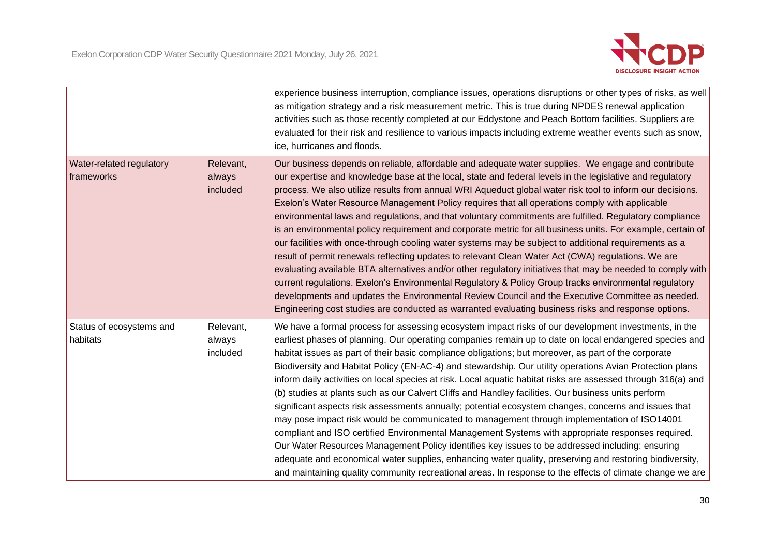

|                                               |                                 | experience business interruption, compliance issues, operations disruptions or other types of risks, as well<br>as mitigation strategy and a risk measurement metric. This is true during NPDES renewal application<br>activities such as those recently completed at our Eddystone and Peach Bottom facilities. Suppliers are<br>evaluated for their risk and resilience to various impacts including extreme weather events such as snow,<br>ice, hurricanes and floods.                                                                                                                                                                                                                                                                                                                                                                                                                                                                                                                                                                                                                                                                                                                                                                                                                                |
|-----------------------------------------------|---------------------------------|-----------------------------------------------------------------------------------------------------------------------------------------------------------------------------------------------------------------------------------------------------------------------------------------------------------------------------------------------------------------------------------------------------------------------------------------------------------------------------------------------------------------------------------------------------------------------------------------------------------------------------------------------------------------------------------------------------------------------------------------------------------------------------------------------------------------------------------------------------------------------------------------------------------------------------------------------------------------------------------------------------------------------------------------------------------------------------------------------------------------------------------------------------------------------------------------------------------------------------------------------------------------------------------------------------------|
| <b>Water-related regulatory</b><br>frameworks | Relevant,<br>always<br>included | Our business depends on reliable, affordable and adequate water supplies. We engage and contribute<br>our expertise and knowledge base at the local, state and federal levels in the legislative and regulatory<br>process. We also utilize results from annual WRI Aqueduct global water risk tool to inform our decisions.<br>Exelon's Water Resource Management Policy requires that all operations comply with applicable<br>environmental laws and regulations, and that voluntary commitments are fulfilled. Regulatory compliance<br>is an environmental policy requirement and corporate metric for all business units. For example, certain of<br>our facilities with once-through cooling water systems may be subject to additional requirements as a<br>result of permit renewals reflecting updates to relevant Clean Water Act (CWA) regulations. We are<br>evaluating available BTA alternatives and/or other regulatory initiatives that may be needed to comply with<br>current regulations. Exelon's Environmental Regulatory & Policy Group tracks environmental regulatory<br>developments and updates the Environmental Review Council and the Executive Committee as needed.<br>Engineering cost studies are conducted as warranted evaluating business risks and response options. |
| Status of ecosystems and<br>habitats          | Relevant,<br>always<br>included | We have a formal process for assessing ecosystem impact risks of our development investments, in the<br>earliest phases of planning. Our operating companies remain up to date on local endangered species and<br>habitat issues as part of their basic compliance obligations; but moreover, as part of the corporate<br>Biodiversity and Habitat Policy (EN-AC-4) and stewardship. Our utility operations Avian Protection plans<br>inform daily activities on local species at risk. Local aquatic habitat risks are assessed through 316(a) and<br>(b) studies at plants such as our Calvert Cliffs and Handley facilities. Our business units perform<br>significant aspects risk assessments annually; potential ecosystem changes, concerns and issues that<br>may pose impact risk would be communicated to management through implementation of ISO14001<br>compliant and ISO certified Environmental Management Systems with appropriate responses required.<br>Our Water Resources Management Policy identifies key issues to be addressed including: ensuring<br>adequate and economical water supplies, enhancing water quality, preserving and restoring biodiversity,<br>and maintaining quality community recreational areas. In response to the effects of climate change we are         |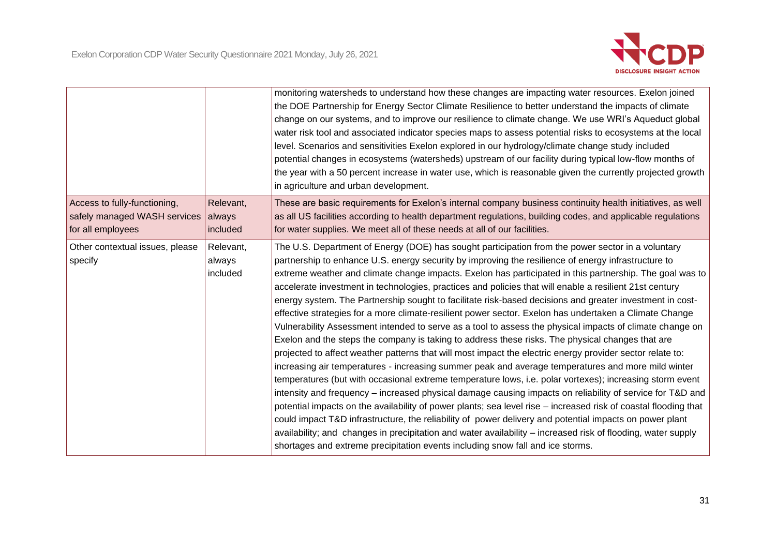

|                                                                                   |                                 | monitoring watersheds to understand how these changes are impacting water resources. Exelon joined<br>the DOE Partnership for Energy Sector Climate Resilience to better understand the impacts of climate<br>change on our systems, and to improve our resilience to climate change. We use WRI's Aqueduct global<br>water risk tool and associated indicator species maps to assess potential risks to ecosystems at the local<br>level. Scenarios and sensitivities Exelon explored in our hydrology/climate change study included<br>potential changes in ecosystems (watersheds) upstream of our facility during typical low-flow months of<br>the year with a 50 percent increase in water use, which is reasonable given the currently projected growth<br>in agriculture and urban development.                                                                                                                                                                                                                                                                                                                                                                                                                                                                                                                                                                                                                                                                                                                                                                                                                                                                                                                                           |
|-----------------------------------------------------------------------------------|---------------------------------|---------------------------------------------------------------------------------------------------------------------------------------------------------------------------------------------------------------------------------------------------------------------------------------------------------------------------------------------------------------------------------------------------------------------------------------------------------------------------------------------------------------------------------------------------------------------------------------------------------------------------------------------------------------------------------------------------------------------------------------------------------------------------------------------------------------------------------------------------------------------------------------------------------------------------------------------------------------------------------------------------------------------------------------------------------------------------------------------------------------------------------------------------------------------------------------------------------------------------------------------------------------------------------------------------------------------------------------------------------------------------------------------------------------------------------------------------------------------------------------------------------------------------------------------------------------------------------------------------------------------------------------------------------------------------------------------------------------------------------------------------|
| Access to fully-functioning,<br>safely managed WASH services<br>for all employees | Relevant,<br>always<br>included | These are basic requirements for Exelon's internal company business continuity health initiatives, as well<br>as all US facilities according to health department regulations, building codes, and applicable regulations<br>for water supplies. We meet all of these needs at all of our facilities.                                                                                                                                                                                                                                                                                                                                                                                                                                                                                                                                                                                                                                                                                                                                                                                                                                                                                                                                                                                                                                                                                                                                                                                                                                                                                                                                                                                                                                             |
| Other contextual issues, please<br>specify                                        | Relevant,<br>always<br>included | The U.S. Department of Energy (DOE) has sought participation from the power sector in a voluntary<br>partnership to enhance U.S. energy security by improving the resilience of energy infrastructure to<br>extreme weather and climate change impacts. Exelon has participated in this partnership. The goal was to<br>accelerate investment in technologies, practices and policies that will enable a resilient 21st century<br>energy system. The Partnership sought to facilitate risk-based decisions and greater investment in cost-<br>effective strategies for a more climate-resilient power sector. Exelon has undertaken a Climate Change<br>Vulnerability Assessment intended to serve as a tool to assess the physical impacts of climate change on<br>Exelon and the steps the company is taking to address these risks. The physical changes that are<br>projected to affect weather patterns that will most impact the electric energy provider sector relate to:<br>increasing air temperatures - increasing summer peak and average temperatures and more mild winter<br>temperatures (but with occasional extreme temperature lows, i.e. polar vortexes); increasing storm event<br>intensity and frequency - increased physical damage causing impacts on reliability of service for T&D and<br>potential impacts on the availability of power plants; sea level rise - increased risk of coastal flooding that<br>could impact T&D infrastructure, the reliability of power delivery and potential impacts on power plant<br>availability; and changes in precipitation and water availability – increased risk of flooding, water supply<br>shortages and extreme precipitation events including snow fall and ice storms. |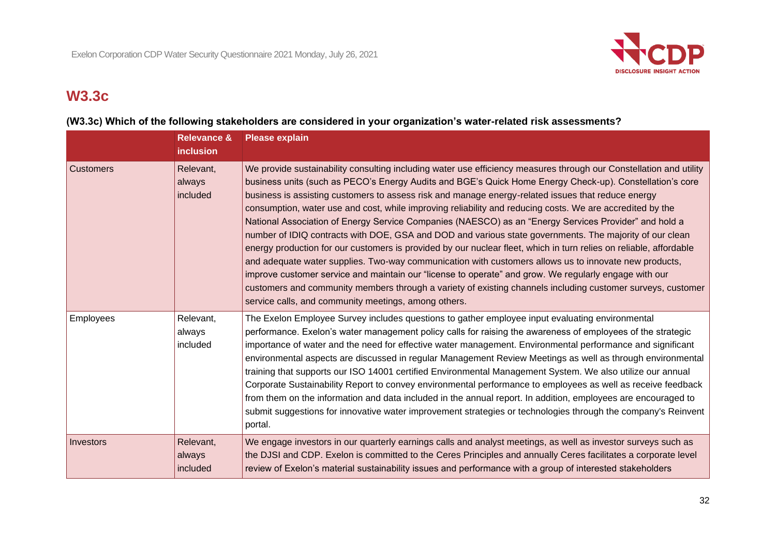

## **W3.3c**

#### **(W3.3c) Which of the following stakeholders are considered in your organization's water-related risk assessments?**

|                  | <b>Relevance &amp;</b><br>inclusion | <b>Please explain</b>                                                                                                                                                                                                                                                                                                                                                                                                                                                                                                                                                                                                                                                                                                                                                                                                                                                                                                                                                                                                                                                                                                                                                                |
|------------------|-------------------------------------|--------------------------------------------------------------------------------------------------------------------------------------------------------------------------------------------------------------------------------------------------------------------------------------------------------------------------------------------------------------------------------------------------------------------------------------------------------------------------------------------------------------------------------------------------------------------------------------------------------------------------------------------------------------------------------------------------------------------------------------------------------------------------------------------------------------------------------------------------------------------------------------------------------------------------------------------------------------------------------------------------------------------------------------------------------------------------------------------------------------------------------------------------------------------------------------|
| <b>Customers</b> | Relevant,<br>always<br>included     | We provide sustainability consulting including water use efficiency measures through our Constellation and utility<br>business units (such as PECO's Energy Audits and BGE's Quick Home Energy Check-up). Constellation's core<br>business is assisting customers to assess risk and manage energy-related issues that reduce energy<br>consumption, water use and cost, while improving reliability and reducing costs. We are accredited by the<br>National Association of Energy Service Companies (NAESCO) as an "Energy Services Provider" and hold a<br>number of IDIQ contracts with DOE, GSA and DOD and various state governments. The majority of our clean<br>energy production for our customers is provided by our nuclear fleet, which in turn relies on reliable, affordable<br>and adequate water supplies. Two-way communication with customers allows us to innovate new products,<br>improve customer service and maintain our "license to operate" and grow. We regularly engage with our<br>customers and community members through a variety of existing channels including customer surveys, customer<br>service calls, and community meetings, among others. |
| <b>Employees</b> | Relevant,<br>always<br>included     | The Exelon Employee Survey includes questions to gather employee input evaluating environmental<br>performance. Exelon's water management policy calls for raising the awareness of employees of the strategic<br>importance of water and the need for effective water management. Environmental performance and significant<br>environmental aspects are discussed in regular Management Review Meetings as well as through environmental<br>training that supports our ISO 14001 certified Environmental Management System. We also utilize our annual<br>Corporate Sustainability Report to convey environmental performance to employees as well as receive feedback<br>from them on the information and data included in the annual report. In addition, employees are encouraged to<br>submit suggestions for innovative water improvement strategies or technologies through the company's Reinvent<br>portal.                                                                                                                                                                                                                                                                |
| Investors        | Relevant,<br>always<br>included     | We engage investors in our quarterly earnings calls and analyst meetings, as well as investor surveys such as<br>the DJSI and CDP. Exelon is committed to the Ceres Principles and annually Ceres facilitates a corporate level<br>review of Exelon's material sustainability issues and performance with a group of interested stakeholders                                                                                                                                                                                                                                                                                                                                                                                                                                                                                                                                                                                                                                                                                                                                                                                                                                         |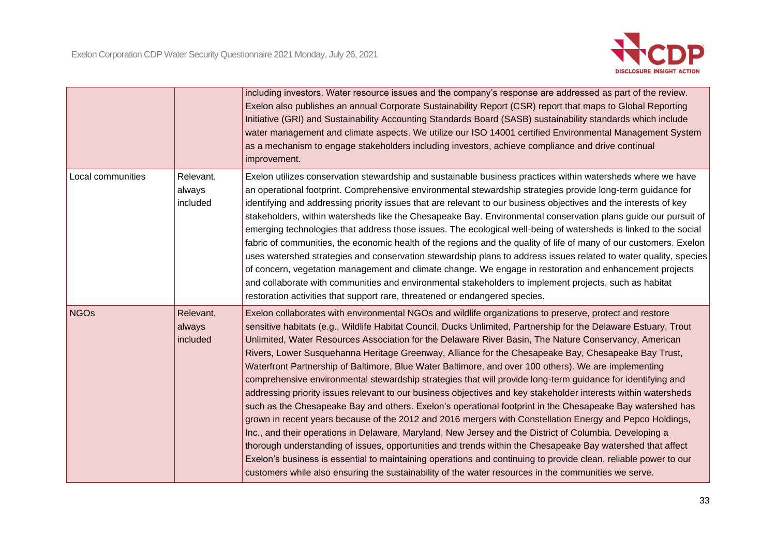

|                   |                                 | including investors. Water resource issues and the company's response are addressed as part of the review.<br>Exelon also publishes an annual Corporate Sustainability Report (CSR) report that maps to Global Reporting<br>Initiative (GRI) and Sustainability Accounting Standards Board (SASB) sustainability standards which include<br>water management and climate aspects. We utilize our ISO 14001 certified Environmental Management System<br>as a mechanism to engage stakeholders including investors, achieve compliance and drive continual<br>improvement.                                                                                                                                                                                                                                                                                                                                                                                                                                                                                                                                                                                                                                                                                                                                                                                                                                                                                         |
|-------------------|---------------------------------|-------------------------------------------------------------------------------------------------------------------------------------------------------------------------------------------------------------------------------------------------------------------------------------------------------------------------------------------------------------------------------------------------------------------------------------------------------------------------------------------------------------------------------------------------------------------------------------------------------------------------------------------------------------------------------------------------------------------------------------------------------------------------------------------------------------------------------------------------------------------------------------------------------------------------------------------------------------------------------------------------------------------------------------------------------------------------------------------------------------------------------------------------------------------------------------------------------------------------------------------------------------------------------------------------------------------------------------------------------------------------------------------------------------------------------------------------------------------|
| Local communities | Relevant,<br>always<br>included | Exelon utilizes conservation stewardship and sustainable business practices within watersheds where we have<br>an operational footprint. Comprehensive environmental stewardship strategies provide long-term guidance for<br>identifying and addressing priority issues that are relevant to our business objectives and the interests of key<br>stakeholders, within watersheds like the Chesapeake Bay. Environmental conservation plans guide our pursuit of<br>emerging technologies that address those issues. The ecological well-being of watersheds is linked to the social<br>fabric of communities, the economic health of the regions and the quality of life of many of our customers. Exelon<br>uses watershed strategies and conservation stewardship plans to address issues related to water quality, species<br>of concern, vegetation management and climate change. We engage in restoration and enhancement projects<br>and collaborate with communities and environmental stakeholders to implement projects, such as habitat<br>restoration activities that support rare, threatened or endangered species.                                                                                                                                                                                                                                                                                                                                |
| <b>NGOs</b>       | Relevant,<br>always<br>included | Exelon collaborates with environmental NGOs and wildlife organizations to preserve, protect and restore<br>sensitive habitats (e.g., Wildlife Habitat Council, Ducks Unlimited, Partnership for the Delaware Estuary, Trout<br>Unlimited, Water Resources Association for the Delaware River Basin, The Nature Conservancy, American<br>Rivers, Lower Susquehanna Heritage Greenway, Alliance for the Chesapeake Bay, Chesapeake Bay Trust,<br>Waterfront Partnership of Baltimore, Blue Water Baltimore, and over 100 others). We are implementing<br>comprehensive environmental stewardship strategies that will provide long-term guidance for identifying and<br>addressing priority issues relevant to our business objectives and key stakeholder interests within watersheds<br>such as the Chesapeake Bay and others. Exelon's operational footprint in the Chesapeake Bay watershed has<br>grown in recent years because of the 2012 and 2016 mergers with Constellation Energy and Pepco Holdings,<br>Inc., and their operations in Delaware, Maryland, New Jersey and the District of Columbia. Developing a<br>thorough understanding of issues, opportunities and trends within the Chesapeake Bay watershed that affect<br>Exelon's business is essential to maintaining operations and continuing to provide clean, reliable power to our<br>customers while also ensuring the sustainability of the water resources in the communities we serve. |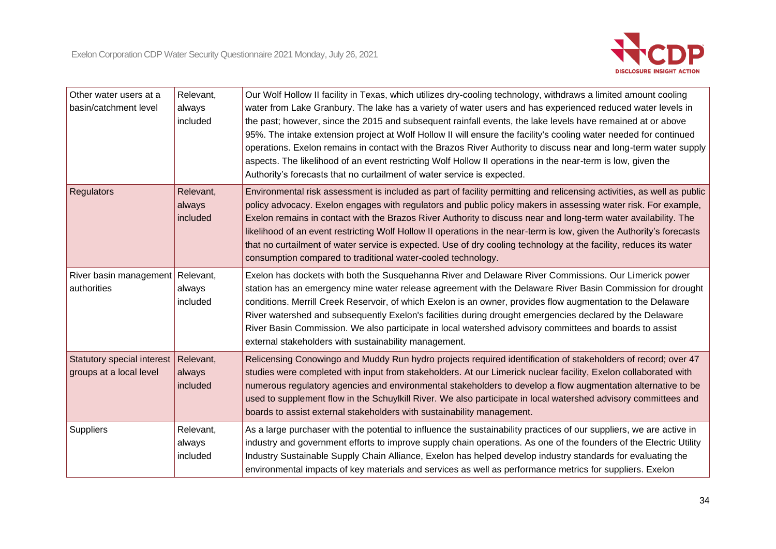| Other water users at a<br>basin/catchment level                 | Relevant,<br>always<br>included | Our Wolf Hollow II facility in Texas, which utilizes dry-cooling technology, withdraws a limited amount cooling<br>water from Lake Granbury. The lake has a variety of water users and has experienced reduced water levels in<br>the past; however, since the 2015 and subsequent rainfall events, the lake levels have remained at or above<br>95%. The intake extension project at Wolf Hollow II will ensure the facility's cooling water needed for continued<br>operations. Exelon remains in contact with the Brazos River Authority to discuss near and long-term water supply<br>aspects. The likelihood of an event restricting Wolf Hollow II operations in the near-term is low, given the<br>Authority's forecasts that no curtailment of water service is expected. |
|-----------------------------------------------------------------|---------------------------------|-----------------------------------------------------------------------------------------------------------------------------------------------------------------------------------------------------------------------------------------------------------------------------------------------------------------------------------------------------------------------------------------------------------------------------------------------------------------------------------------------------------------------------------------------------------------------------------------------------------------------------------------------------------------------------------------------------------------------------------------------------------------------------------|
| <b>Regulators</b>                                               | Relevant,<br>always<br>included | Environmental risk assessment is included as part of facility permitting and relicensing activities, as well as public<br>policy advocacy. Exelon engages with regulators and public policy makers in assessing water risk. For example,<br>Exelon remains in contact with the Brazos River Authority to discuss near and long-term water availability. The<br>likelihood of an event restricting Wolf Hollow II operations in the near-term is low, given the Authority's forecasts<br>that no curtailment of water service is expected. Use of dry cooling technology at the facility, reduces its water<br>consumption compared to traditional water-cooled technology.                                                                                                        |
| River basin management Relevant,<br>authorities                 | always<br>included              | Exelon has dockets with both the Susquehanna River and Delaware River Commissions. Our Limerick power<br>station has an emergency mine water release agreement with the Delaware River Basin Commission for drought<br>conditions. Merrill Creek Reservoir, of which Exelon is an owner, provides flow augmentation to the Delaware<br>River watershed and subsequently Exelon's facilities during drought emergencies declared by the Delaware<br>River Basin Commission. We also participate in local watershed advisory committees and boards to assist<br>external stakeholders with sustainability management.                                                                                                                                                               |
| Statutory special interest Relevant,<br>groups at a local level | always<br>included              | Relicensing Conowingo and Muddy Run hydro projects required identification of stakeholders of record; over 47<br>studies were completed with input from stakeholders. At our Limerick nuclear facility, Exelon collaborated with<br>numerous regulatory agencies and environmental stakeholders to develop a flow augmentation alternative to be<br>used to supplement flow in the Schuylkill River. We also participate in local watershed advisory committees and<br>boards to assist external stakeholders with sustainability management.                                                                                                                                                                                                                                     |
| Suppliers                                                       | Relevant,<br>always<br>included | As a large purchaser with the potential to influence the sustainability practices of our suppliers, we are active in<br>industry and government efforts to improve supply chain operations. As one of the founders of the Electric Utility<br>Industry Sustainable Supply Chain Alliance, Exelon has helped develop industry standards for evaluating the<br>environmental impacts of key materials and services as well as performance metrics for suppliers. Exelon                                                                                                                                                                                                                                                                                                             |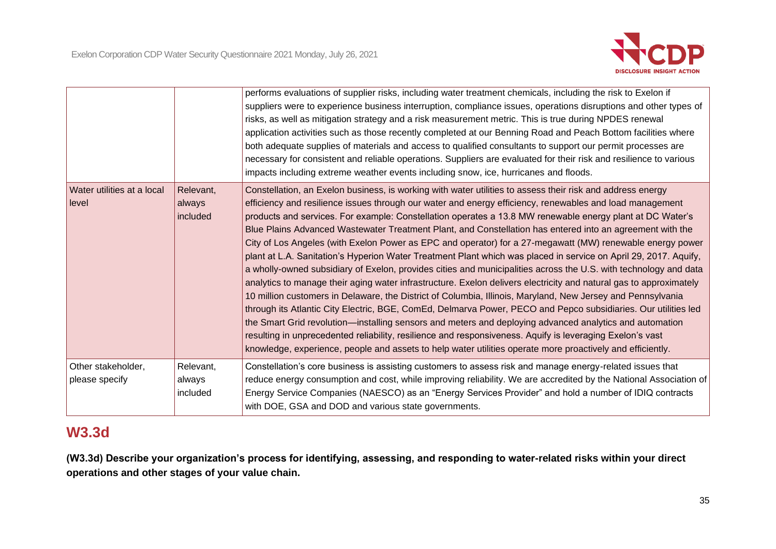

|                                      |                                 | performs evaluations of supplier risks, including water treatment chemicals, including the risk to Exelon if<br>suppliers were to experience business interruption, compliance issues, operations disruptions and other types of<br>risks, as well as mitigation strategy and a risk measurement metric. This is true during NPDES renewal<br>application activities such as those recently completed at our Benning Road and Peach Bottom facilities where<br>both adequate supplies of materials and access to qualified consultants to support our permit processes are<br>necessary for consistent and reliable operations. Suppliers are evaluated for their risk and resilience to various<br>impacts including extreme weather events including snow, ice, hurricanes and floods.                                                                                                                                                                                                                                                                                                                                                                                                                                                                                                                                                                                                                                                                                                           |
|--------------------------------------|---------------------------------|----------------------------------------------------------------------------------------------------------------------------------------------------------------------------------------------------------------------------------------------------------------------------------------------------------------------------------------------------------------------------------------------------------------------------------------------------------------------------------------------------------------------------------------------------------------------------------------------------------------------------------------------------------------------------------------------------------------------------------------------------------------------------------------------------------------------------------------------------------------------------------------------------------------------------------------------------------------------------------------------------------------------------------------------------------------------------------------------------------------------------------------------------------------------------------------------------------------------------------------------------------------------------------------------------------------------------------------------------------------------------------------------------------------------------------------------------------------------------------------------------|
| Water utilities at a local<br>level  | Relevant,<br>always<br>included | Constellation, an Exelon business, is working with water utilities to assess their risk and address energy<br>efficiency and resilience issues through our water and energy efficiency, renewables and load management<br>products and services. For example: Constellation operates a 13.8 MW renewable energy plant at DC Water's<br>Blue Plains Advanced Wastewater Treatment Plant, and Constellation has entered into an agreement with the<br>City of Los Angeles (with Exelon Power as EPC and operator) for a 27-megawatt (MW) renewable energy power<br>plant at L.A. Sanitation's Hyperion Water Treatment Plant which was placed in service on April 29, 2017. Aquify,<br>a wholly-owned subsidiary of Exelon, provides cities and municipalities across the U.S. with technology and data<br>analytics to manage their aging water infrastructure. Exelon delivers electricity and natural gas to approximately<br>10 million customers in Delaware, the District of Columbia, Illinois, Maryland, New Jersey and Pennsylvania<br>through its Atlantic City Electric, BGE, ComEd, Delmarva Power, PECO and Pepco subsidiaries. Our utilities led<br>the Smart Grid revolution—installing sensors and meters and deploying advanced analytics and automation<br>resulting in unprecedented reliability, resilience and responsiveness. Aquify is leveraging Exelon's vast<br>knowledge, experience, people and assets to help water utilities operate more proactively and efficiently. |
| Other stakeholder,<br>please specify | Relevant,<br>always<br>included | Constellation's core business is assisting customers to assess risk and manage energy-related issues that<br>reduce energy consumption and cost, while improving reliability. We are accredited by the National Association of<br>Energy Service Companies (NAESCO) as an "Energy Services Provider" and hold a number of IDIQ contracts<br>with DOE, GSA and DOD and various state governments.                                                                                                                                                                                                                                                                                                                                                                                                                                                                                                                                                                                                                                                                                                                                                                                                                                                                                                                                                                                                                                                                                                   |

## **W3.3d**

**(W3.3d) Describe your organization's process for identifying, assessing, and responding to water-related risks within your direct operations and other stages of your value chain.**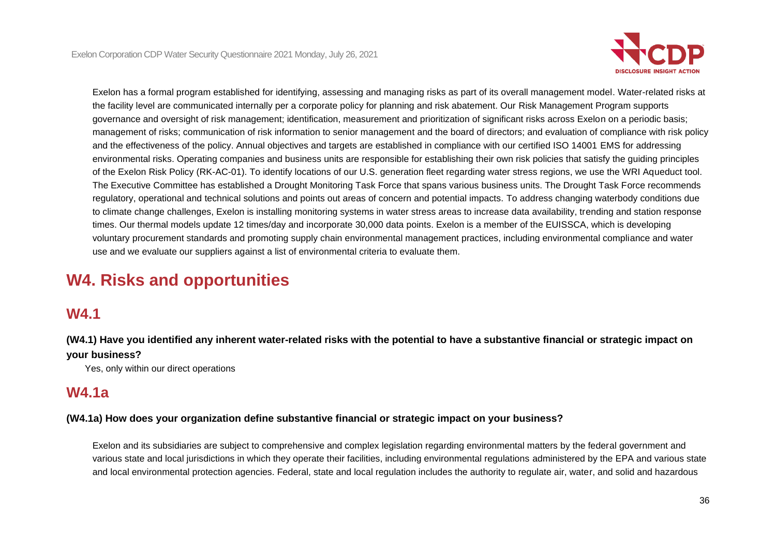

Exelon has a formal program established for identifying, assessing and managing risks as part of its overall management model. Water-related risks at the facility level are communicated internally per a corporate policy for planning and risk abatement. Our Risk Management Program supports governance and oversight of risk management; identification, measurement and prioritization of significant risks across Exelon on a periodic basis; management of risks; communication of risk information to senior management and the board of directors; and evaluation of compliance with risk policy and the effectiveness of the policy. Annual objectives and targets are established in compliance with our certified ISO 14001 EMS for addressing environmental risks. Operating companies and business units are responsible for establishing their own risk policies that satisfy the guiding principles of the Exelon Risk Policy (RK-AC-01). To identify locations of our U.S. generation fleet regarding water stress regions, we use the WRI Aqueduct tool. The Executive Committee has established a Drought Monitoring Task Force that spans various business units. The Drought Task Force recommends regulatory, operational and technical solutions and points out areas of concern and potential impacts. To address changing waterbody conditions due to climate change challenges, Exelon is installing monitoring systems in water stress areas to increase data availability, trending and station response times. Our thermal models update 12 times/day and incorporate 30,000 data points. Exelon is a member of the EUISSCA, which is developing voluntary procurement standards and promoting supply chain environmental management practices, including environmental compliance and water use and we evaluate our suppliers against a list of environmental criteria to evaluate them.

# **W4. Risks and opportunities**

### **W4.1**

**(W4.1) Have you identified any inherent water-related risks with the potential to have a substantive financial or strategic impact on your business?**

Yes, only within our direct operations

### **W4.1a**

#### **(W4.1a) How does your organization define substantive financial or strategic impact on your business?**

Exelon and its subsidiaries are subject to comprehensive and complex legislation regarding environmental matters by the federal government and various state and local jurisdictions in which they operate their facilities, including environmental regulations administered by the EPA and various state and local environmental protection agencies. Federal, state and local regulation includes the authority to regulate air, water, and solid and hazardous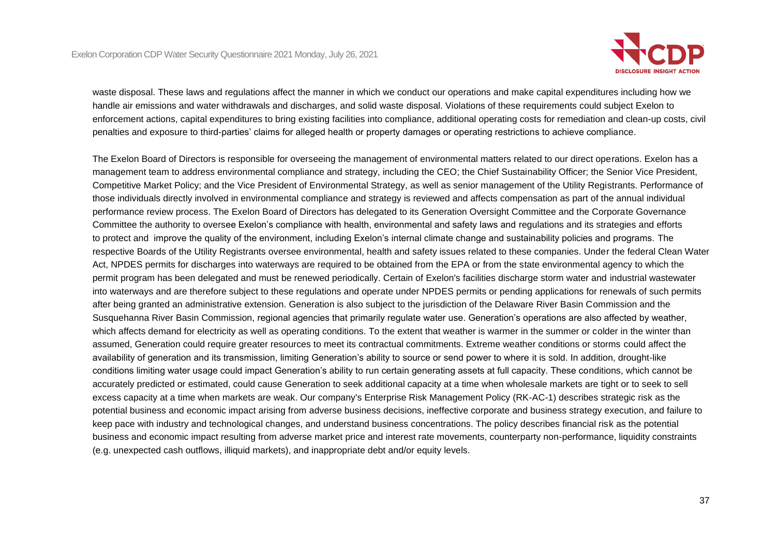

waste disposal. These laws and regulations affect the manner in which we conduct our operations and make capital expenditures including how we handle air emissions and water withdrawals and discharges, and solid waste disposal. Violations of these requirements could subject Exelon to enforcement actions, capital expenditures to bring existing facilities into compliance, additional operating costs for remediation and clean-up costs, civil penalties and exposure to third-parties' claims for alleged health or property damages or operating restrictions to achieve compliance.

The Exelon Board of Directors is responsible for overseeing the management of environmental matters related to our direct operations. Exelon has a management team to address environmental compliance and strategy, including the CEO; the Chief Sustainability Officer; the Senior Vice President, Competitive Market Policy; and the Vice President of Environmental Strategy, as well as senior management of the Utility Registrants. Performance of those individuals directly involved in environmental compliance and strategy is reviewed and affects compensation as part of the annual individual performance review process. The Exelon Board of Directors has delegated to its Generation Oversight Committee and the Corporate Governance Committee the authority to oversee Exelon's compliance with health, environmental and safety laws and regulations and its strategies and efforts to protect and improve the quality of the environment, including Exelon's internal climate change and sustainability policies and programs. The respective Boards of the Utility Registrants oversee environmental, health and safety issues related to these companies. Under the federal Clean Water Act, NPDES permits for discharges into waterways are required to be obtained from the EPA or from the state environmental agency to which the permit program has been delegated and must be renewed periodically. Certain of Exelon's facilities discharge storm water and industrial wastewater into waterways and are therefore subject to these regulations and operate under NPDES permits or pending applications for renewals of such permits after being granted an administrative extension. Generation is also subject to the jurisdiction of the Delaware River Basin Commission and the Susquehanna River Basin Commission, regional agencies that primarily regulate water use. Generation's operations are also affected by weather, which affects demand for electricity as well as operating conditions. To the extent that weather is warmer in the summer or colder in the winter than assumed, Generation could require greater resources to meet its contractual commitments. Extreme weather conditions or storms could affect the availability of generation and its transmission, limiting Generation's ability to source or send power to where it is sold. In addition, drought-like conditions limiting water usage could impact Generation's ability to run certain generating assets at full capacity. These conditions, which cannot be accurately predicted or estimated, could cause Generation to seek additional capacity at a time when wholesale markets are tight or to seek to sell excess capacity at a time when markets are weak. Our company's Enterprise Risk Management Policy (RK-AC-1) describes strategic risk as the potential business and economic impact arising from adverse business decisions, ineffective corporate and business strategy execution, and failure to keep pace with industry and technological changes, and understand business concentrations. The policy describes financial risk as the potential business and economic impact resulting from adverse market price and interest rate movements, counterparty non-performance, liquidity constraints (e.g. unexpected cash outflows, illiquid markets), and inappropriate debt and/or equity levels.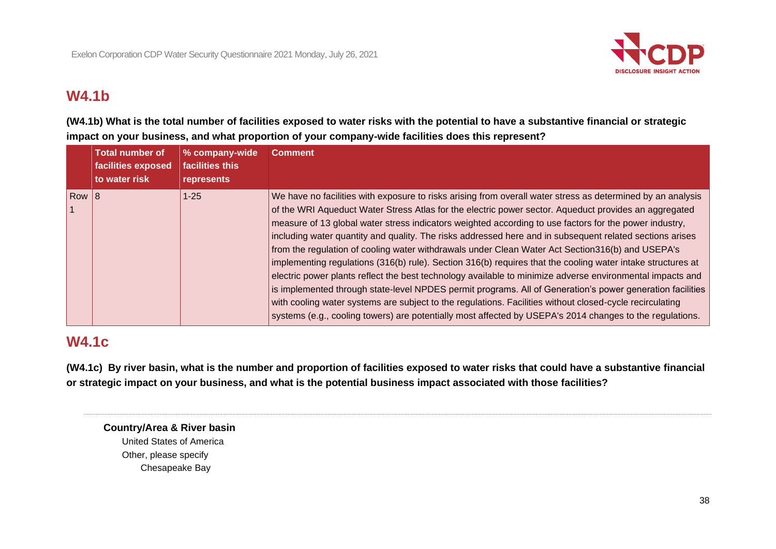

# **W4.1b**

**(W4.1b) What is the total number of facilities exposed to water risks with the potential to have a substantive financial or strategic impact on your business, and what proportion of your company-wide facilities does this represent?**

|            | <b>Total number of</b><br>facilities exposed<br>to water risk | % company-wide<br>facilities this<br>represents | <b>Comment</b>                                                                                                                                                                                                                                                                                                                                                                                                                                                                                                                                                                                                                                                                                                                                                                                                                                                                                                                                                                                                                                                                                                   |
|------------|---------------------------------------------------------------|-------------------------------------------------|------------------------------------------------------------------------------------------------------------------------------------------------------------------------------------------------------------------------------------------------------------------------------------------------------------------------------------------------------------------------------------------------------------------------------------------------------------------------------------------------------------------------------------------------------------------------------------------------------------------------------------------------------------------------------------------------------------------------------------------------------------------------------------------------------------------------------------------------------------------------------------------------------------------------------------------------------------------------------------------------------------------------------------------------------------------------------------------------------------------|
| $\sqrt{8}$ |                                                               | $1 - 25$                                        | We have no facilities with exposure to risks arising from overall water stress as determined by an analysis<br>of the WRI Aqueduct Water Stress Atlas for the electric power sector. Aqueduct provides an aggregated<br>measure of 13 global water stress indicators weighted according to use factors for the power industry,<br>including water quantity and quality. The risks addressed here and in subsequent related sections arises<br>from the regulation of cooling water withdrawals under Clean Water Act Section 316(b) and USEPA's<br>implementing regulations (316(b) rule). Section 316(b) requires that the cooling water intake structures at<br>electric power plants reflect the best technology available to minimize adverse environmental impacts and<br>is implemented through state-level NPDES permit programs. All of Generation's power generation facilities<br>with cooling water systems are subject to the regulations. Facilities without closed-cycle recirculating<br>systems (e.g., cooling towers) are potentially most affected by USEPA's 2014 changes to the regulations. |

# **W4.1c**

**(W4.1c) By river basin, what is the number and proportion of facilities exposed to water risks that could have a substantive financial or strategic impact on your business, and what is the potential business impact associated with those facilities?**

## **Country/Area & River basin**

United States of America Other, please specify Chesapeake Bay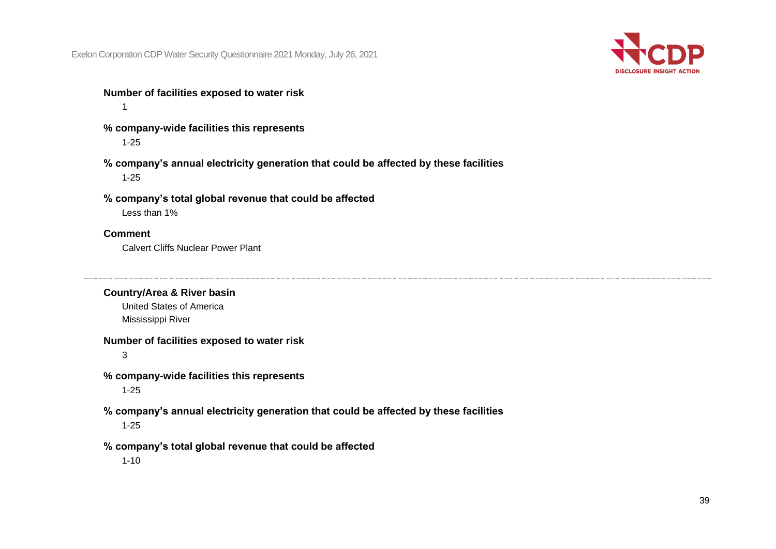

#### **Number of facilities exposed to water risk** 1

- **% company-wide facilities this represents** 1-25
- **% company's annual electricity generation that could be affected by these facilities** 1-25
- **% company's total global revenue that could be affected**

Less than 1%

## **Comment**

Calvert Cliffs Nuclear Power Plant

## **Country/Area & River basin**

United States of America Mississippi River

## **Number of facilities exposed to water risk**

3

- **% company-wide facilities this represents** 1-25
- **% company's annual electricity generation that could be affected by these facilities** 1-25
- **% company's total global revenue that could be affected**

1-10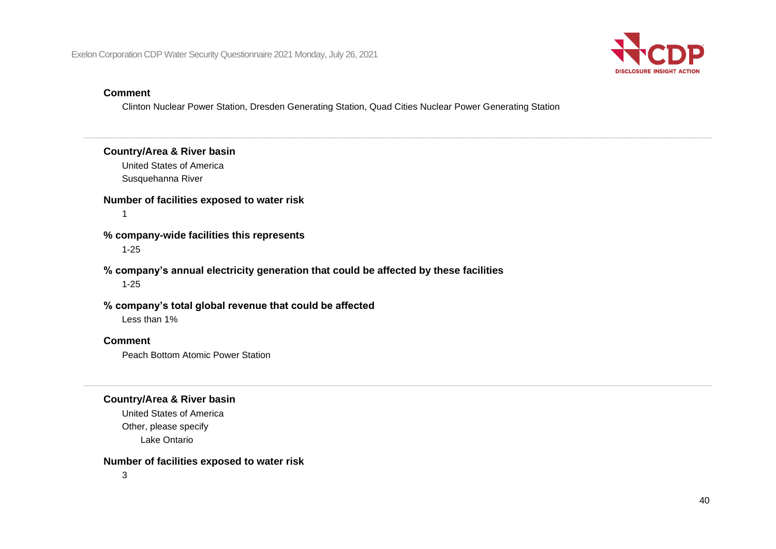

#### **Comment**

Clinton Nuclear Power Station, Dresden Generating Station, Quad Cities Nuclear Power Generating Station

## **Country/Area & River basin**

United States of America Susquehanna River

## **Number of facilities exposed to water risk**

1

## **% company-wide facilities this represents**

1-25

## **% company's annual electricity generation that could be affected by these facilities**

1-25

## **% company's total global revenue that could be affected**

Less than 1%

## **Comment**

Peach Bottom Atomic Power Station

## **Country/Area & River basin**

United States of America Other, please specify Lake Ontario

## **Number of facilities exposed to water risk**

3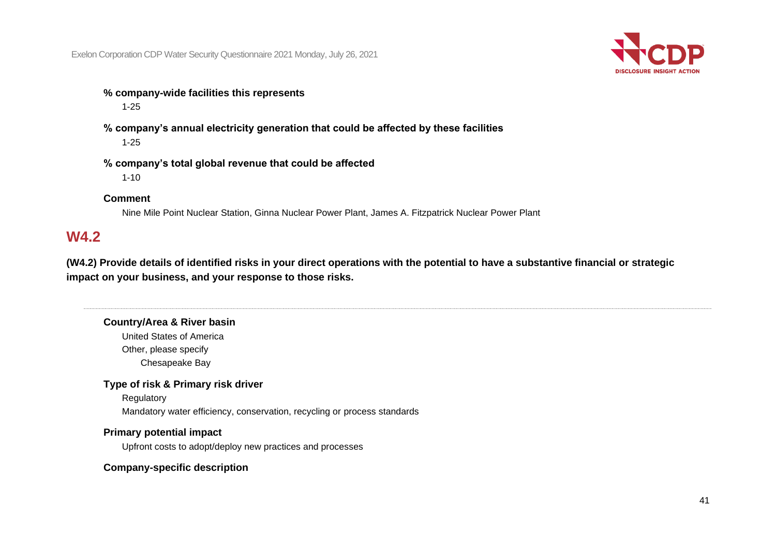

- **% company-wide facilities this represents** 1-25
- **% company's annual electricity generation that could be affected by these facilities** 1-25
- **% company's total global revenue that could be affected** 1-10

### **Comment**

Nine Mile Point Nuclear Station, Ginna Nuclear Power Plant, James A. Fitzpatrick Nuclear Power Plant

## **W4.2**

**(W4.2) Provide details of identified risks in your direct operations with the potential to have a substantive financial or strategic impact on your business, and your response to those risks.**

## **Country/Area & River basin**

United States of America Other, please specify Chesapeake Bay

#### **Type of risk & Primary risk driver**

**Regulatory** 

Mandatory water efficiency, conservation, recycling or process standards

## **Primary potential impact**

Upfront costs to adopt/deploy new practices and processes

## **Company-specific description**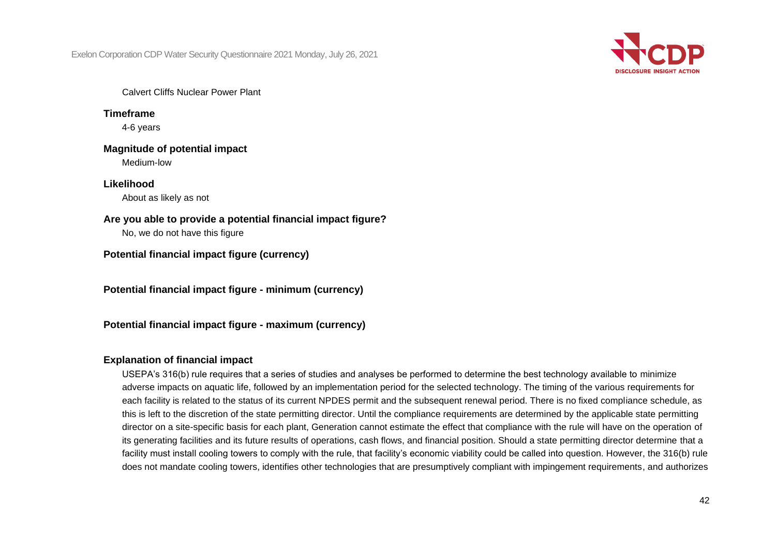

Calvert Cliffs Nuclear Power Plant

**Timeframe** 4-6 years

**Magnitude of potential impact** Medium-low

**Likelihood** About as likely as not

**Are you able to provide a potential financial impact figure?**

No, we do not have this figure

**Potential financial impact figure (currency)**

**Potential financial impact figure - minimum (currency)**

**Potential financial impact figure - maximum (currency)**

## **Explanation of financial impact**

USEPA's 316(b) rule requires that a series of studies and analyses be performed to determine the best technology available to minimize adverse impacts on aquatic life, followed by an implementation period for the selected technology. The timing of the various requirements for each facility is related to the status of its current NPDES permit and the subsequent renewal period. There is no fixed compliance schedule, as this is left to the discretion of the state permitting director. Until the compliance requirements are determined by the applicable state permitting director on a site-specific basis for each plant, Generation cannot estimate the effect that compliance with the rule will have on the operation of its generating facilities and its future results of operations, cash flows, and financial position. Should a state permitting director determine that a facility must install cooling towers to comply with the rule, that facility's economic viability could be called into question. However, the 316(b) rule does not mandate cooling towers, identifies other technologies that are presumptively compliant with impingement requirements, and authorizes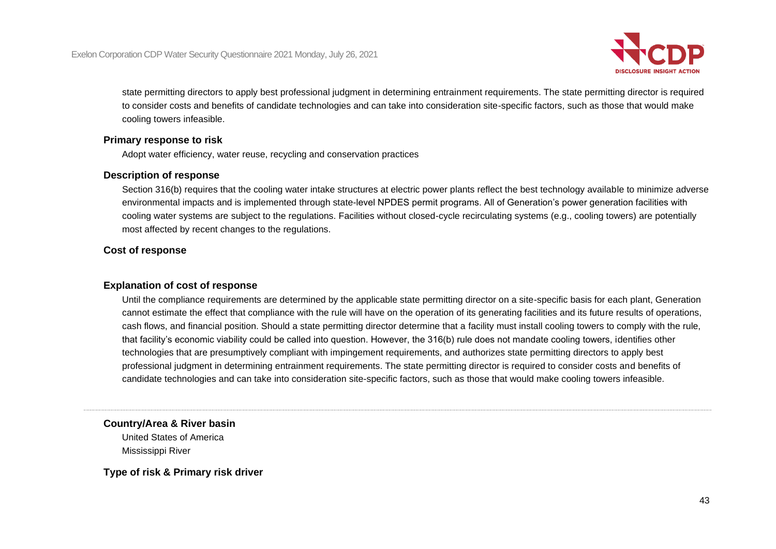

state permitting directors to apply best professional judgment in determining entrainment requirements. The state permitting director is required to consider costs and benefits of candidate technologies and can take into consideration site-specific factors, such as those that would make cooling towers infeasible.

## **Primary response to risk**

Adopt water efficiency, water reuse, recycling and conservation practices

#### **Description of response**

Section 316(b) requires that the cooling water intake structures at electric power plants reflect the best technology available to minimize adverse environmental impacts and is implemented through state-level NPDES permit programs. All of Generation's power generation facilities with cooling water systems are subject to the regulations. Facilities without closed-cycle recirculating systems (e.g., cooling towers) are potentially most affected by recent changes to the regulations.

## **Cost of response**

## **Explanation of cost of response**

Until the compliance requirements are determined by the applicable state permitting director on a site-specific basis for each plant, Generation cannot estimate the effect that compliance with the rule will have on the operation of its generating facilities and its future results of operations, cash flows, and financial position. Should a state permitting director determine that a facility must install cooling towers to comply with the rule, that facility's economic viability could be called into question. However, the 316(b) rule does not mandate cooling towers, identifies other technologies that are presumptively compliant with impingement requirements, and authorizes state permitting directors to apply best professional judgment in determining entrainment requirements. The state permitting director is required to consider costs and benefits of candidate technologies and can take into consideration site-specific factors, such as those that would make cooling towers infeasible.

## **Country/Area & River basin**

United States of America Mississippi River

**Type of risk & Primary risk driver**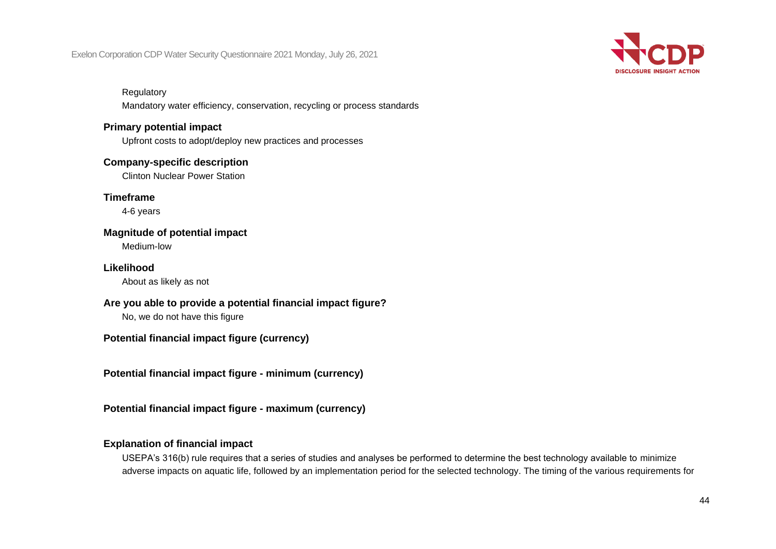

#### **Regulatory**

Mandatory water efficiency, conservation, recycling or process standards

## **Primary potential impact**

Upfront costs to adopt/deploy new practices and processes

## **Company-specific description**

Clinton Nuclear Power Station

**Timeframe**

4-6 years

# **Magnitude of potential impact**

Medium-low

## **Likelihood**

About as likely as not

## **Are you able to provide a potential financial impact figure?**

No, we do not have this figure

## **Potential financial impact figure (currency)**

**Potential financial impact figure - minimum (currency)**

**Potential financial impact figure - maximum (currency)**

## **Explanation of financial impact**

USEPA's 316(b) rule requires that a series of studies and analyses be performed to determine the best technology available to minimize adverse impacts on aquatic life, followed by an implementation period for the selected technology. The timing of the various requirements for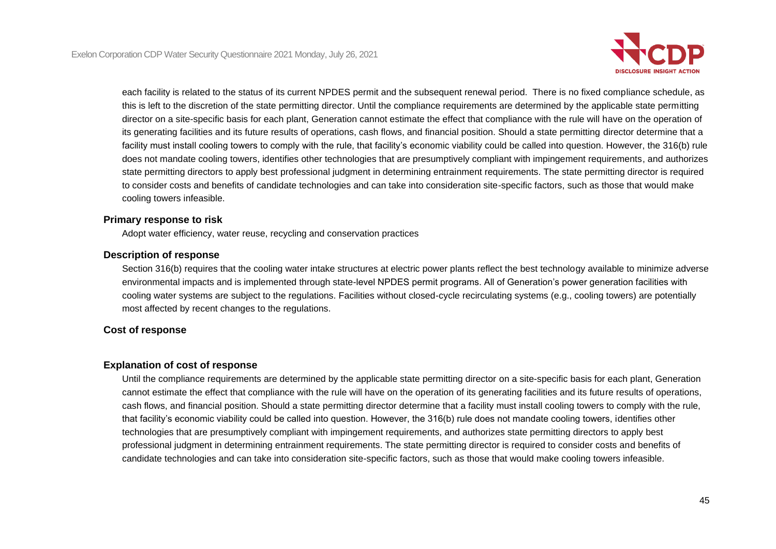

each facility is related to the status of its current NPDES permit and the subsequent renewal period. There is no fixed compliance schedule, as this is left to the discretion of the state permitting director. Until the compliance requirements are determined by the applicable state permitting director on a site-specific basis for each plant, Generation cannot estimate the effect that compliance with the rule will have on the operation of its generating facilities and its future results of operations, cash flows, and financial position. Should a state permitting director determine that a facility must install cooling towers to comply with the rule, that facility's economic viability could be called into question. However, the 316(b) rule does not mandate cooling towers, identifies other technologies that are presumptively compliant with impingement requirements, and authorizes state permitting directors to apply best professional judgment in determining entrainment requirements. The state permitting director is required to consider costs and benefits of candidate technologies and can take into consideration site-specific factors, such as those that would make cooling towers infeasible.

## **Primary response to risk**

Adopt water efficiency, water reuse, recycling and conservation practices

### **Description of response**

Section 316(b) requires that the cooling water intake structures at electric power plants reflect the best technology available to minimize adverse environmental impacts and is implemented through state-level NPDES permit programs. All of Generation's power generation facilities with cooling water systems are subject to the regulations. Facilities without closed-cycle recirculating systems (e.g., cooling towers) are potentially most affected by recent changes to the regulations.

## **Cost of response**

## **Explanation of cost of response**

Until the compliance requirements are determined by the applicable state permitting director on a site-specific basis for each plant, Generation cannot estimate the effect that compliance with the rule will have on the operation of its generating facilities and its future results of operations, cash flows, and financial position. Should a state permitting director determine that a facility must install cooling towers to comply with the rule, that facility's economic viability could be called into question. However, the 316(b) rule does not mandate cooling towers, identifies other technologies that are presumptively compliant with impingement requirements, and authorizes state permitting directors to apply best professional judgment in determining entrainment requirements. The state permitting director is required to consider costs and benefits of candidate technologies and can take into consideration site-specific factors, such as those that would make cooling towers infeasible.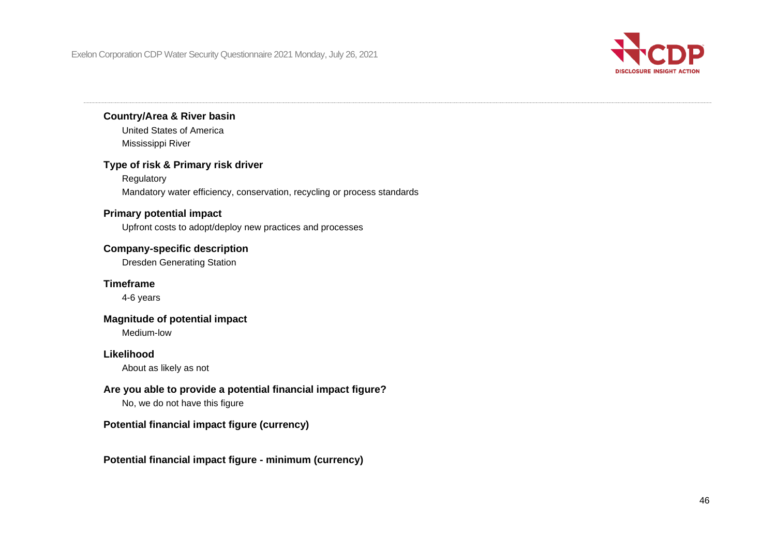

## **Country/Area & River basin**

United States of America Mississippi River

## **Type of risk & Primary risk driver**

Regulatory Mandatory water efficiency, conservation, recycling or process standards

## **Primary potential impact**

Upfront costs to adopt/deploy new practices and processes

## **Company-specific description**

Dresden Generating Station

## **Timeframe**

4-6 years

## **Magnitude of potential impact**

Medium-low

## **Likelihood**

About as likely as not

## **Are you able to provide a potential financial impact figure?**

No, we do not have this figure

## **Potential financial impact figure (currency)**

## **Potential financial impact figure - minimum (currency)**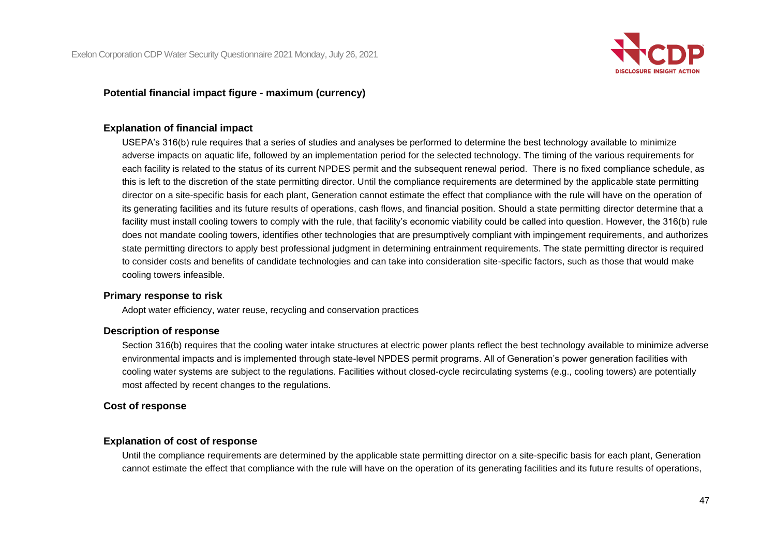

## **Potential financial impact figure - maximum (currency)**

## **Explanation of financial impact**

USEPA's 316(b) rule requires that a series of studies and analyses be performed to determine the best technology available to minimize adverse impacts on aquatic life, followed by an implementation period for the selected technology. The timing of the various requirements for each facility is related to the status of its current NPDES permit and the subsequent renewal period. There is no fixed compliance schedule, as this is left to the discretion of the state permitting director. Until the compliance requirements are determined by the applicable state permitting director on a site-specific basis for each plant, Generation cannot estimate the effect that compliance with the rule will have on the operation of its generating facilities and its future results of operations, cash flows, and financial position. Should a state permitting director determine that a facility must install cooling towers to comply with the rule, that facility's economic viability could be called into question. However, the 316(b) rule does not mandate cooling towers, identifies other technologies that are presumptively compliant with impingement requirements, and authorizes state permitting directors to apply best professional judgment in determining entrainment requirements. The state permitting director is required to consider costs and benefits of candidate technologies and can take into consideration site-specific factors, such as those that would make cooling towers infeasible.

#### **Primary response to risk**

Adopt water efficiency, water reuse, recycling and conservation practices

#### **Description of response**

Section 316(b) requires that the cooling water intake structures at electric power plants reflect the best technology available to minimize adverse environmental impacts and is implemented through state-level NPDES permit programs. All of Generation's power generation facilities with cooling water systems are subject to the regulations. Facilities without closed-cycle recirculating systems (e.g., cooling towers) are potentially most affected by recent changes to the regulations.

#### **Cost of response**

#### **Explanation of cost of response**

Until the compliance requirements are determined by the applicable state permitting director on a site-specific basis for each plant, Generation cannot estimate the effect that compliance with the rule will have on the operation of its generating facilities and its future results of operations,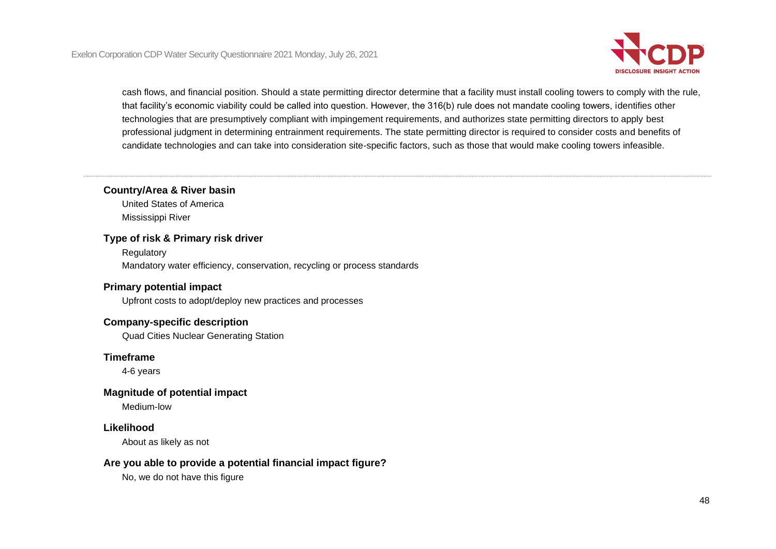

cash flows, and financial position. Should a state permitting director determine that a facility must install cooling towers to comply with the rule, that facility's economic viability could be called into question. However, the 316(b) rule does not mandate cooling towers, identifies other technologies that are presumptively compliant with impingement requirements, and authorizes state permitting directors to apply best professional judgment in determining entrainment requirements. The state permitting director is required to consider costs and benefits of candidate technologies and can take into consideration site-specific factors, such as those that would make cooling towers infeasible.

## **Country/Area & River basin**

United States of America Mississippi River

#### **Type of risk & Primary risk driver**

**Regulatory** Mandatory water efficiency, conservation, recycling or process standards

## **Primary potential impact**

Upfront costs to adopt/deploy new practices and processes

#### **Company-specific description**

Quad Cities Nuclear Generating Station

#### **Timeframe**

4-6 years

#### **Magnitude of potential impact**

Medium-low

#### **Likelihood**

About as likely as not

## **Are you able to provide a potential financial impact figure?**

No, we do not have this figure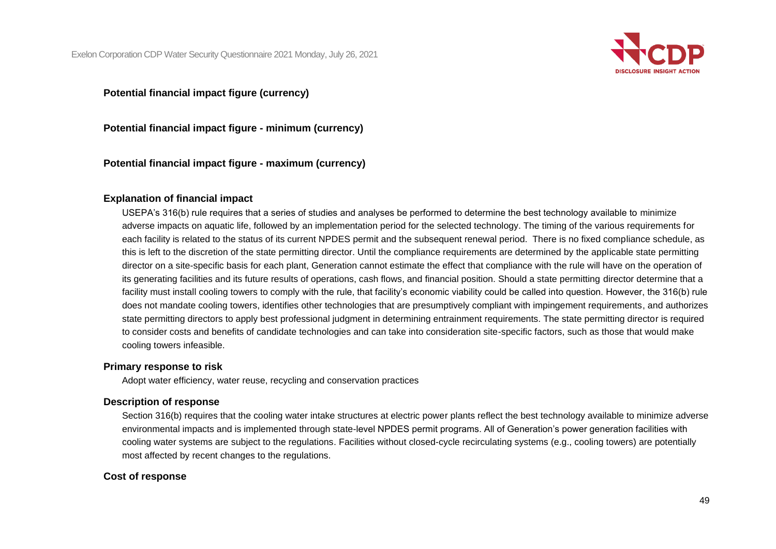

## **Potential financial impact figure (currency)**

**Potential financial impact figure - minimum (currency)**

**Potential financial impact figure - maximum (currency)**

## **Explanation of financial impact**

USEPA's 316(b) rule requires that a series of studies and analyses be performed to determine the best technology available to minimize adverse impacts on aquatic life, followed by an implementation period for the selected technology. The timing of the various requirements for each facility is related to the status of its current NPDES permit and the subsequent renewal period. There is no fixed compliance schedule, as this is left to the discretion of the state permitting director. Until the compliance requirements are determined by the applicable state permitting director on a site-specific basis for each plant, Generation cannot estimate the effect that compliance with the rule will have on the operation of its generating facilities and its future results of operations, cash flows, and financial position. Should a state permitting director determine that a facility must install cooling towers to comply with the rule, that facility's economic viability could be called into question. However, the 316(b) rule does not mandate cooling towers, identifies other technologies that are presumptively compliant with impingement requirements, and authorizes state permitting directors to apply best professional judgment in determining entrainment requirements. The state permitting director is required to consider costs and benefits of candidate technologies and can take into consideration site-specific factors, such as those that would make cooling towers infeasible.

## **Primary response to risk**

Adopt water efficiency, water reuse, recycling and conservation practices

## **Description of response**

Section 316(b) requires that the cooling water intake structures at electric power plants reflect the best technology available to minimize adverse environmental impacts and is implemented through state-level NPDES permit programs. All of Generation's power generation facilities with cooling water systems are subject to the regulations. Facilities without closed-cycle recirculating systems (e.g., cooling towers) are potentially most affected by recent changes to the regulations.

## **Cost of response**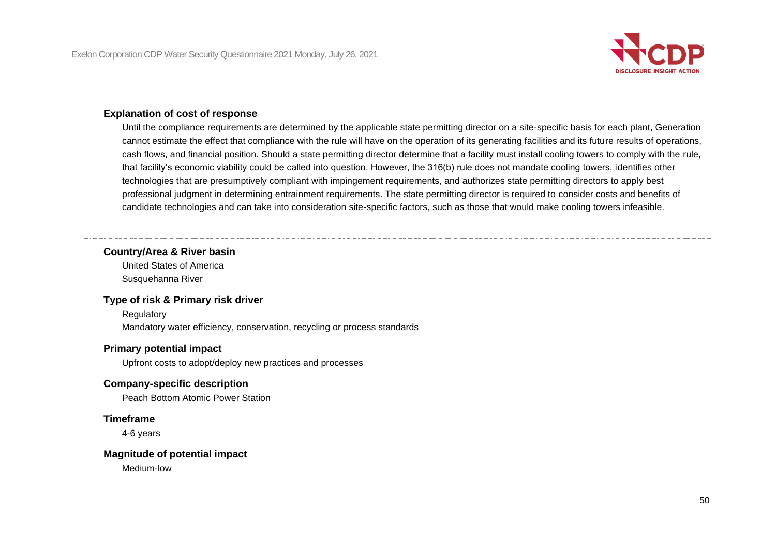

## **Explanation of cost of response**

Until the compliance requirements are determined by the applicable state permitting director on a site-specific basis for each plant, Generation cannot estimate the effect that compliance with the rule will have on the operation of its generating facilities and its future results of operations, cash flows, and financial position. Should a state permitting director determine that a facility must install cooling towers to comply with the rule, that facility's economic viability could be called into question. However, the 316(b) rule does not mandate cooling towers, identifies other technologies that are presumptively compliant with impingement requirements, and authorizes state permitting directors to apply best professional judgment in determining entrainment requirements. The state permitting director is required to consider costs and benefits of candidate technologies and can take into consideration site-specific factors, such as those that would make cooling towers infeasible.

## **Country/Area & River basin**

United States of America Susquehanna River

#### **Type of risk & Primary risk driver**

**Regulatory** Mandatory water efficiency, conservation, recycling or process standards

## **Primary potential impact**

Upfront costs to adopt/deploy new practices and processes

## **Company-specific description**

Peach Bottom Atomic Power Station

## **Timeframe**

4-6 years

#### **Magnitude of potential impact**

Medium-low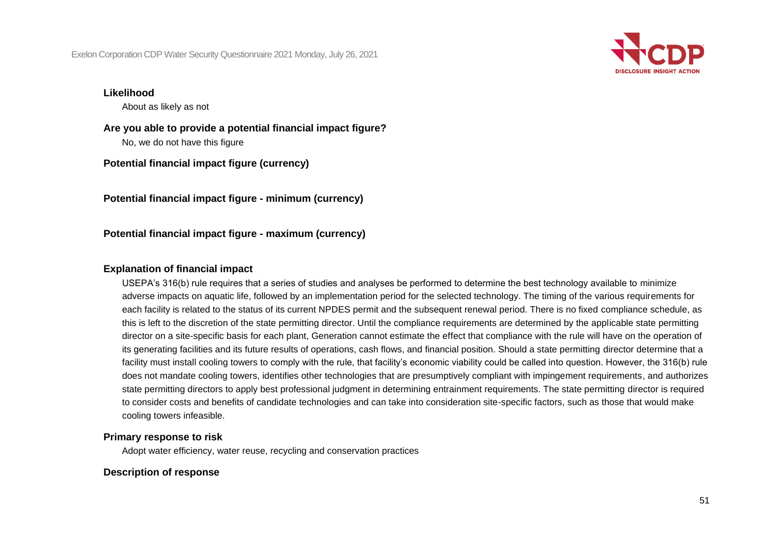

#### **Likelihood**

About as likely as not

**Are you able to provide a potential financial impact figure?** No, we do not have this figure

**Potential financial impact figure (currency)**

**Potential financial impact figure - minimum (currency)**

**Potential financial impact figure - maximum (currency)**

#### **Explanation of financial impact**

USEPA's 316(b) rule requires that a series of studies and analyses be performed to determine the best technology available to minimize adverse impacts on aquatic life, followed by an implementation period for the selected technology. The timing of the various requirements for each facility is related to the status of its current NPDES permit and the subsequent renewal period. There is no fixed compliance schedule, as this is left to the discretion of the state permitting director. Until the compliance requirements are determined by the applicable state permitting director on a site-specific basis for each plant, Generation cannot estimate the effect that compliance with the rule will have on the operation of its generating facilities and its future results of operations, cash flows, and financial position. Should a state permitting director determine that a facility must install cooling towers to comply with the rule, that facility's economic viability could be called into question. However, the 316(b) rule does not mandate cooling towers, identifies other technologies that are presumptively compliant with impingement requirements, and authorizes state permitting directors to apply best professional judgment in determining entrainment requirements. The state permitting director is required to consider costs and benefits of candidate technologies and can take into consideration site-specific factors, such as those that would make cooling towers infeasible.

#### **Primary response to risk**

Adopt water efficiency, water reuse, recycling and conservation practices

#### **Description of response**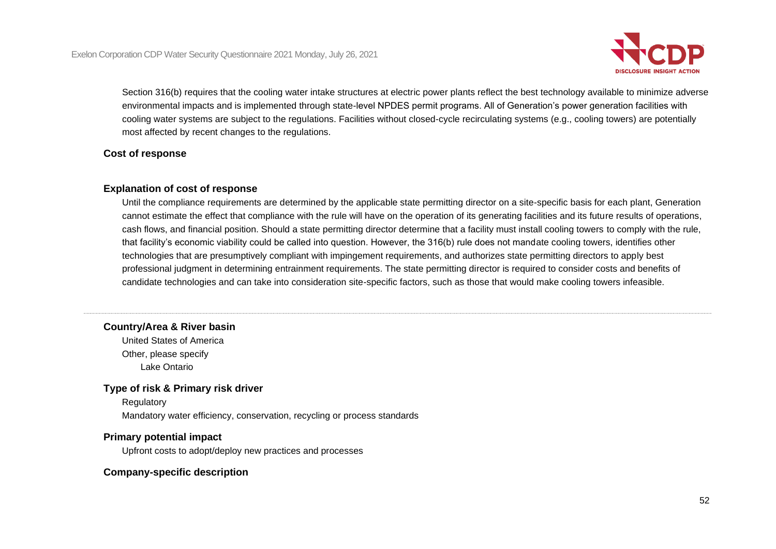

Section 316(b) requires that the cooling water intake structures at electric power plants reflect the best technology available to minimize adverse environmental impacts and is implemented through state-level NPDES permit programs. All of Generation's power generation facilities with cooling water systems are subject to the regulations. Facilities without closed-cycle recirculating systems (e.g., cooling towers) are potentially most affected by recent changes to the regulations.

### **Cost of response**

## **Explanation of cost of response**

Until the compliance requirements are determined by the applicable state permitting director on a site-specific basis for each plant, Generation cannot estimate the effect that compliance with the rule will have on the operation of its generating facilities and its future results of operations, cash flows, and financial position. Should a state permitting director determine that a facility must install cooling towers to comply with the rule, that facility's economic viability could be called into question. However, the 316(b) rule does not mandate cooling towers, identifies other technologies that are presumptively compliant with impingement requirements, and authorizes state permitting directors to apply best professional judgment in determining entrainment requirements. The state permitting director is required to consider costs and benefits of candidate technologies and can take into consideration site-specific factors, such as those that would make cooling towers infeasible.

## **Country/Area & River basin**

United States of America Other, please specify Lake Ontario

## **Type of risk & Primary risk driver**

**Regulatory** Mandatory water efficiency, conservation, recycling or process standards

## **Primary potential impact**

Upfront costs to adopt/deploy new practices and processes

## **Company-specific description**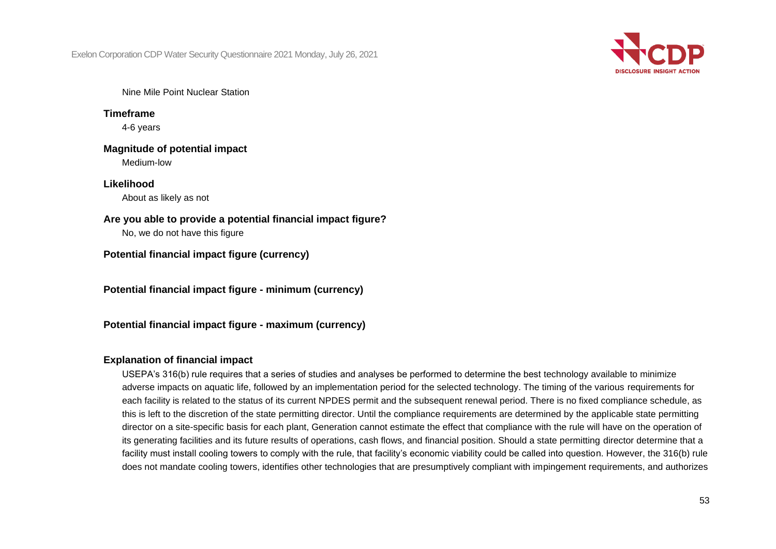

Nine Mile Point Nuclear Station

**Timeframe** 4-6 years

**Magnitude of potential impact** Medium-low

**Likelihood** About as likely as not

**Are you able to provide a potential financial impact figure?**

No, we do not have this figure

**Potential financial impact figure (currency)**

**Potential financial impact figure - minimum (currency)**

**Potential financial impact figure - maximum (currency)**

## **Explanation of financial impact**

USEPA's 316(b) rule requires that a series of studies and analyses be performed to determine the best technology available to minimize adverse impacts on aquatic life, followed by an implementation period for the selected technology. The timing of the various requirements for each facility is related to the status of its current NPDES permit and the subsequent renewal period. There is no fixed compliance schedule, as this is left to the discretion of the state permitting director. Until the compliance requirements are determined by the applicable state permitting director on a site-specific basis for each plant, Generation cannot estimate the effect that compliance with the rule will have on the operation of its generating facilities and its future results of operations, cash flows, and financial position. Should a state permitting director determine that a facility must install cooling towers to comply with the rule, that facility's economic viability could be called into question. However, the 316(b) rule does not mandate cooling towers, identifies other technologies that are presumptively compliant with impingement requirements, and authorizes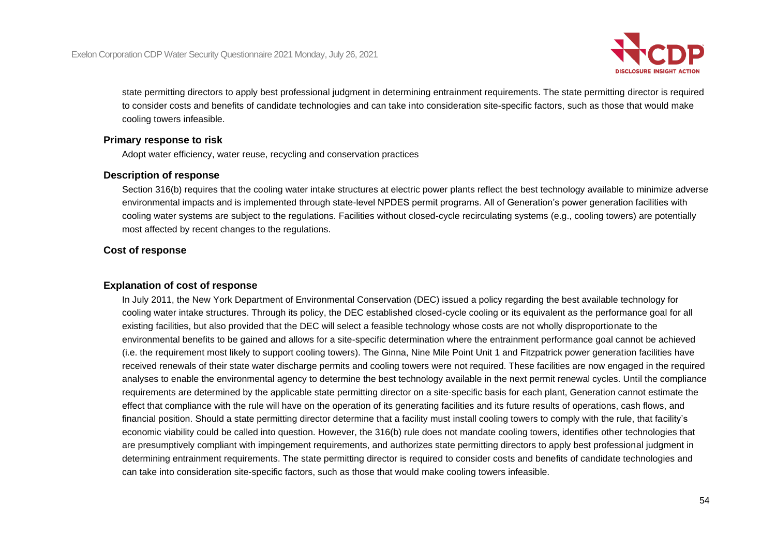

state permitting directors to apply best professional judgment in determining entrainment requirements. The state permitting director is required to consider costs and benefits of candidate technologies and can take into consideration site-specific factors, such as those that would make cooling towers infeasible.

### **Primary response to risk**

Adopt water efficiency, water reuse, recycling and conservation practices

#### **Description of response**

Section 316(b) requires that the cooling water intake structures at electric power plants reflect the best technology available to minimize adverse environmental impacts and is implemented through state-level NPDES permit programs. All of Generation's power generation facilities with cooling water systems are subject to the regulations. Facilities without closed-cycle recirculating systems (e.g., cooling towers) are potentially most affected by recent changes to the regulations.

## **Cost of response**

## **Explanation of cost of response**

In July 2011, the New York Department of Environmental Conservation (DEC) issued a policy regarding the best available technology for cooling water intake structures. Through its policy, the DEC established closed-cycle cooling or its equivalent as the performance goal for all existing facilities, but also provided that the DEC will select a feasible technology whose costs are not wholly disproportionate to the environmental benefits to be gained and allows for a site-specific determination where the entrainment performance goal cannot be achieved (i.e. the requirement most likely to support cooling towers). The Ginna, Nine Mile Point Unit 1 and Fitzpatrick power generation facilities have received renewals of their state water discharge permits and cooling towers were not required. These facilities are now engaged in the required analyses to enable the environmental agency to determine the best technology available in the next permit renewal cycles. Until the compliance requirements are determined by the applicable state permitting director on a site-specific basis for each plant, Generation cannot estimate the effect that compliance with the rule will have on the operation of its generating facilities and its future results of operations, cash flows, and financial position. Should a state permitting director determine that a facility must install cooling towers to comply with the rule, that facility's economic viability could be called into question. However, the 316(b) rule does not mandate cooling towers, identifies other technologies that are presumptively compliant with impingement requirements, and authorizes state permitting directors to apply best professional judgment in determining entrainment requirements. The state permitting director is required to consider costs and benefits of candidate technologies and can take into consideration site-specific factors, such as those that would make cooling towers infeasible.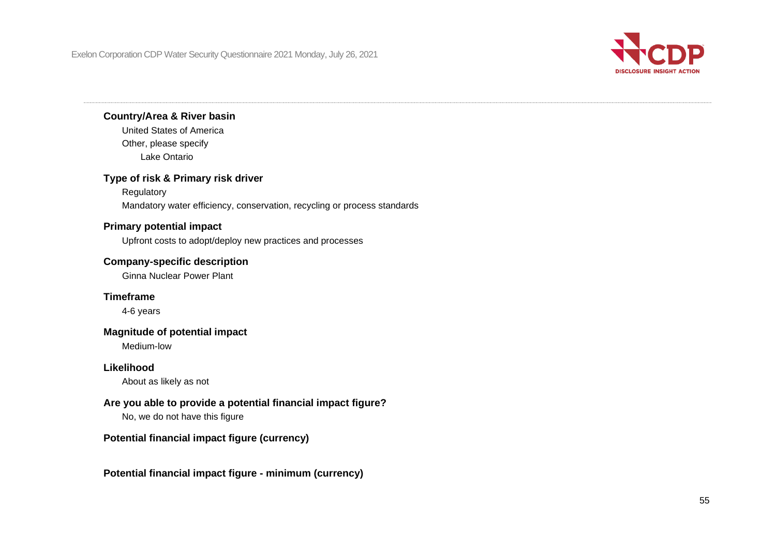

## **Country/Area & River basin**

United States of America Other, please specify Lake Ontario

## **Type of risk & Primary risk driver**

Regulatory Mandatory water efficiency, conservation, recycling or process standards

## **Primary potential impact**

Upfront costs to adopt/deploy new practices and processes

## **Company-specific description**

Ginna Nuclear Power Plant

## **Timeframe**

4-6 years

## **Magnitude of potential impact**

Medium-low

## **Likelihood**

About as likely as not

## **Are you able to provide a potential financial impact figure?**

No, we do not have this figure

## **Potential financial impact figure (currency)**

#### **Potential financial impact figure - minimum (currency)**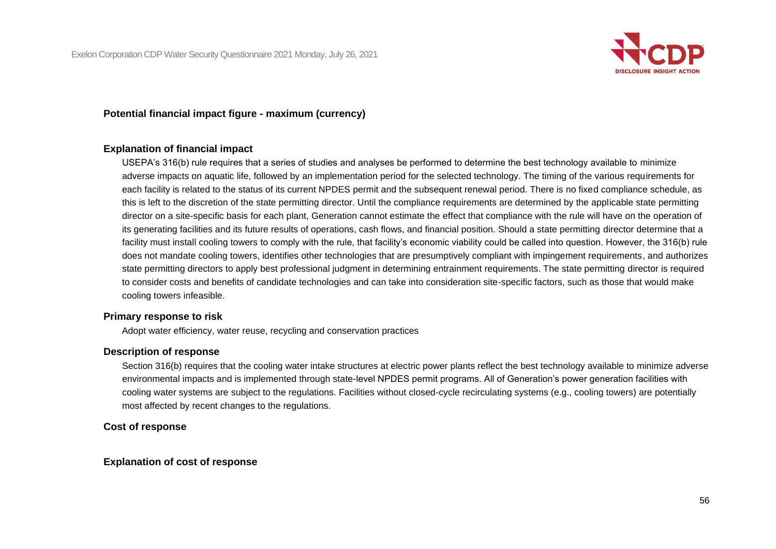

### **Potential financial impact figure - maximum (currency)**

#### **Explanation of financial impact**

USEPA's 316(b) rule requires that a series of studies and analyses be performed to determine the best technology available to minimize adverse impacts on aquatic life, followed by an implementation period for the selected technology. The timing of the various requirements for each facility is related to the status of its current NPDES permit and the subsequent renewal period. There is no fixed compliance schedule, as this is left to the discretion of the state permitting director. Until the compliance requirements are determined by the applicable state permitting director on a site-specific basis for each plant, Generation cannot estimate the effect that compliance with the rule will have on the operation of its generating facilities and its future results of operations, cash flows, and financial position. Should a state permitting director determine that a facility must install cooling towers to comply with the rule, that facility's economic viability could be called into question. However, the 316(b) rule does not mandate cooling towers, identifies other technologies that are presumptively compliant with impingement requirements, and authorizes state permitting directors to apply best professional judgment in determining entrainment requirements. The state permitting director is required to consider costs and benefits of candidate technologies and can take into consideration site-specific factors, such as those that would make cooling towers infeasible.

## **Primary response to risk**

Adopt water efficiency, water reuse, recycling and conservation practices

#### **Description of response**

Section 316(b) requires that the cooling water intake structures at electric power plants reflect the best technology available to minimize adverse environmental impacts and is implemented through state-level NPDES permit programs. All of Generation's power generation facilities with cooling water systems are subject to the regulations. Facilities without closed-cycle recirculating systems (e.g., cooling towers) are potentially most affected by recent changes to the regulations.

#### **Cost of response**

#### **Explanation of cost of response**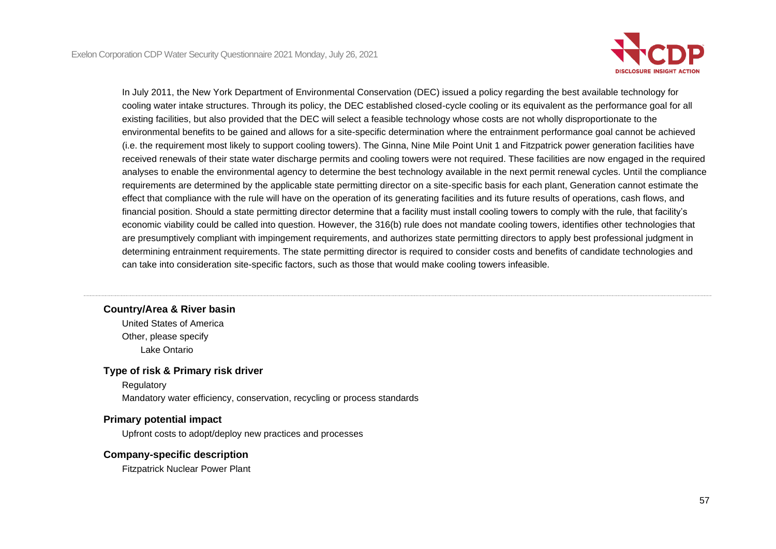

In July 2011, the New York Department of Environmental Conservation (DEC) issued a policy regarding the best available technology for cooling water intake structures. Through its policy, the DEC established closed-cycle cooling or its equivalent as the performance goal for all existing facilities, but also provided that the DEC will select a feasible technology whose costs are not wholly disproportionate to the environmental benefits to be gained and allows for a site-specific determination where the entrainment performance goal cannot be achieved (i.e. the requirement most likely to support cooling towers). The Ginna, Nine Mile Point Unit 1 and Fitzpatrick power generation facilities have received renewals of their state water discharge permits and cooling towers were not required. These facilities are now engaged in the required analyses to enable the environmental agency to determine the best technology available in the next permit renewal cycles. Until the compliance requirements are determined by the applicable state permitting director on a site-specific basis for each plant, Generation cannot estimate the effect that compliance with the rule will have on the operation of its generating facilities and its future results of operations, cash flows, and financial position. Should a state permitting director determine that a facility must install cooling towers to comply with the rule, that facility's economic viability could be called into question. However, the 316(b) rule does not mandate cooling towers, identifies other technologies that are presumptively compliant with impingement requirements, and authorizes state permitting directors to apply best professional judgment in determining entrainment requirements. The state permitting director is required to consider costs and benefits of candidate technologies and can take into consideration site-specific factors, such as those that would make cooling towers infeasible.

#### **Country/Area & River basin**

United States of America Other, please specify Lake Ontario

#### **Type of risk & Primary risk driver**

Regulatory Mandatory water efficiency, conservation, recycling or process standards

#### **Primary potential impact**

Upfront costs to adopt/deploy new practices and processes

#### **Company-specific description**

Fitzpatrick Nuclear Power Plant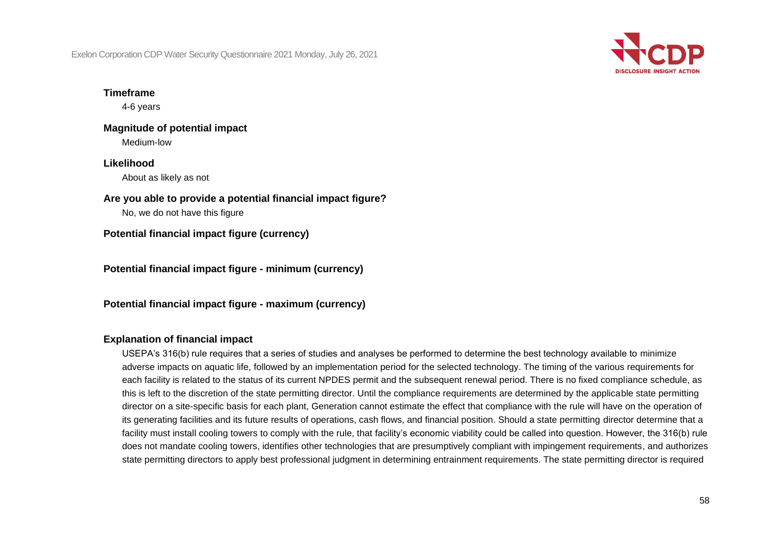

## **Timeframe**

4-6 years

#### **Magnitude of potential impact** Medium-low

## **Likelihood**

About as likely as not

## **Are you able to provide a potential financial impact figure?**

No, we do not have this figure

**Potential financial impact figure (currency)**

**Potential financial impact figure - minimum (currency)**

**Potential financial impact figure - maximum (currency)**

## **Explanation of financial impact**

USEPA's 316(b) rule requires that a series of studies and analyses be performed to determine the best technology available to minimize adverse impacts on aquatic life, followed by an implementation period for the selected technology. The timing of the various requirements for each facility is related to the status of its current NPDES permit and the subsequent renewal period. There is no fixed compliance schedule, as this is left to the discretion of the state permitting director. Until the compliance requirements are determined by the applicable state permitting director on a site-specific basis for each plant, Generation cannot estimate the effect that compliance with the rule will have on the operation of its generating facilities and its future results of operations, cash flows, and financial position. Should a state permitting director determine that a facility must install cooling towers to comply with the rule, that facility's economic viability could be called into question. However, the 316(b) rule does not mandate cooling towers, identifies other technologies that are presumptively compliant with impingement requirements, and authorizes state permitting directors to apply best professional judgment in determining entrainment requirements. The state permitting director is required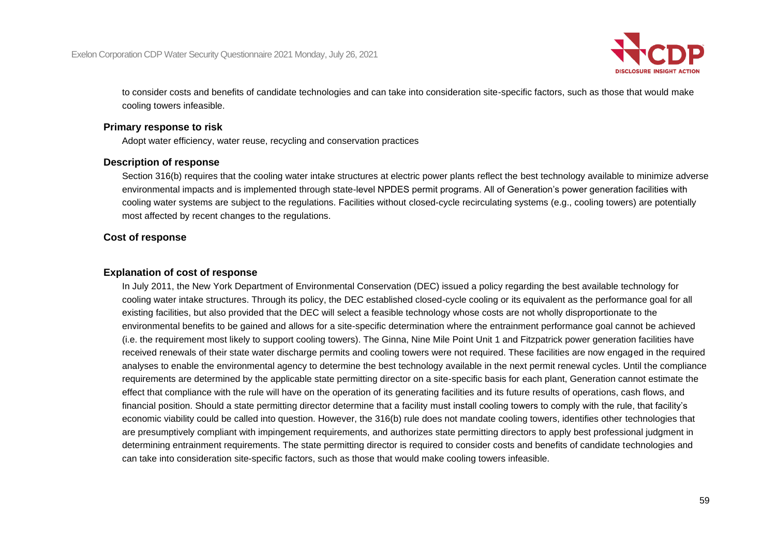

to consider costs and benefits of candidate technologies and can take into consideration site-specific factors, such as those that would make cooling towers infeasible.

## **Primary response to risk**

Adopt water efficiency, water reuse, recycling and conservation practices

## **Description of response**

Section 316(b) requires that the cooling water intake structures at electric power plants reflect the best technology available to minimize adverse environmental impacts and is implemented through state-level NPDES permit programs. All of Generation's power generation facilities with cooling water systems are subject to the regulations. Facilities without closed-cycle recirculating systems (e.g., cooling towers) are potentially most affected by recent changes to the regulations.

## **Cost of response**

## **Explanation of cost of response**

In July 2011, the New York Department of Environmental Conservation (DEC) issued a policy regarding the best available technology for cooling water intake structures. Through its policy, the DEC established closed-cycle cooling or its equivalent as the performance goal for all existing facilities, but also provided that the DEC will select a feasible technology whose costs are not wholly disproportionate to the environmental benefits to be gained and allows for a site-specific determination where the entrainment performance goal cannot be achieved (i.e. the requirement most likely to support cooling towers). The Ginna, Nine Mile Point Unit 1 and Fitzpatrick power generation facilities have received renewals of their state water discharge permits and cooling towers were not required. These facilities are now engaged in the required analyses to enable the environmental agency to determine the best technology available in the next permit renewal cycles. Until the compliance requirements are determined by the applicable state permitting director on a site-specific basis for each plant, Generation cannot estimate the effect that compliance with the rule will have on the operation of its generating facilities and its future results of operations, cash flows, and financial position. Should a state permitting director determine that a facility must install cooling towers to comply with the rule, that facility's economic viability could be called into question. However, the 316(b) rule does not mandate cooling towers, identifies other technologies that are presumptively compliant with impingement requirements, and authorizes state permitting directors to apply best professional judgment in determining entrainment requirements. The state permitting director is required to consider costs and benefits of candidate technologies and can take into consideration site-specific factors, such as those that would make cooling towers infeasible.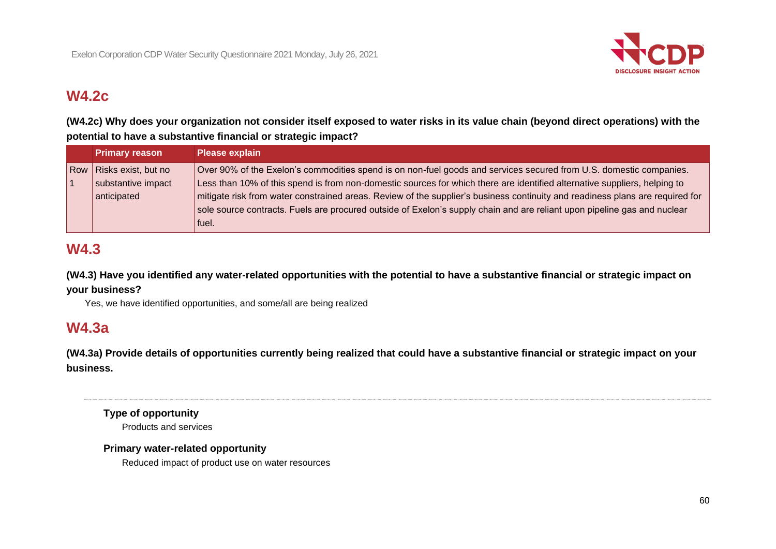

# **W4.2c**

**(W4.2c) Why does your organization not consider itself exposed to water risks in its value chain (beyond direct operations) with the potential to have a substantive financial or strategic impact?**

| <b>Primary reason</b>   | <b>Please explain</b>                                                                                                         |
|-------------------------|-------------------------------------------------------------------------------------------------------------------------------|
| Row Risks exist, but no | Over 90% of the Exelon's commodities spend is on non-fuel goods and services secured from U.S. domestic companies.            |
| substantive impact      | Less than 10% of this spend is from non-domestic sources for which there are identified alternative suppliers, helping to     |
| anticipated             | mitigate risk from water constrained areas. Review of the supplier's business continuity and readiness plans are required for |
|                         | sole source contracts. Fuels are procured outside of Exelon's supply chain and are reliant upon pipeline gas and nuclear      |
|                         | fuel.                                                                                                                         |

# **W4.3**

**(W4.3) Have you identified any water-related opportunities with the potential to have a substantive financial or strategic impact on your business?**

Yes, we have identified opportunities, and some/all are being realized

## **W4.3a**

**(W4.3a) Provide details of opportunities currently being realized that could have a substantive financial or strategic impact on your business.**

**Type of opportunity** Products and services

## **Primary water-related opportunity**

Reduced impact of product use on water resources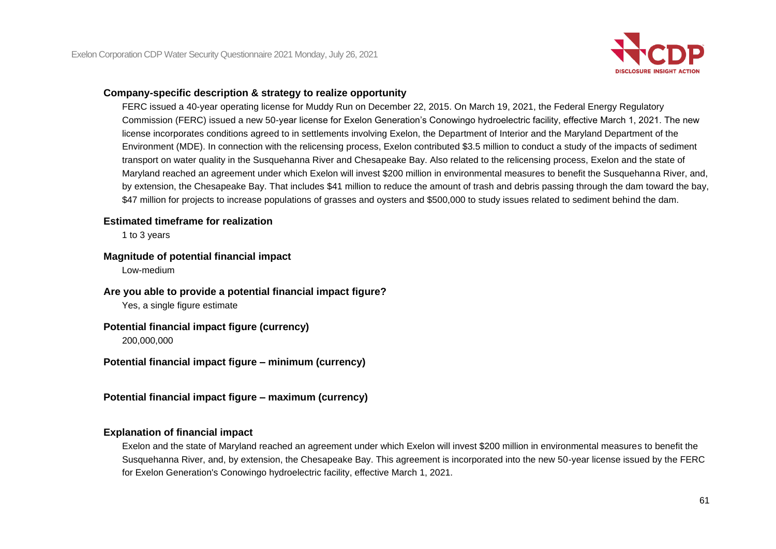

## **Company-specific description & strategy to realize opportunity**

FERC issued a 40-year operating license for Muddy Run on December 22, 2015. On March 19, 2021, the Federal Energy Regulatory Commission (FERC) issued a new 50-year license for Exelon Generation's Conowingo hydroelectric facility, effective March 1, 2021. The new license incorporates conditions agreed to in settlements involving Exelon, the Department of Interior and the Maryland Department of the Environment (MDE). In connection with the relicensing process, Exelon contributed \$3.5 million to conduct a study of the impacts of sediment transport on water quality in the Susquehanna River and Chesapeake Bay. Also related to the relicensing process, Exelon and the state of Maryland reached an agreement under which Exelon will invest \$200 million in environmental measures to benefit the Susquehanna River, and, by extension, the Chesapeake Bay. That includes \$41 million to reduce the amount of trash and debris passing through the dam toward the bay, \$47 million for projects to increase populations of grasses and oysters and \$500,000 to study issues related to sediment behind the dam.

#### **Estimated timeframe for realization**

1 to 3 years

#### **Magnitude of potential financial impact**

Low-medium

**Are you able to provide a potential financial impact figure?**

Yes, a single figure estimate

#### **Potential financial impact figure (currency)**

200,000,000

**Potential financial impact figure – minimum (currency)**

**Potential financial impact figure – maximum (currency)**

## **Explanation of financial impact**

Exelon and the state of Maryland reached an agreement under which Exelon will invest \$200 million in environmental measures to benefit the Susquehanna River, and, by extension, the Chesapeake Bay. This agreement is incorporated into the new 50-year license issued by the FERC for Exelon Generation's Conowingo hydroelectric facility, effective March 1, 2021.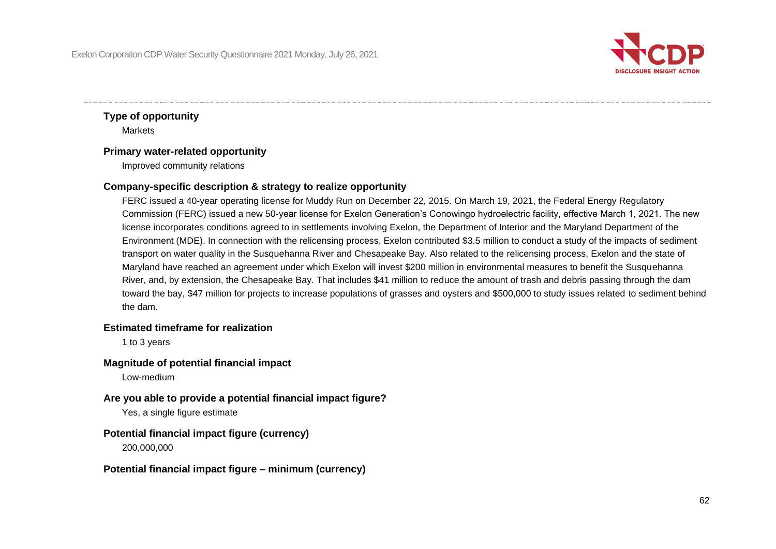

## **Type of opportunity Markets**

## **Primary water-related opportunity**

Improved community relations

## **Company-specific description & strategy to realize opportunity**

FERC issued a 40-year operating license for Muddy Run on December 22, 2015. On March 19, 2021, the Federal Energy Regulatory Commission (FERC) issued a new 50-year license for Exelon Generation's Conowingo hydroelectric facility, effective March 1, 2021. The new license incorporates conditions agreed to in settlements involving Exelon, the Department of Interior and the Maryland Department of the Environment (MDE). In connection with the relicensing process, Exelon contributed \$3.5 million to conduct a study of the impacts of sediment transport on water quality in the Susquehanna River and Chesapeake Bay. Also related to the relicensing process, Exelon and the state of Maryland have reached an agreement under which Exelon will invest \$200 million in environmental measures to benefit the Susquehanna River, and, by extension, the Chesapeake Bay. That includes \$41 million to reduce the amount of trash and debris passing through the dam toward the bay, \$47 million for projects to increase populations of grasses and oysters and \$500,000 to study issues related to sediment behind the dam.

## **Estimated timeframe for realization**

1 to 3 years

## **Magnitude of potential financial impact**

Low-medium

## **Are you able to provide a potential financial impact figure?**

Yes, a single figure estimate

## **Potential financial impact figure (currency)**

200,000,000

## **Potential financial impact figure – minimum (currency)**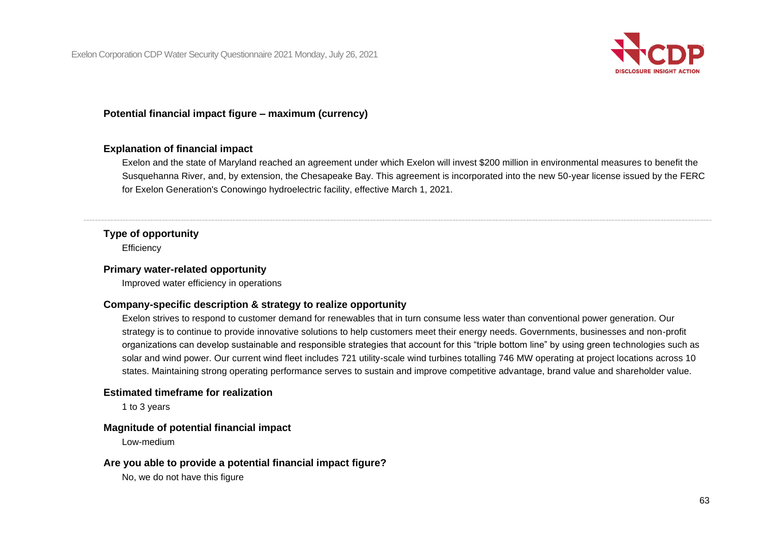

## **Potential financial impact figure – maximum (currency)**

#### **Explanation of financial impact**

Exelon and the state of Maryland reached an agreement under which Exelon will invest \$200 million in environmental measures to benefit the Susquehanna River, and, by extension, the Chesapeake Bay. This agreement is incorporated into the new 50-year license issued by the FERC for Exelon Generation's Conowingo hydroelectric facility, effective March 1, 2021.

## **Type of opportunity**

**Efficiency** 

#### **Primary water-related opportunity**

Improved water efficiency in operations

#### **Company-specific description & strategy to realize opportunity**

Exelon strives to respond to customer demand for renewables that in turn consume less water than conventional power generation. Our strategy is to continue to provide innovative solutions to help customers meet their energy needs. Governments, businesses and non-profit organizations can develop sustainable and responsible strategies that account for this "triple bottom line" by using green technologies such as solar and wind power. Our current wind fleet includes 721 utility-scale wind turbines totalling 746 MW operating at project locations across 10 states. Maintaining strong operating performance serves to sustain and improve competitive advantage, brand value and shareholder value.

#### **Estimated timeframe for realization**

1 to 3 years

#### **Magnitude of potential financial impact**

Low-medium

#### **Are you able to provide a potential financial impact figure?**

No, we do not have this figure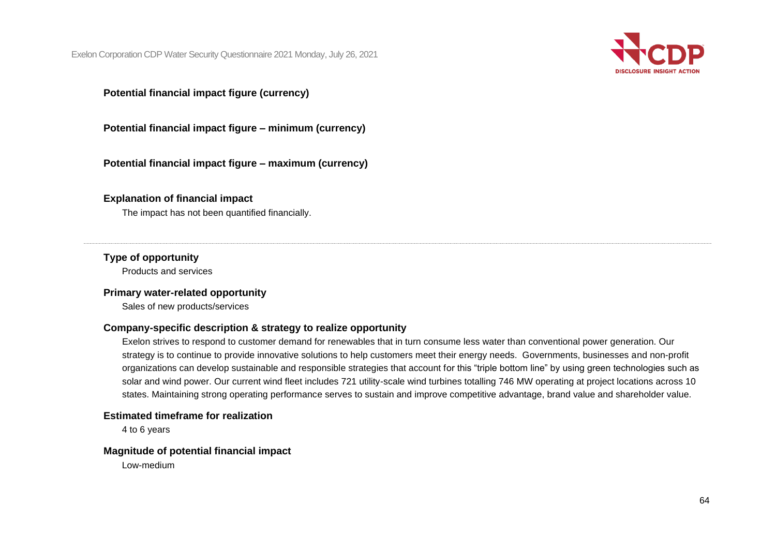

## **Potential financial impact figure (currency)**

**Potential financial impact figure – minimum (currency)**

**Potential financial impact figure – maximum (currency)**

#### **Explanation of financial impact**

The impact has not been quantified financially.

## **Type of opportunity**

Products and services

#### **Primary water-related opportunity**

Sales of new products/services

#### **Company-specific description & strategy to realize opportunity**

Exelon strives to respond to customer demand for renewables that in turn consume less water than conventional power generation. Our strategy is to continue to provide innovative solutions to help customers meet their energy needs. Governments, businesses and non-profit organizations can develop sustainable and responsible strategies that account for this "triple bottom line" by using green technologies such as solar and wind power. Our current wind fleet includes 721 utility-scale wind turbines totalling 746 MW operating at project locations across 10 states. Maintaining strong operating performance serves to sustain and improve competitive advantage, brand value and shareholder value.

## **Estimated timeframe for realization**

4 to 6 years

#### **Magnitude of potential financial impact**

Low-medium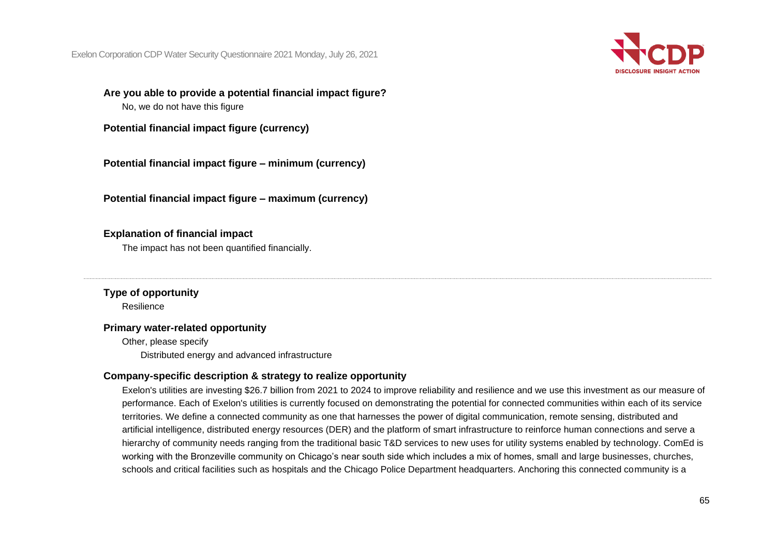

**Are you able to provide a potential financial impact figure?** No, we do not have this figure

**Potential financial impact figure (currency)**

**Potential financial impact figure – minimum (currency)**

**Potential financial impact figure – maximum (currency)**

## **Explanation of financial impact**

The impact has not been quantified financially.

**Type of opportunity** Resilience

## **Primary water-related opportunity**

Other, please specify Distributed energy and advanced infrastructure

## **Company-specific description & strategy to realize opportunity**

Exelon's utilities are investing \$26.7 billion from 2021 to 2024 to improve reliability and resilience and we use this investment as our measure of performance. Each of Exelon's utilities is currently focused on demonstrating the potential for connected communities within each of its service territories. We define a connected community as one that harnesses the power of digital communication, remote sensing, distributed and artificial intelligence, distributed energy resources (DER) and the platform of smart infrastructure to reinforce human connections and serve a hierarchy of community needs ranging from the traditional basic T&D services to new uses for utility systems enabled by technology. ComEd is working with the Bronzeville community on Chicago's near south side which includes a mix of homes, small and large businesses, churches, schools and critical facilities such as hospitals and the Chicago Police Department headquarters. Anchoring this connected community is a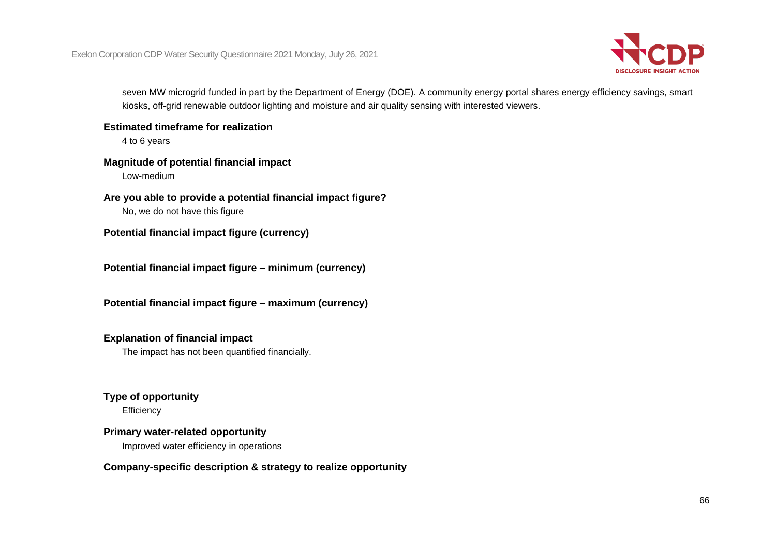

seven MW microgrid funded in part by the Department of Energy (DOE). A community energy portal shares energy efficiency savings, smart kiosks, off-grid renewable outdoor lighting and moisture and air quality sensing with interested viewers.

**Estimated timeframe for realization**

4 to 6 years

## **Magnitude of potential financial impact**

Low-medium

**Are you able to provide a potential financial impact figure?** No, we do not have this figure

**Potential financial impact figure (currency)**

**Potential financial impact figure – minimum (currency)**

**Potential financial impact figure – maximum (currency)**

## **Explanation of financial impact**

The impact has not been quantified financially.

## **Type of opportunity**

**Efficiency** 

## **Primary water-related opportunity**

Improved water efficiency in operations

## **Company-specific description & strategy to realize opportunity**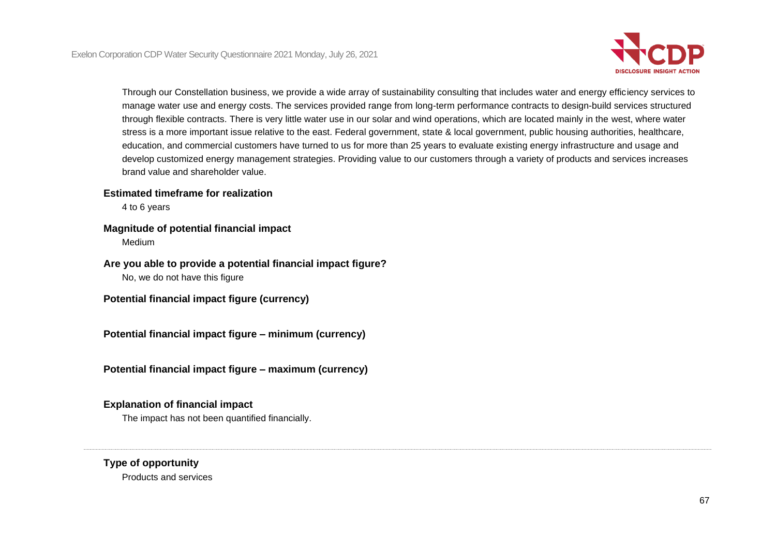

Through our Constellation business, we provide a wide array of sustainability consulting that includes water and energy efficiency services to manage water use and energy costs. The services provided range from long-term performance contracts to design-build services structured through flexible contracts. There is very little water use in our solar and wind operations, which are located mainly in the west, where water stress is a more important issue relative to the east. Federal government, state & local government, public housing authorities, healthcare, education, and commercial customers have turned to us for more than 25 years to evaluate existing energy infrastructure and usage and develop customized energy management strategies. Providing value to our customers through a variety of products and services increases brand value and shareholder value.

### **Estimated timeframe for realization**

4 to 6 years

### **Magnitude of potential financial impact**

Medium

## **Are you able to provide a potential financial impact figure?** No, we do not have this figure

**Potential financial impact figure (currency)**

**Potential financial impact figure – minimum (currency)**

**Potential financial impact figure – maximum (currency)**

## **Explanation of financial impact**

The impact has not been quantified financially.

## **Type of opportunity**

Products and services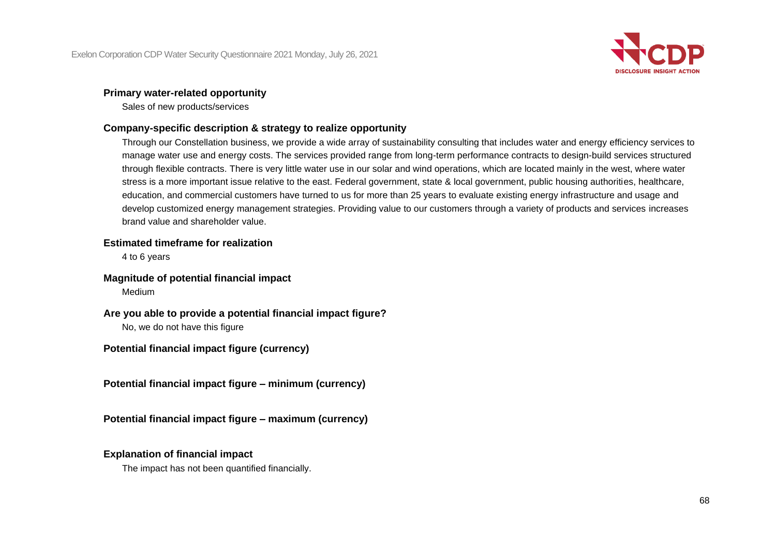

## **Primary water-related opportunity**

Sales of new products/services

## **Company-specific description & strategy to realize opportunity**

Through our Constellation business, we provide a wide array of sustainability consulting that includes water and energy efficiency services to manage water use and energy costs. The services provided range from long-term performance contracts to design-build services structured through flexible contracts. There is very little water use in our solar and wind operations, which are located mainly in the west, where water stress is a more important issue relative to the east. Federal government, state & local government, public housing authorities, healthcare, education, and commercial customers have turned to us for more than 25 years to evaluate existing energy infrastructure and usage and develop customized energy management strategies. Providing value to our customers through a variety of products and services increases brand value and shareholder value.

## **Estimated timeframe for realization**

4 to 6 years

## **Magnitude of potential financial impact**

Medium

## **Are you able to provide a potential financial impact figure?**

No, we do not have this figure

## **Potential financial impact figure (currency)**

**Potential financial impact figure – minimum (currency)**

**Potential financial impact figure – maximum (currency)**

#### **Explanation of financial impact**

The impact has not been quantified financially.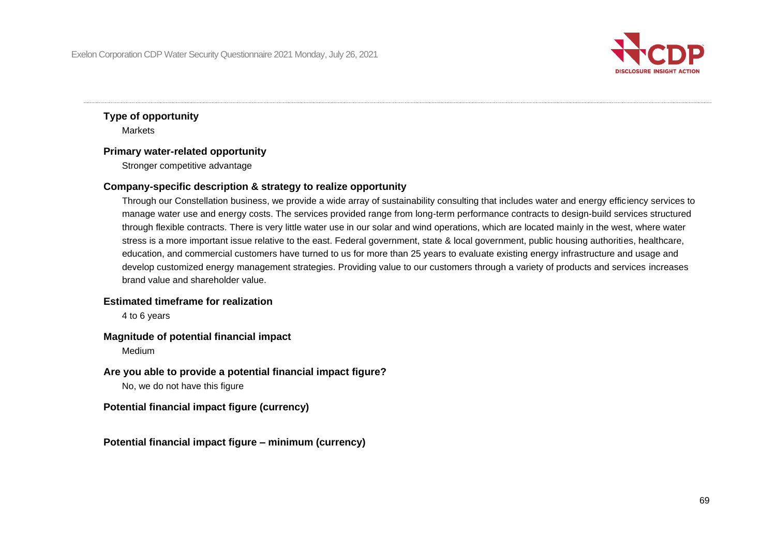

## **Type of opportunity Markets**

#### **Primary water-related opportunity**

Stronger competitive advantage

### **Company-specific description & strategy to realize opportunity**

Through our Constellation business, we provide a wide array of sustainability consulting that includes water and energy efficiency services to manage water use and energy costs. The services provided range from long-term performance contracts to design-build services structured through flexible contracts. There is very little water use in our solar and wind operations, which are located mainly in the west, where water stress is a more important issue relative to the east. Federal government, state & local government, public housing authorities, healthcare, education, and commercial customers have turned to us for more than 25 years to evaluate existing energy infrastructure and usage and develop customized energy management strategies. Providing value to our customers through a variety of products and services increases brand value and shareholder value.

#### **Estimated timeframe for realization**

4 to 6 years

#### **Magnitude of potential financial impact**

Medium

## **Are you able to provide a potential financial impact figure?**

No, we do not have this figure

#### **Potential financial impact figure (currency)**

**Potential financial impact figure – minimum (currency)**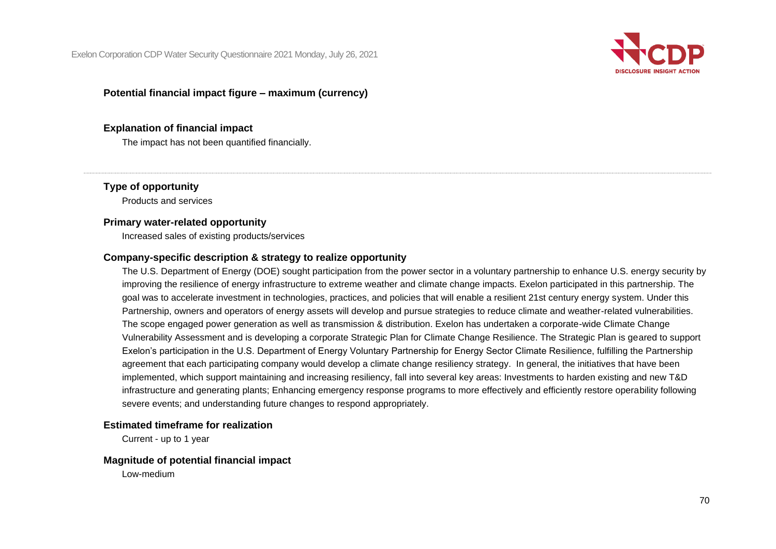

### **Potential financial impact figure – maximum (currency)**

#### **Explanation of financial impact**

The impact has not been quantified financially.

### **Type of opportunity**

Products and services

### **Primary water-related opportunity**

Increased sales of existing products/services

## **Company-specific description & strategy to realize opportunity**

The U.S. Department of Energy (DOE) sought participation from the power sector in a voluntary partnership to enhance U.S. energy security by improving the resilience of energy infrastructure to extreme weather and climate change impacts. Exelon participated in this partnership. The goal was to accelerate investment in technologies, practices, and policies that will enable a resilient 21st century energy system. Under this Partnership, owners and operators of energy assets will develop and pursue strategies to reduce climate and weather-related vulnerabilities. The scope engaged power generation as well as transmission & distribution. Exelon has undertaken a corporate-wide Climate Change Vulnerability Assessment and is developing a corporate Strategic Plan for Climate Change Resilience. The Strategic Plan is geared to support Exelon's participation in the U.S. Department of Energy Voluntary Partnership for Energy Sector Climate Resilience, fulfilling the Partnership agreement that each participating company would develop a climate change resiliency strategy. In general, the initiatives that have been implemented, which support maintaining and increasing resiliency, fall into several key areas: Investments to harden existing and new T&D infrastructure and generating plants; Enhancing emergency response programs to more effectively and efficiently restore operability following severe events; and understanding future changes to respond appropriately.

#### **Estimated timeframe for realization**

Current - up to 1 year

#### **Magnitude of potential financial impact**

Low-medium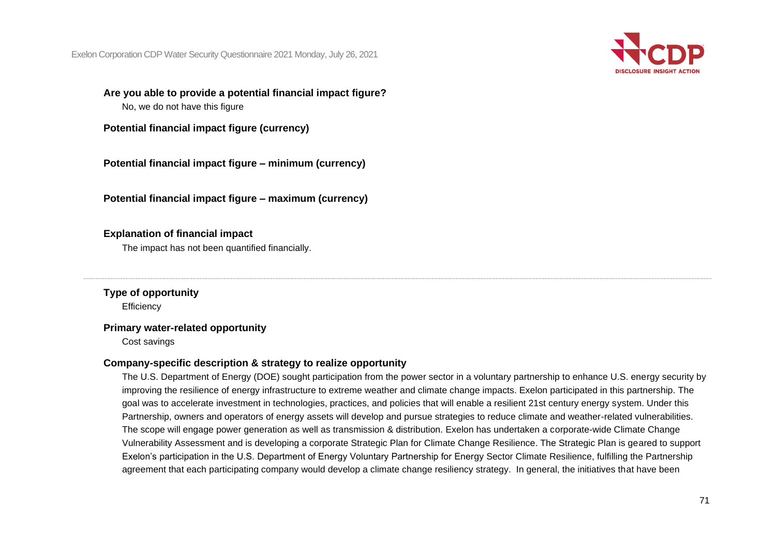

**Are you able to provide a potential financial impact figure?** No, we do not have this figure

**Potential financial impact figure (currency)**

**Potential financial impact figure – minimum (currency)**

**Potential financial impact figure – maximum (currency)**

## **Explanation of financial impact**

The impact has not been quantified financially.

**Type of opportunity Efficiency** 

## **Primary water-related opportunity**

Cost savings

## **Company-specific description & strategy to realize opportunity**

The U.S. Department of Energy (DOE) sought participation from the power sector in a voluntary partnership to enhance U.S. energy security by improving the resilience of energy infrastructure to extreme weather and climate change impacts. Exelon participated in this partnership. The goal was to accelerate investment in technologies, practices, and policies that will enable a resilient 21st century energy system. Under this Partnership, owners and operators of energy assets will develop and pursue strategies to reduce climate and weather-related vulnerabilities. The scope will engage power generation as well as transmission & distribution. Exelon has undertaken a corporate-wide Climate Change Vulnerability Assessment and is developing a corporate Strategic Plan for Climate Change Resilience. The Strategic Plan is geared to support Exelon's participation in the U.S. Department of Energy Voluntary Partnership for Energy Sector Climate Resilience, fulfilling the Partnership agreement that each participating company would develop a climate change resiliency strategy. In general, the initiatives that have been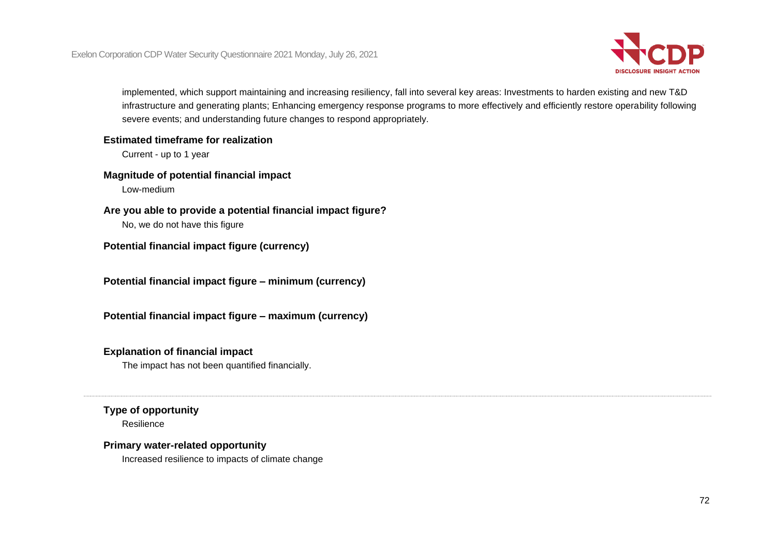

implemented, which support maintaining and increasing resiliency, fall into several key areas: Investments to harden existing and new T&D infrastructure and generating plants; Enhancing emergency response programs to more effectively and efficiently restore operability following severe events; and understanding future changes to respond appropriately.

#### **Estimated timeframe for realization**

Current - up to 1 year

## **Magnitude of potential financial impact**

Low-medium

## **Are you able to provide a potential financial impact figure?**

No, we do not have this figure

## **Potential financial impact figure (currency)**

**Potential financial impact figure – minimum (currency)**

**Potential financial impact figure – maximum (currency)**

## **Explanation of financial impact**

The impact has not been quantified financially.

## **Type of opportunity**

Resilience

## **Primary water-related opportunity**

Increased resilience to impacts of climate change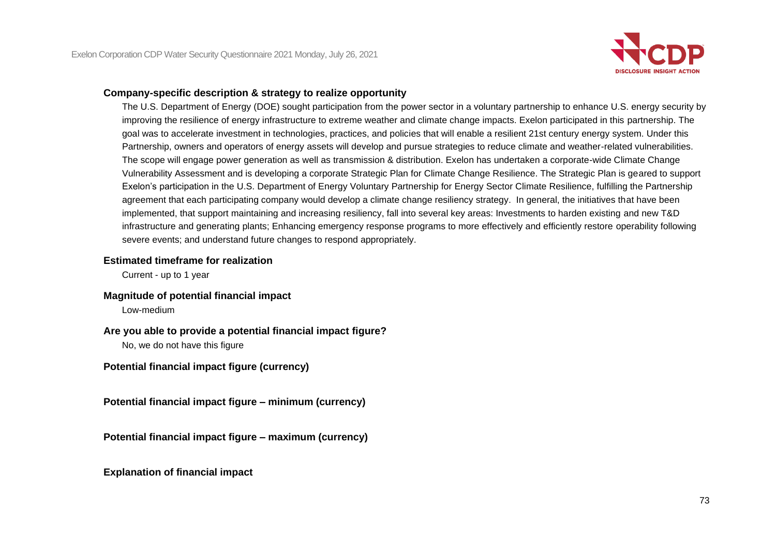

#### **Company-specific description & strategy to realize opportunity**

The U.S. Department of Energy (DOE) sought participation from the power sector in a voluntary partnership to enhance U.S. energy security by improving the resilience of energy infrastructure to extreme weather and climate change impacts. Exelon participated in this partnership. The goal was to accelerate investment in technologies, practices, and policies that will enable a resilient 21st century energy system. Under this Partnership, owners and operators of energy assets will develop and pursue strategies to reduce climate and weather-related vulnerabilities. The scope will engage power generation as well as transmission & distribution. Exelon has undertaken a corporate-wide Climate Change Vulnerability Assessment and is developing a corporate Strategic Plan for Climate Change Resilience. The Strategic Plan is geared to support Exelon's participation in the U.S. Department of Energy Voluntary Partnership for Energy Sector Climate Resilience, fulfilling the Partnership agreement that each participating company would develop a climate change resiliency strategy. In general, the initiatives that have been implemented, that support maintaining and increasing resiliency, fall into several key areas: Investments to harden existing and new T&D infrastructure and generating plants; Enhancing emergency response programs to more effectively and efficiently restore operability following severe events; and understand future changes to respond appropriately.

#### **Estimated timeframe for realization**

Current - up to 1 year

#### **Magnitude of potential financial impact**

Low-medium

#### **Are you able to provide a potential financial impact figure?**

No, we do not have this figure

**Potential financial impact figure (currency)**

**Potential financial impact figure – minimum (currency)**

**Potential financial impact figure – maximum (currency)**

**Explanation of financial impact**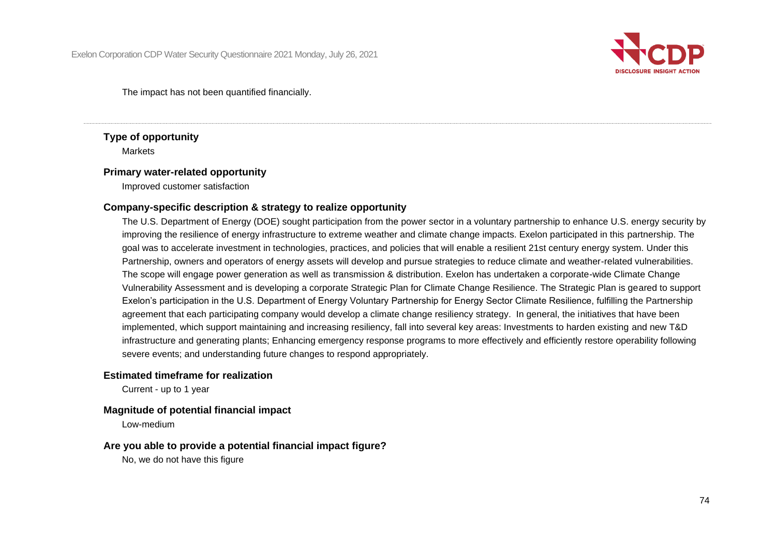

The impact has not been quantified financially.

# **Type of opportunity**

**Markets** 

#### **Primary water-related opportunity**

Improved customer satisfaction

#### **Company-specific description & strategy to realize opportunity**

The U.S. Department of Energy (DOE) sought participation from the power sector in a voluntary partnership to enhance U.S. energy security by improving the resilience of energy infrastructure to extreme weather and climate change impacts. Exelon participated in this partnership. The goal was to accelerate investment in technologies, practices, and policies that will enable a resilient 21st century energy system. Under this Partnership, owners and operators of energy assets will develop and pursue strategies to reduce climate and weather-related vulnerabilities. The scope will engage power generation as well as transmission & distribution. Exelon has undertaken a corporate-wide Climate Change Vulnerability Assessment and is developing a corporate Strategic Plan for Climate Change Resilience. The Strategic Plan is geared to support Exelon's participation in the U.S. Department of Energy Voluntary Partnership for Energy Sector Climate Resilience, fulfilling the Partnership agreement that each participating company would develop a climate change resiliency strategy. In general, the initiatives that have been implemented, which support maintaining and increasing resiliency, fall into several key areas: Investments to harden existing and new T&D infrastructure and generating plants; Enhancing emergency response programs to more effectively and efficiently restore operability following severe events; and understanding future changes to respond appropriately.

#### **Estimated timeframe for realization**

Current - up to 1 year

#### **Magnitude of potential financial impact**

Low-medium

#### **Are you able to provide a potential financial impact figure?**

No, we do not have this figure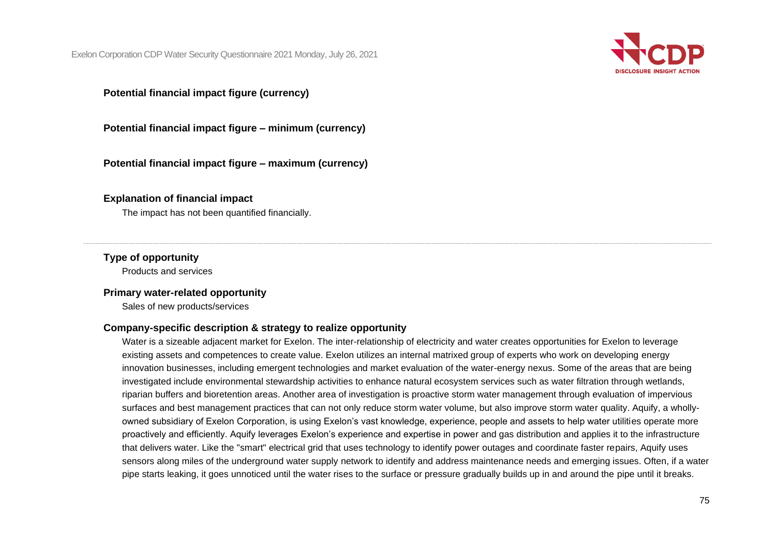

# **Potential financial impact figure (currency)**

**Potential financial impact figure – minimum (currency)**

**Potential financial impact figure – maximum (currency)**

#### **Explanation of financial impact**

The impact has not been quantified financially.

#### **Type of opportunity**

Products and services

#### **Primary water-related opportunity**

Sales of new products/services

#### **Company-specific description & strategy to realize opportunity**

Water is a sizeable adjacent market for Exelon. The inter-relationship of electricity and water creates opportunities for Exelon to leverage existing assets and competences to create value. Exelon utilizes an internal matrixed group of experts who work on developing energy innovation businesses, including emergent technologies and market evaluation of the water-energy nexus. Some of the areas that are being investigated include environmental stewardship activities to enhance natural ecosystem services such as water filtration through wetlands, riparian buffers and bioretention areas. Another area of investigation is proactive storm water management through evaluation of impervious surfaces and best management practices that can not only reduce storm water volume, but also improve storm water quality. Aquify, a whollyowned subsidiary of Exelon Corporation, is using Exelon's vast knowledge, experience, people and assets to help water utilities operate more proactively and efficiently. Aquify leverages Exelon's experience and expertise in power and gas distribution and applies it to the infrastructure that delivers water. Like the "smart" electrical grid that uses technology to identify power outages and coordinate faster repairs, Aquify uses sensors along miles of the underground water supply network to identify and address maintenance needs and emerging issues. Often, if a water pipe starts leaking, it goes unnoticed until the water rises to the surface or pressure gradually builds up in and around the pipe until it breaks.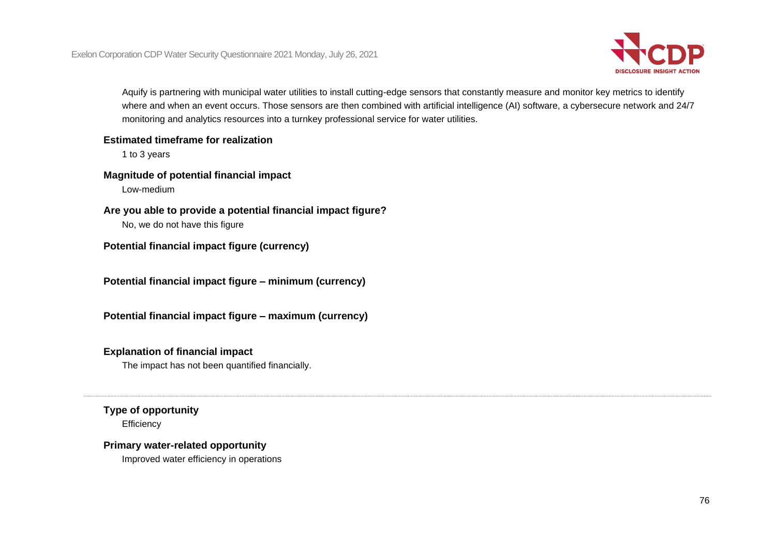

Aquify is partnering with municipal water utilities to install cutting-edge sensors that constantly measure and monitor key metrics to identify where and when an event occurs. Those sensors are then combined with artificial intelligence (AI) software, a cybersecure network and 24/7 monitoring and analytics resources into a turnkey professional service for water utilities.

#### **Estimated timeframe for realization**

1 to 3 years

# **Magnitude of potential financial impact**

Low-medium

### **Are you able to provide a potential financial impact figure?**

No, we do not have this figure

# **Potential financial impact figure (currency)**

**Potential financial impact figure – minimum (currency)**

**Potential financial impact figure – maximum (currency)**

# **Explanation of financial impact**

The impact has not been quantified financially.

# **Type of opportunity**

**Efficiency** 

# **Primary water-related opportunity**

Improved water efficiency in operations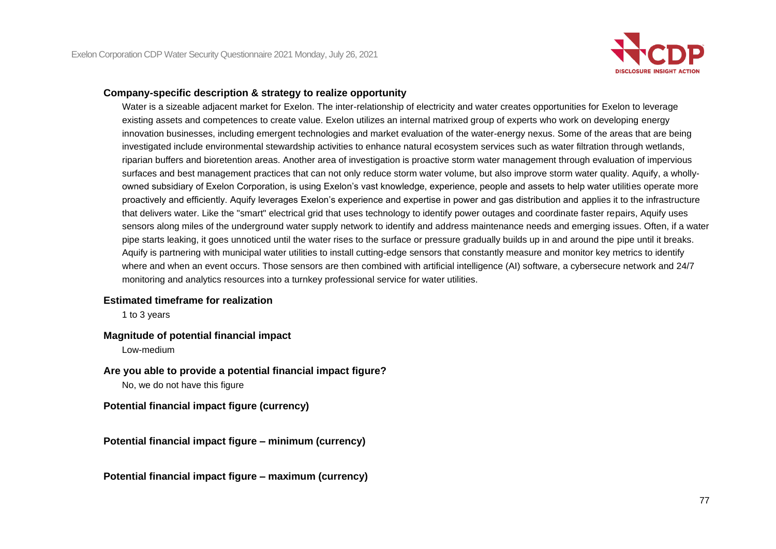

#### **Company-specific description & strategy to realize opportunity**

Water is a sizeable adjacent market for Exelon. The inter-relationship of electricity and water creates opportunities for Exelon to leverage existing assets and competences to create value. Exelon utilizes an internal matrixed group of experts who work on developing energy innovation businesses, including emergent technologies and market evaluation of the water-energy nexus. Some of the areas that are being investigated include environmental stewardship activities to enhance natural ecosystem services such as water filtration through wetlands, riparian buffers and bioretention areas. Another area of investigation is proactive storm water management through evaluation of impervious surfaces and best management practices that can not only reduce storm water volume, but also improve storm water quality. Aquify, a whollyowned subsidiary of Exelon Corporation, is using Exelon's vast knowledge, experience, people and assets to help water utilities operate more proactively and efficiently. Aquify leverages Exelon's experience and expertise in power and gas distribution and applies it to the infrastructure that delivers water. Like the "smart" electrical grid that uses technology to identify power outages and coordinate faster repairs, Aquify uses sensors along miles of the underground water supply network to identify and address maintenance needs and emerging issues. Often, if a water pipe starts leaking, it goes unnoticed until the water rises to the surface or pressure gradually builds up in and around the pipe until it breaks. Aquify is partnering with municipal water utilities to install cutting-edge sensors that constantly measure and monitor key metrics to identify where and when an event occurs. Those sensors are then combined with artificial intelligence (AI) software, a cybersecure network and 24/7 monitoring and analytics resources into a turnkey professional service for water utilities.

#### **Estimated timeframe for realization**

1 to 3 years

#### **Magnitude of potential financial impact**

Low-medium

#### **Are you able to provide a potential financial impact figure?**

No, we do not have this figure

#### **Potential financial impact figure (currency)**

**Potential financial impact figure – minimum (currency)**

**Potential financial impact figure – maximum (currency)**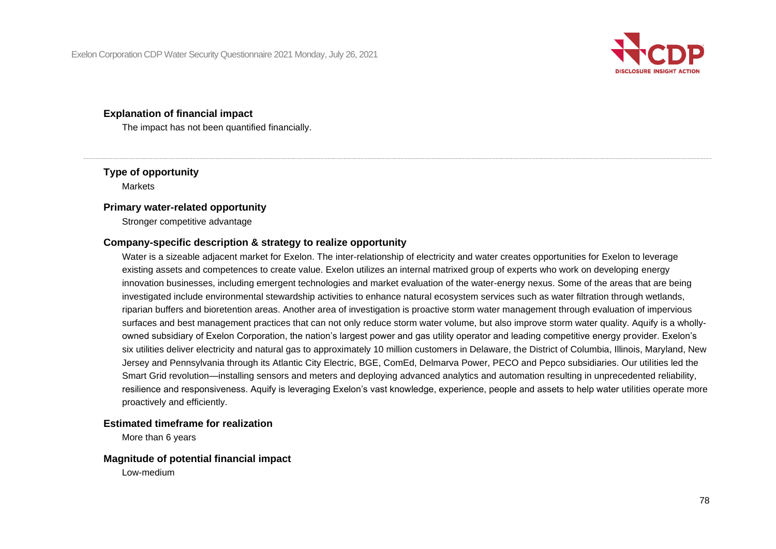

#### **Explanation of financial impact**

The impact has not been quantified financially.

# **Type of opportunity**

Markets

#### **Primary water-related opportunity**

Stronger competitive advantage

### **Company-specific description & strategy to realize opportunity**

Water is a sizeable adjacent market for Exelon. The inter-relationship of electricity and water creates opportunities for Exelon to leverage existing assets and competences to create value. Exelon utilizes an internal matrixed group of experts who work on developing energy innovation businesses, including emergent technologies and market evaluation of the water-energy nexus. Some of the areas that are being investigated include environmental stewardship activities to enhance natural ecosystem services such as water filtration through wetlands, riparian buffers and bioretention areas. Another area of investigation is proactive storm water management through evaluation of impervious surfaces and best management practices that can not only reduce storm water volume, but also improve storm water quality. Aquify is a whollyowned subsidiary of Exelon Corporation, the nation's largest power and gas utility operator and leading competitive energy provider. Exelon's six utilities deliver electricity and natural gas to approximately 10 million customers in Delaware, the District of Columbia, Illinois, Maryland, New Jersey and Pennsylvania through its Atlantic City Electric, BGE, ComEd, Delmarva Power, PECO and Pepco subsidiaries. Our utilities led the Smart Grid revolution—installing sensors and meters and deploying advanced analytics and automation resulting in unprecedented reliability, resilience and responsiveness. Aquify is leveraging Exelon's vast knowledge, experience, people and assets to help water utilities operate more proactively and efficiently.

#### **Estimated timeframe for realization**

More than 6 years

#### **Magnitude of potential financial impact**

Low-medium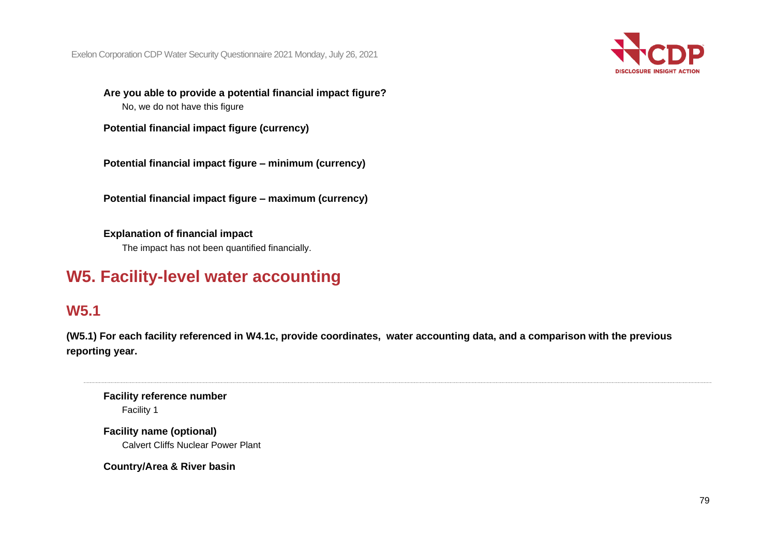

**Are you able to provide a potential financial impact figure?** No, we do not have this figure

**Potential financial impact figure (currency)**

**Potential financial impact figure – minimum (currency)**

**Potential financial impact figure – maximum (currency)**

**Explanation of financial impact** The impact has not been quantified financially.

# **W5. Facility-level water accounting**

# **W5.1**

**(W5.1) For each facility referenced in W4.1c, provide coordinates, water accounting data, and a comparison with the previous reporting year.**

**Facility reference number** Facility 1

**Facility name (optional)** Calvert Cliffs Nuclear Power Plant

**Country/Area & River basin**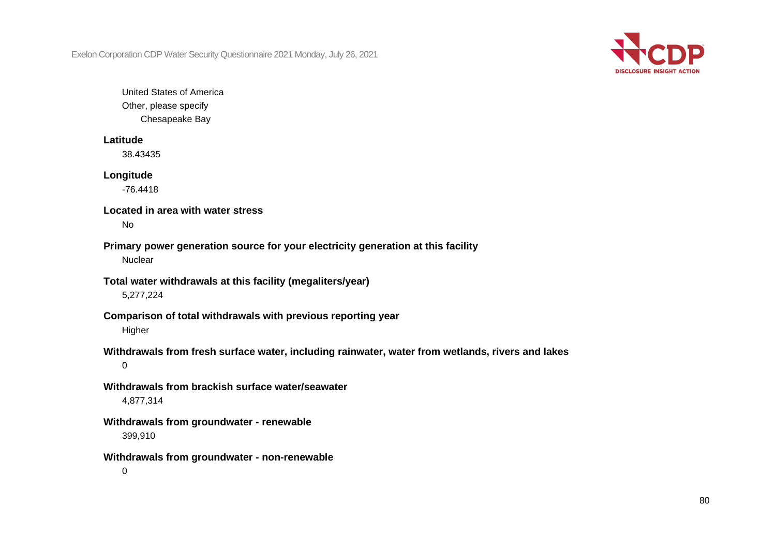

United States of America Other, please specify Chesapeake Bay

#### **Latitude**

38.43435

#### **Longitude**

-76.4418

#### **Located in area with water stress**

No

# **Primary power generation source for your electricity generation at this facility**

**Nuclear** 

### **Total water withdrawals at this facility (megaliters/year)** 5,277,224

# **Comparison of total withdrawals with previous reporting year**

**Higher** 

# **Withdrawals from fresh surface water, including rainwater, water from wetlands, rivers and lakes**

0

# **Withdrawals from brackish surface water/seawater**

4,877,314

# **Withdrawals from groundwater - renewable**

399,910

#### **Withdrawals from groundwater - non-renewable**

0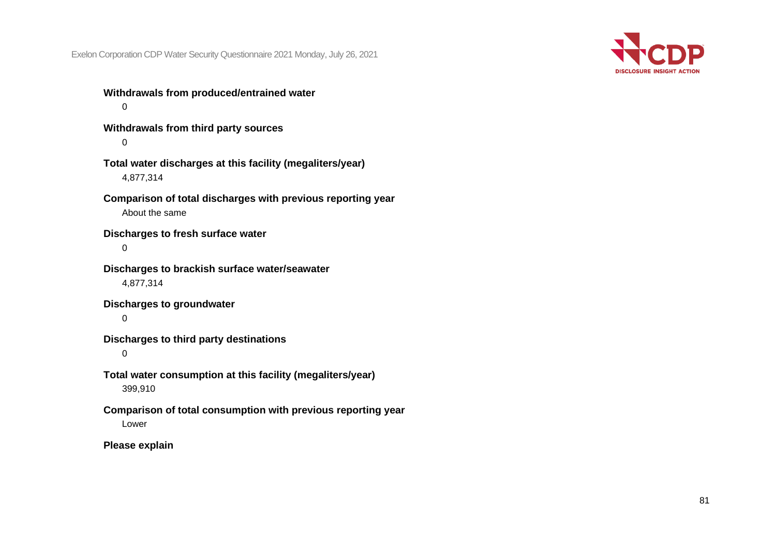

**Withdrawals from produced/entrained water**  $\Omega$ **Withdrawals from third party sources**  $\Omega$ 

**Total water discharges at this facility (megaliters/year)** 4,877,314

**Comparison of total discharges with previous reporting year** About the same

**Discharges to fresh surface water**

0

**Discharges to brackish surface water/seawater** 4,877,314

**Discharges to groundwater**

 $\Omega$ 

**Discharges to third party destinations**

0

**Total water consumption at this facility (megaliters/year)** 399,910

**Comparison of total consumption with previous reporting year** Lower

**Please explain**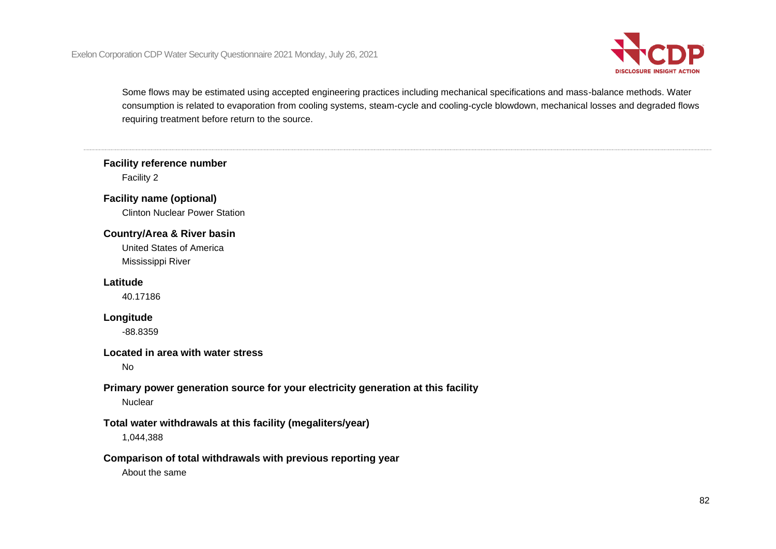

Some flows may be estimated using accepted engineering practices including mechanical specifications and mass-balance methods. Water consumption is related to evaporation from cooling systems, steam-cycle and cooling-cycle blowdown, mechanical losses and degraded flows requiring treatment before return to the source.

# **Facility reference number**

Facility 2

# **Facility name (optional)**

Clinton Nuclear Power Station

# **Country/Area & River basin**

United States of America Mississippi River

# **Latitude**

40.17186

#### **Longitude**

-88.8359

### **Located in area with water stress**

No

#### **Primary power generation source for your electricity generation at this facility Nuclear**

# **Total water withdrawals at this facility (megaliters/year)**

1,044,388

# **Comparison of total withdrawals with previous reporting year**

About the same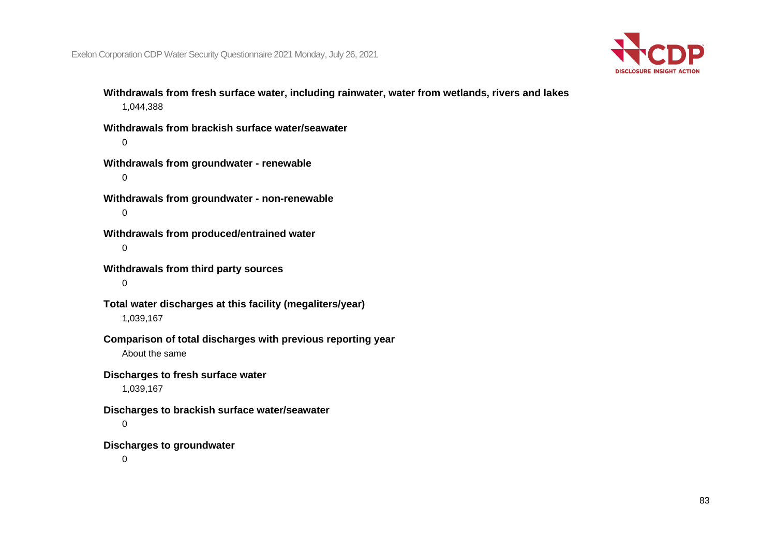

**Withdrawals from fresh surface water, including rainwater, water from wetlands, rivers and lakes** 1,044,388

**Withdrawals from brackish surface water/seawater**  $\Omega$ 

**Withdrawals from groundwater - renewable** 0

**Withdrawals from groundwater - non-renewable**  $\Omega$ 

**Withdrawals from produced/entrained water** 0

**Withdrawals from third party sources**

0

**Total water discharges at this facility (megaliters/year)** 1,039,167

**Comparison of total discharges with previous reporting year**

About the same

**Discharges to fresh surface water**

1,039,167

**Discharges to brackish surface water/seawater**

0

**Discharges to groundwater**

 $\Omega$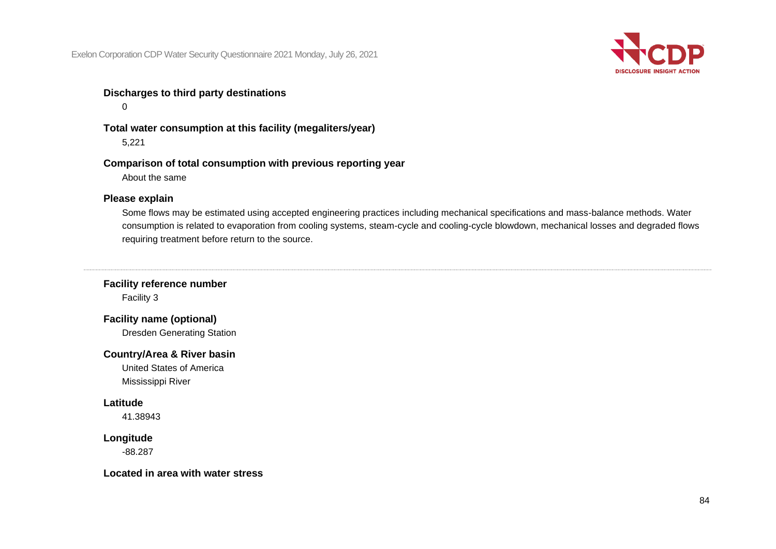

# **Discharges to third party destinations**

 $\Omega$ 

**Total water consumption at this facility (megaliters/year)** 5,221

**Comparison of total consumption with previous reporting year** About the same

#### **Please explain**

Some flows may be estimated using accepted engineering practices including mechanical specifications and mass-balance methods. Water consumption is related to evaporation from cooling systems, steam-cycle and cooling-cycle blowdown, mechanical losses and degraded flows requiring treatment before return to the source.

**Facility reference number**

Facility 3

**Facility name (optional)**

Dresden Generating Station

#### **Country/Area & River basin**

United States of America Mississippi River

#### **Latitude**

41.38943

# **Longitude**

-88.287

**Located in area with water stress**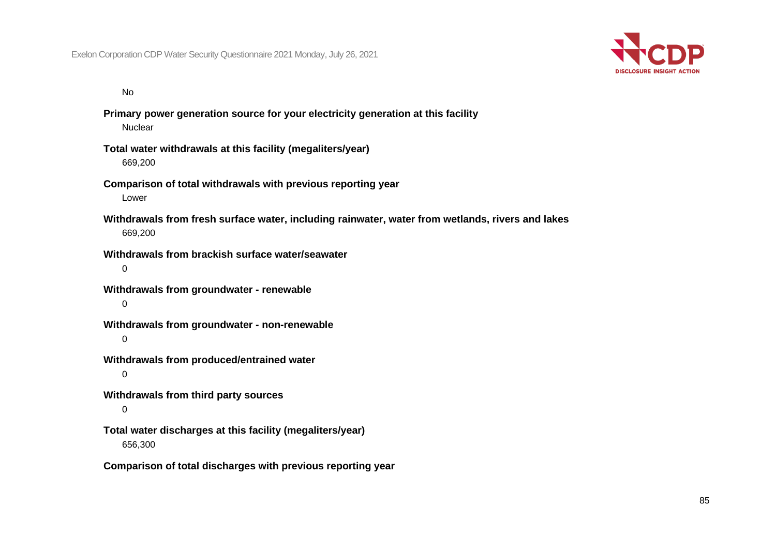

No

**Primary power generation source for your electricity generation at this facility Nuclear** 

- **Total water withdrawals at this facility (megaliters/year)** 669,200
- **Comparison of total withdrawals with previous reporting year** Lower
- **Withdrawals from fresh surface water, including rainwater, water from wetlands, rivers and lakes** 669,200
- **Withdrawals from brackish surface water/seawater** 0
- **Withdrawals from groundwater - renewable**  $\Omega$
- **Withdrawals from groundwater - non-renewable** 0
- **Withdrawals from produced/entrained water**
	- $\Omega$
- **Withdrawals from third party sources**
	- 0

**Total water discharges at this facility (megaliters/year)** 656,300

**Comparison of total discharges with previous reporting year**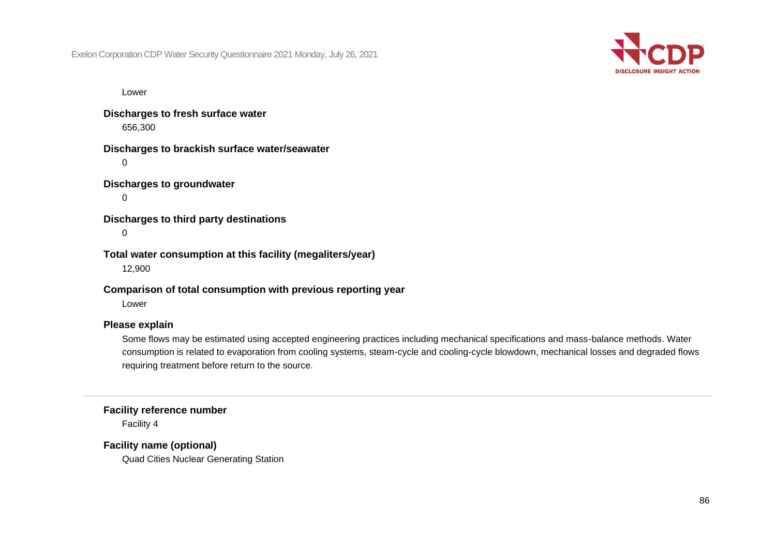

Lower

**Discharges to fresh surface water** 656,300

**Discharges to brackish surface water/seawater**

 $\Omega$ 

**Discharges to groundwater**

 $\Omega$ 

**Discharges to third party destinations**

0

**Total water consumption at this facility (megaliters/year)** 12,900

**Comparison of total consumption with previous reporting year**

Lower

#### **Please explain**

Some flows may be estimated using accepted engineering practices including mechanical specifications and mass-balance methods. Water consumption is related to evaporation from cooling systems, steam-cycle and cooling-cycle blowdown, mechanical losses and degraded flows requiring treatment before return to the source.

**Facility reference number**

Facility 4

**Facility name (optional)**

Quad Cities Nuclear Generating Station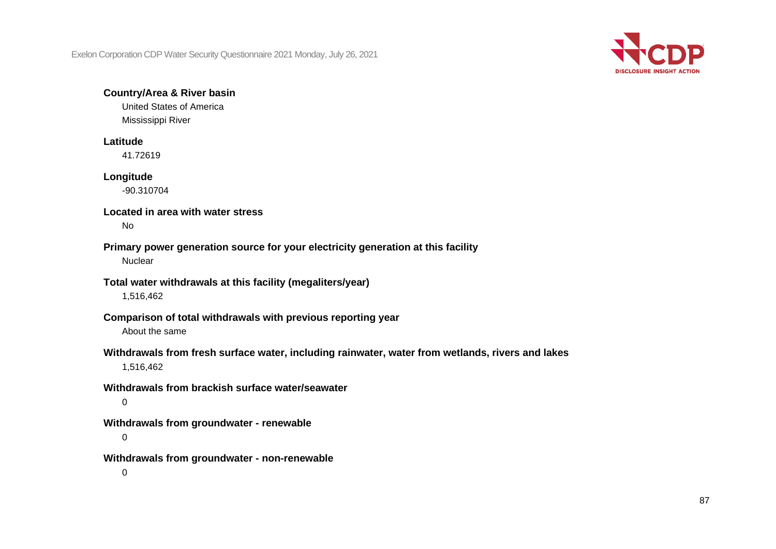

## **Country/Area & River basin**

United States of America Mississippi River

#### **Latitude**

41.72619

#### **Longitude**

-90.310704

#### **Located in area with water stress**

No

#### **Primary power generation source for your electricity generation at this facility Nuclear**

#### **Total water withdrawals at this facility (megaliters/year)**

1,516,462

# **Comparison of total withdrawals with previous reporting year**

About the same

# **Withdrawals from fresh surface water, including rainwater, water from wetlands, rivers and lakes**

1,516,462

# **Withdrawals from brackish surface water/seawater**

 $\Omega$ 

#### **Withdrawals from groundwater - renewable**

0

#### **Withdrawals from groundwater - non-renewable**

 $\Omega$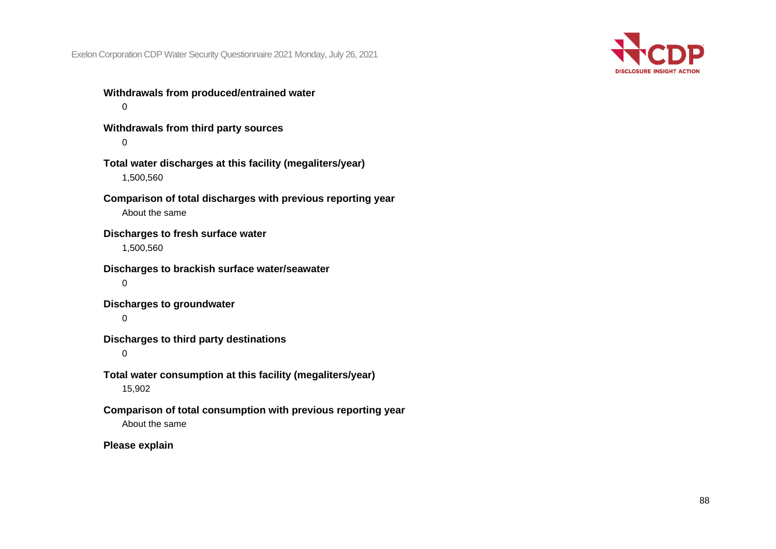

**Withdrawals from produced/entrained water**  $\Omega$ 

**Withdrawals from third party sources**  $\Omega$ 

**Total water discharges at this facility (megaliters/year)** 1,500,560

**Comparison of total discharges with previous reporting year** About the same

**Discharges to fresh surface water** 1,500,560

**Discharges to brackish surface water/seawater** 0

**Discharges to groundwater**

 $\Omega$ 

**Discharges to third party destinations**

0

**Total water consumption at this facility (megaliters/year)** 15,902

**Comparison of total consumption with previous reporting year** About the same

**Please explain**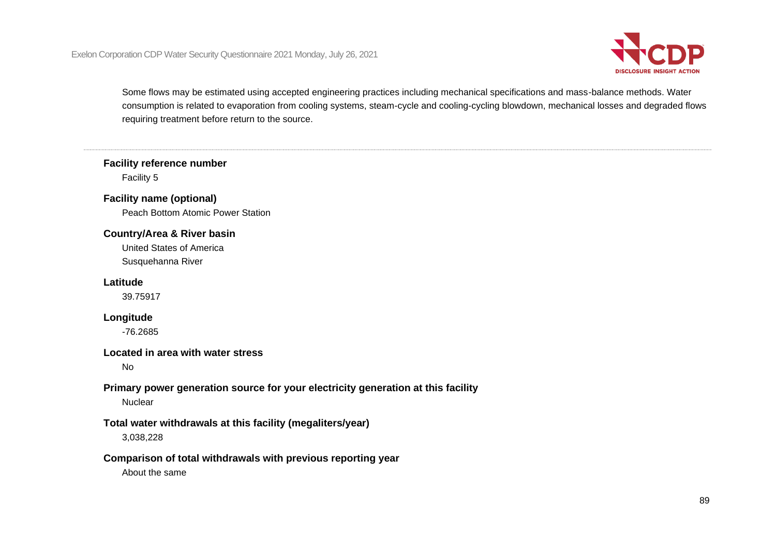

Some flows may be estimated using accepted engineering practices including mechanical specifications and mass-balance methods. Water consumption is related to evaporation from cooling systems, steam-cycle and cooling-cycling blowdown, mechanical losses and degraded flows requiring treatment before return to the source.

# **Facility reference number**

Facility 5

### **Facility name (optional)**

Peach Bottom Atomic Power Station

#### **Country/Area & River basin**

United States of America Susquehanna River

#### **Latitude**

39.75917

#### **Longitude**

-76.2685

# **Located in area with water stress**

No

# **Primary power generation source for your electricity generation at this facility**

**Nuclear** 

# **Total water withdrawals at this facility (megaliters/year)**

3,038,228

#### **Comparison of total withdrawals with previous reporting year**

About the same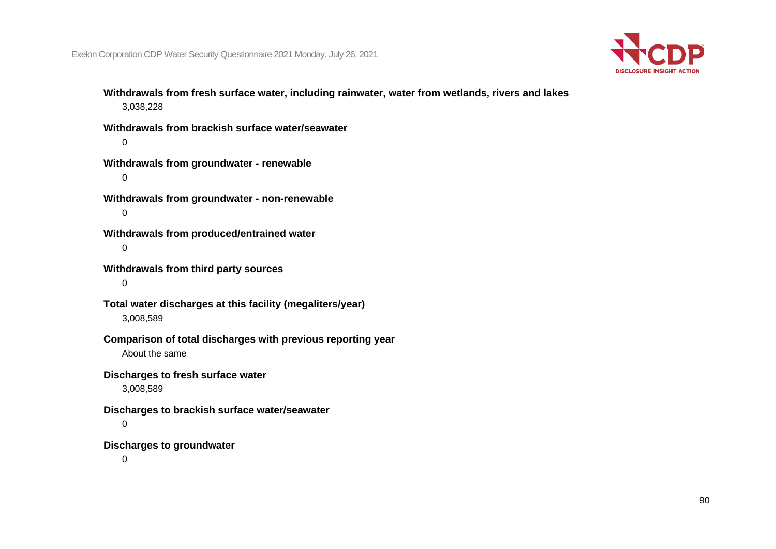

**Withdrawals from fresh surface water, including rainwater, water from wetlands, rivers and lakes** 3,038,228

**Withdrawals from brackish surface water/seawater**  $\Omega$ 

**Withdrawals from groundwater - renewable** 0

**Withdrawals from groundwater - non-renewable**  $\Omega$ 

**Withdrawals from produced/entrained water** 0

**Withdrawals from third party sources**

0

**Total water discharges at this facility (megaliters/year)** 3,008,589

# **Comparison of total discharges with previous reporting year**

About the same

#### **Discharges to fresh surface water**

3,008,589

#### **Discharges to brackish surface water/seawater**

0

#### **Discharges to groundwater**

 $\Omega$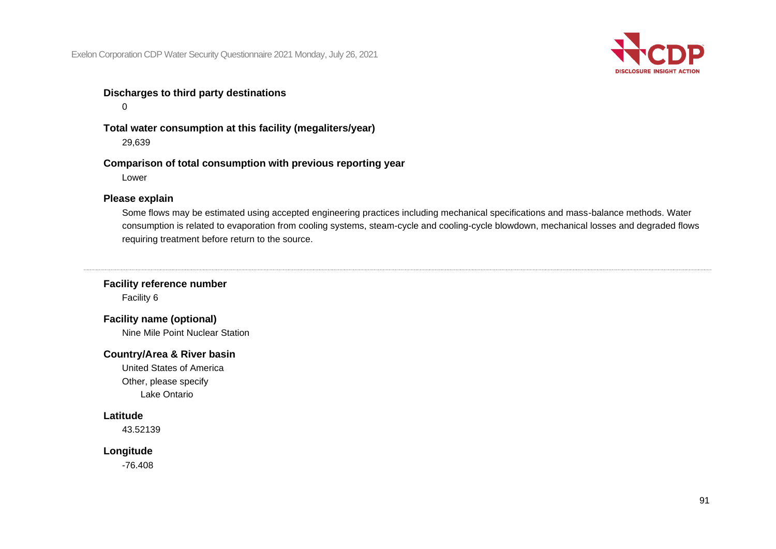

# **Discharges to third party destinations**

 $\Omega$ 

**Total water consumption at this facility (megaliters/year)** 29,639

**Comparison of total consumption with previous reporting year** Lower

#### **Please explain**

Some flows may be estimated using accepted engineering practices including mechanical specifications and mass-balance methods. Water consumption is related to evaporation from cooling systems, steam-cycle and cooling-cycle blowdown, mechanical losses and degraded flows requiring treatment before return to the source.

**Facility reference number**

Facility 6

**Facility name (optional)**

Nine Mile Point Nuclear Station

#### **Country/Area & River basin**

United States of America Other, please specify Lake Ontario

## **Latitude**

43.52139

#### **Longitude**

-76.408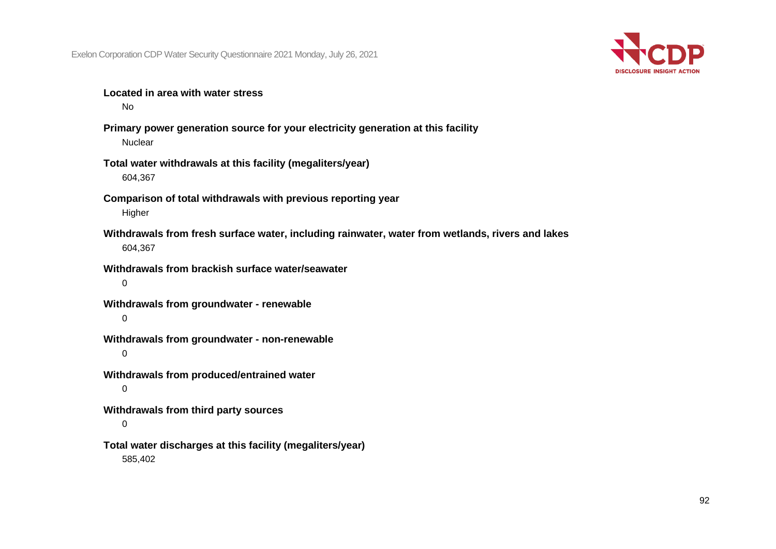

**Located in area with water stress**

No

- **Primary power generation source for your electricity generation at this facility Nuclear**
- **Total water withdrawals at this facility (megaliters/year)** 604,367
- **Comparison of total withdrawals with previous reporting year** Higher
- **Withdrawals from fresh surface water, including rainwater, water from wetlands, rivers and lakes** 604,367
- **Withdrawals from brackish surface water/seawater** 0
- **Withdrawals from groundwater - renewable**  $\Omega$
- **Withdrawals from groundwater - non-renewable**
	- 0
- **Withdrawals from produced/entrained water** 0
- **Withdrawals from third party sources**

0

**Total water discharges at this facility (megaliters/year)** 585,402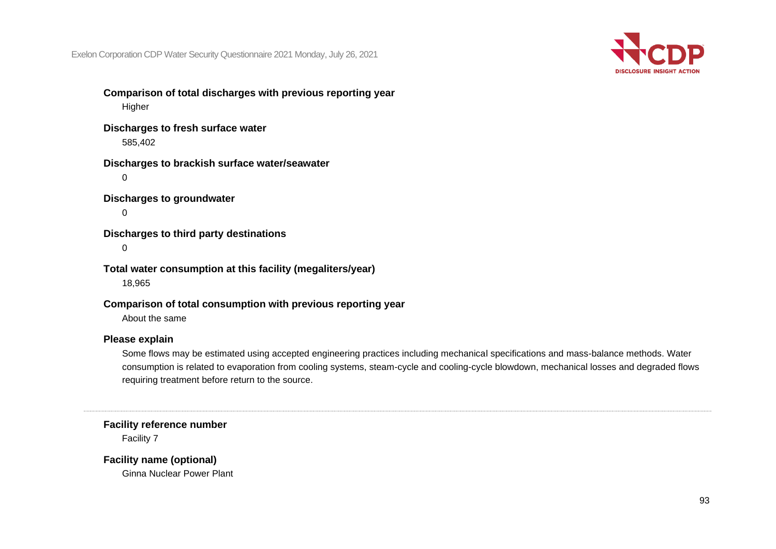

**Comparison of total discharges with previous reporting year Higher** 

**Discharges to fresh surface water** 585,402

**Discharges to brackish surface water/seawater**  $\Omega$ 

**Discharges to groundwater**

 $\Omega$ 

**Discharges to third party destinations**

 $\Omega$ 

**Total water consumption at this facility (megaliters/year)** 18,965

**Comparison of total consumption with previous reporting year**

About the same

#### **Please explain**

Some flows may be estimated using accepted engineering practices including mechanical specifications and mass-balance methods. Water consumption is related to evaporation from cooling systems, steam-cycle and cooling-cycle blowdown, mechanical losses and degraded flows requiring treatment before return to the source.

**Facility reference number**

Facility 7

**Facility name (optional)**

Ginna Nuclear Power Plant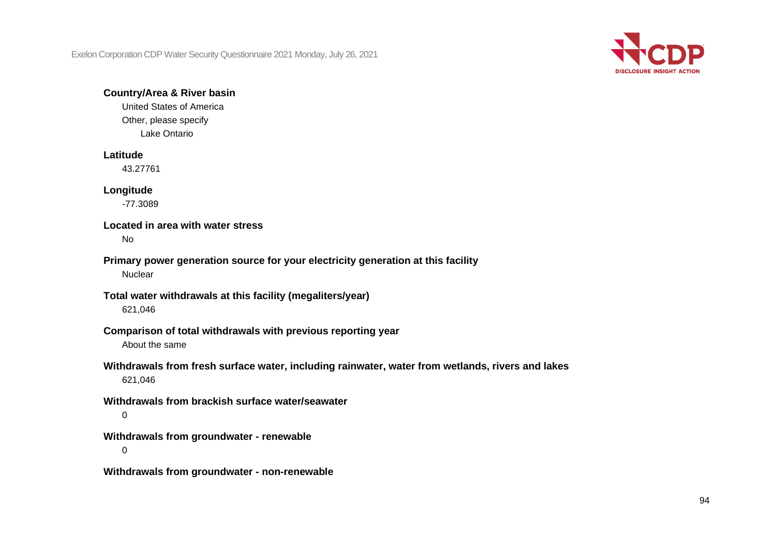

#### **Country/Area & River basin**

United States of America Other, please specify Lake Ontario

#### **Latitude**

43.27761

#### **Longitude**

-77.3089

# **Located in area with water stress**

No

# **Primary power generation source for your electricity generation at this facility**

**Nuclear** 

#### **Total water withdrawals at this facility (megaliters/year)**

621,046

# **Comparison of total withdrawals with previous reporting year**

About the same

# **Withdrawals from fresh surface water, including rainwater, water from wetlands, rivers and lakes** 621,046

#### **Withdrawals from brackish surface water/seawater**  $\Omega$

**Withdrawals from groundwater - renewable**  $\Omega$ 

**Withdrawals from groundwater - non-renewable**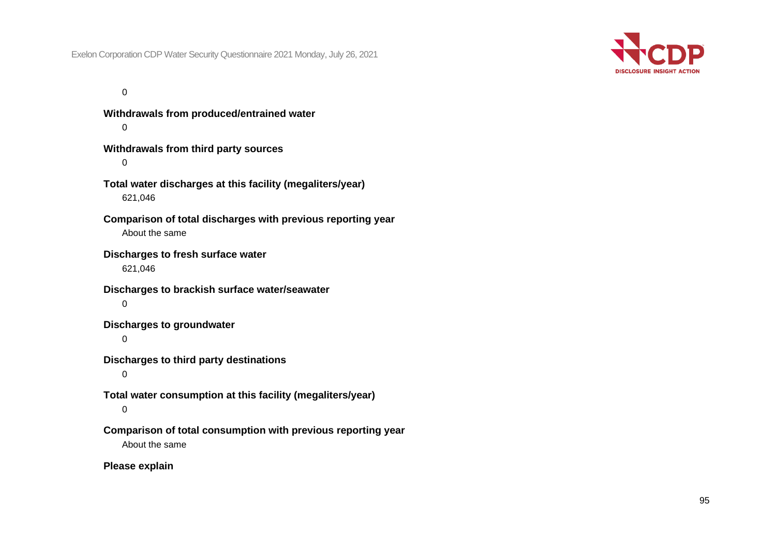

 $\Omega$ 

**Withdrawals from produced/entrained water**  $\Omega$ **Withdrawals from third party sources**  $\Omega$ **Total water discharges at this facility (megaliters/year)** 621,046 **Comparison of total discharges with previous reporting year** About the same **Discharges to fresh surface water** 621,046 **Discharges to brackish surface water/seawater**  $\Omega$ **Discharges to groundwater** 0 **Discharges to third party destinations**  $\Omega$ **Total water consumption at this facility (megaliters/year)** 0 **Comparison of total consumption with previous reporting year** About the same

**Please explain**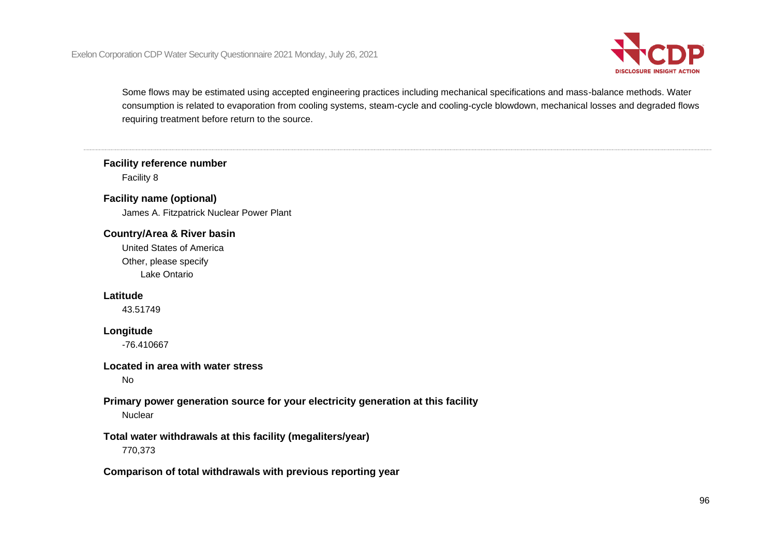

Some flows may be estimated using accepted engineering practices including mechanical specifications and mass-balance methods. Water consumption is related to evaporation from cooling systems, steam-cycle and cooling-cycle blowdown, mechanical losses and degraded flows requiring treatment before return to the source.

# **Facility reference number**

Facility 8

# **Facility name (optional)**

James A. Fitzpatrick Nuclear Power Plant

#### **Country/Area & River basin**

United States of America Other, please specify Lake Ontario

#### **Latitude**

43.51749

#### **Longitude**

-76.410667

#### **Located in area with water stress**

No

### **Primary power generation source for your electricity generation at this facility Nuclear**

# **Total water withdrawals at this facility (megaliters/year)**

770,373

#### **Comparison of total withdrawals with previous reporting year**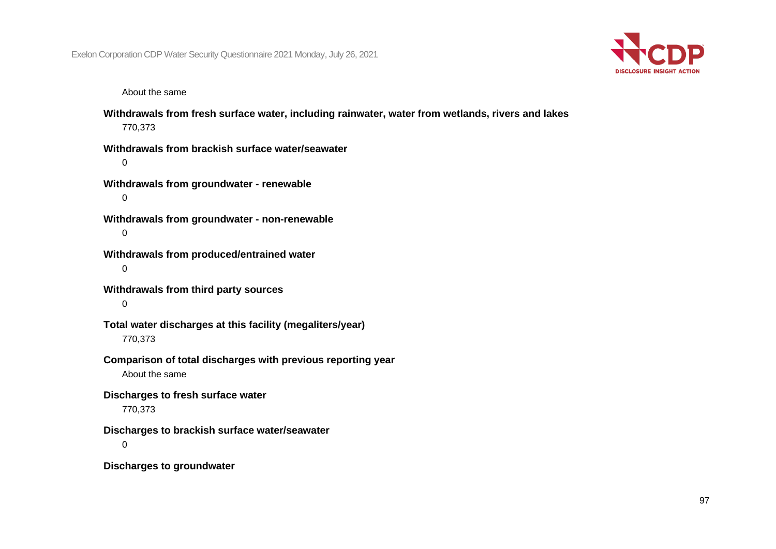

About the same

**Withdrawals from fresh surface water, including rainwater, water from wetlands, rivers and lakes** 770,373

**Withdrawals from brackish surface water/seawater**  $\Omega$ 

**Withdrawals from groundwater - renewable** 0

**Withdrawals from groundwater - non-renewable** 0

**Withdrawals from produced/entrained water** 0

**Withdrawals from third party sources**  $\Omega$ 

**Total water discharges at this facility (megaliters/year)** 770,373

**Comparison of total discharges with previous reporting year** About the same

**Discharges to fresh surface water**

770,373

**Discharges to brackish surface water/seawater**

 $\Omega$ 

**Discharges to groundwater**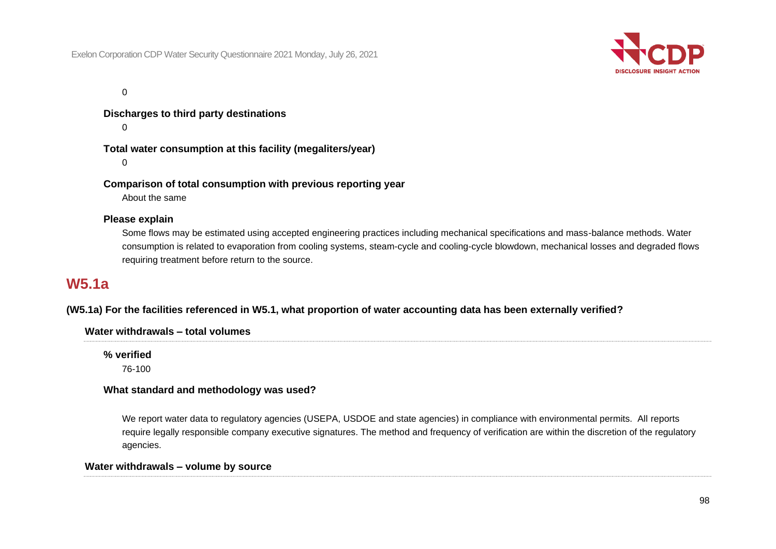

 $\Omega$ 

**Discharges to third party destinations**

 $\Omega$ 

**Total water consumption at this facility (megaliters/year)**

 $\Omega$ 

**Comparison of total consumption with previous reporting year**

About the same

#### **Please explain**

Some flows may be estimated using accepted engineering practices including mechanical specifications and mass-balance methods. Water consumption is related to evaporation from cooling systems, steam-cycle and cooling-cycle blowdown, mechanical losses and degraded flows requiring treatment before return to the source.

# **W5.1a**

# **(W5.1a) For the facilities referenced in W5.1, what proportion of water accounting data has been externally verified?**

#### **Water withdrawals – total volumes**

**% verified** 76-100

#### **What standard and methodology was used?**

We report water data to regulatory agencies (USEPA, USDOE and state agencies) in compliance with environmental permits. All reports require legally responsible company executive signatures. The method and frequency of verification are within the discretion of the regulatory agencies.

#### **Water withdrawals – volume by source**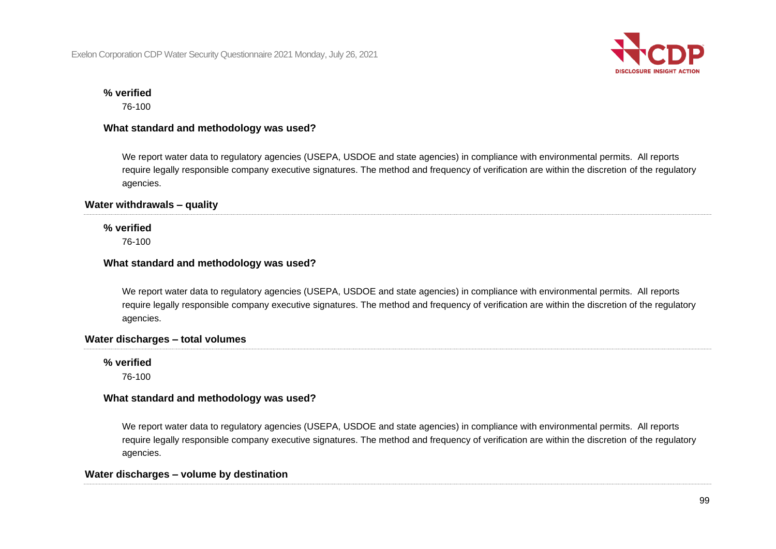

#### **% verified**

76-100

### **What standard and methodology was used?**

We report water data to regulatory agencies (USEPA, USDOE and state agencies) in compliance with environmental permits. All reports require legally responsible company executive signatures. The method and frequency of verification are within the discretion of the regulatory agencies.

### **Water withdrawals – quality**

# **% verified**

76-100

# **What standard and methodology was used?**

We report water data to regulatory agencies (USEPA, USDOE and state agencies) in compliance with environmental permits. All reports require legally responsible company executive signatures. The method and frequency of verification are within the discretion of the regulatory agencies.

# **Water discharges – total volumes**

**% verified**

76-100

# **What standard and methodology was used?**

We report water data to regulatory agencies (USEPA, USDOE and state agencies) in compliance with environmental permits. All reports require legally responsible company executive signatures. The method and frequency of verification are within the discretion of the regulatory agencies.

# **Water discharges – volume by destination**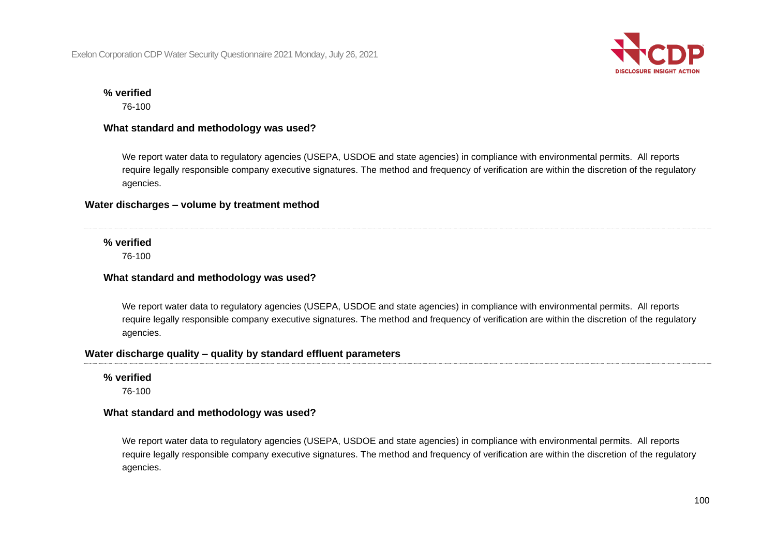

#### **% verified**

76-100

#### **What standard and methodology was used?**

We report water data to regulatory agencies (USEPA, USDOE and state agencies) in compliance with environmental permits. All reports require legally responsible company executive signatures. The method and frequency of verification are within the discretion of the regulatory agencies.

#### **Water discharges – volume by treatment method**

#### **% verified**

76-100

#### **What standard and methodology was used?**

We report water data to regulatory agencies (USEPA, USDOE and state agencies) in compliance with environmental permits. All reports require legally responsible company executive signatures. The method and frequency of verification are within the discretion of the regulatory agencies.

### **Water discharge quality – quality by standard effluent parameters**

#### **% verified**

76-100

#### **What standard and methodology was used?**

We report water data to regulatory agencies (USEPA, USDOE and state agencies) in compliance with environmental permits. All reports require legally responsible company executive signatures. The method and frequency of verification are within the discretion of the regulatory agencies.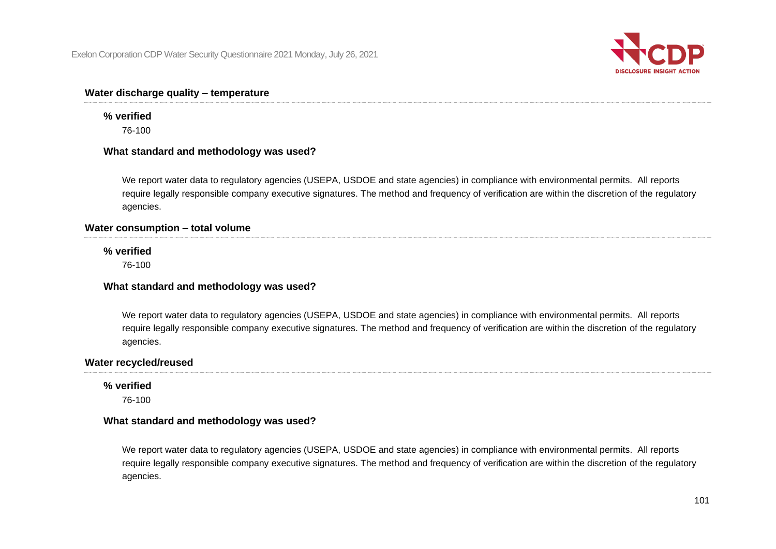

## **Water discharge quality – temperature**

# **% verified**

76-100

#### **What standard and methodology was used?**

We report water data to regulatory agencies (USEPA, USDOE and state agencies) in compliance with environmental permits. All reports require legally responsible company executive signatures. The method and frequency of verification are within the discretion of the regulatory agencies.

#### **Water consumption – total volume**

#### **% verified**

76-100

#### **What standard and methodology was used?**

We report water data to regulatory agencies (USEPA, USDOE and state agencies) in compliance with environmental permits. All reports require legally responsible company executive signatures. The method and frequency of verification are within the discretion of the regulatory agencies.

#### **Water recycled/reused**

#### **% verified**

76-100

#### **What standard and methodology was used?**

We report water data to regulatory agencies (USEPA, USDOE and state agencies) in compliance with environmental permits. All reports require legally responsible company executive signatures. The method and frequency of verification are within the discretion of the regulatory agencies.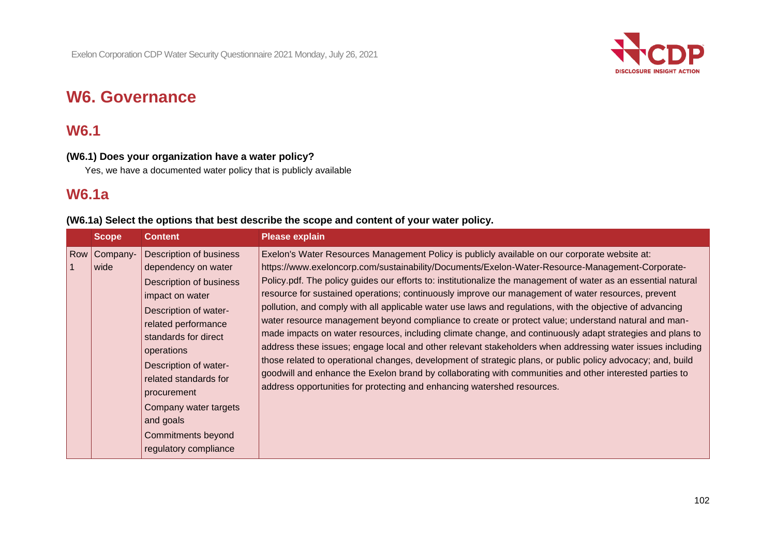

# **W6. Governance**

# **W6.1**

# **(W6.1) Does your organization have a water policy?**

Yes, we have a documented water policy that is publicly available

# **W6.1a**

# **(W6.1a) Select the options that best describe the scope and content of your water policy.**

| <b>Scope</b>           | <b>Content</b>                                                                                                                                                                                                                                                                                                                                  | <b>Please explain</b>                                                                                                                                                                                                                                                                                                                                                                                                                                                                                                                                                                                                                                                                                                                                                                                                                                                                                                                                                                                                                                                                                                                                                       |
|------------------------|-------------------------------------------------------------------------------------------------------------------------------------------------------------------------------------------------------------------------------------------------------------------------------------------------------------------------------------------------|-----------------------------------------------------------------------------------------------------------------------------------------------------------------------------------------------------------------------------------------------------------------------------------------------------------------------------------------------------------------------------------------------------------------------------------------------------------------------------------------------------------------------------------------------------------------------------------------------------------------------------------------------------------------------------------------------------------------------------------------------------------------------------------------------------------------------------------------------------------------------------------------------------------------------------------------------------------------------------------------------------------------------------------------------------------------------------------------------------------------------------------------------------------------------------|
| Row   Company-<br>wide | <b>Description of business</b><br>dependency on water<br>Description of business<br>impact on water<br>Description of water-<br>related performance<br>standards for direct<br>operations<br>Description of water-<br>related standards for<br>procurement<br>Company water targets<br>and goals<br>Commitments beyond<br>regulatory compliance | Exelon's Water Resources Management Policy is publicly available on our corporate website at:<br>https://www.exeloncorp.com/sustainability/Documents/Exelon-Water-Resource-Management-Corporate-<br>Policy.pdf. The policy guides our efforts to: institutionalize the management of water as an essential natural<br>resource for sustained operations; continuously improve our management of water resources, prevent<br>pollution, and comply with all applicable water use laws and regulations, with the objective of advancing<br>water resource management beyond compliance to create or protect value; understand natural and man-<br>made impacts on water resources, including climate change, and continuously adapt strategies and plans to<br>address these issues; engage local and other relevant stakeholders when addressing water issues including<br>those related to operational changes, development of strategic plans, or public policy advocacy; and, build<br>goodwill and enhance the Exelon brand by collaborating with communities and other interested parties to<br>address opportunities for protecting and enhancing watershed resources. |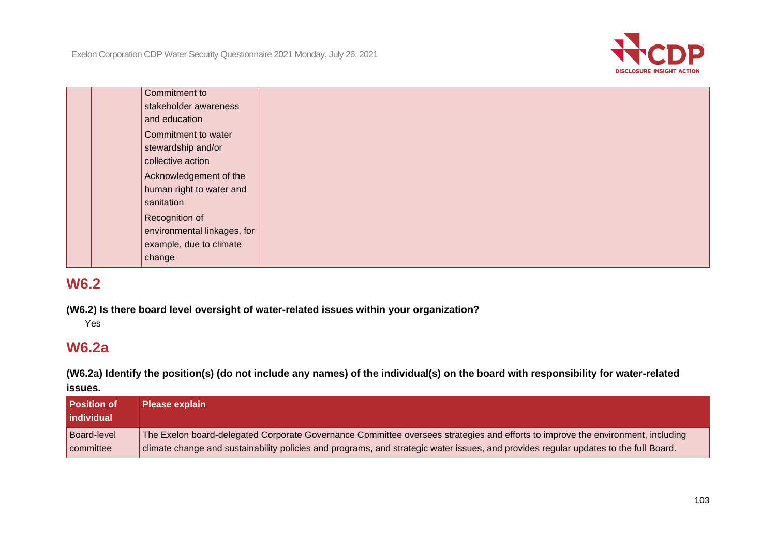

| Commitment to               |  |
|-----------------------------|--|
| stakeholder awareness       |  |
| and education               |  |
| Commitment to water         |  |
| stewardship and/or          |  |
| collective action           |  |
| Acknowledgement of the      |  |
| human right to water and    |  |
| sanitation                  |  |
| Recognition of              |  |
| environmental linkages, for |  |
| example, due to climate     |  |
| change                      |  |
|                             |  |

**(W6.2) Is there board level oversight of water-related issues within your organization?**

Yes

# **W6.2a**

**(W6.2a) Identify the position(s) (do not include any names) of the individual(s) on the board with responsibility for water-related** 

**issues.**

| <b>Position of</b><br>l individual | <b>Please explain</b>                                                                                                                |
|------------------------------------|--------------------------------------------------------------------------------------------------------------------------------------|
| <b>Board-level</b>                 | The Exelon board-delegated Corporate Governance Committee oversees strategies and efforts to improve the environment, including      |
| committee                          | climate change and sustainability policies and programs, and strategic water issues, and provides regular updates to the full Board. |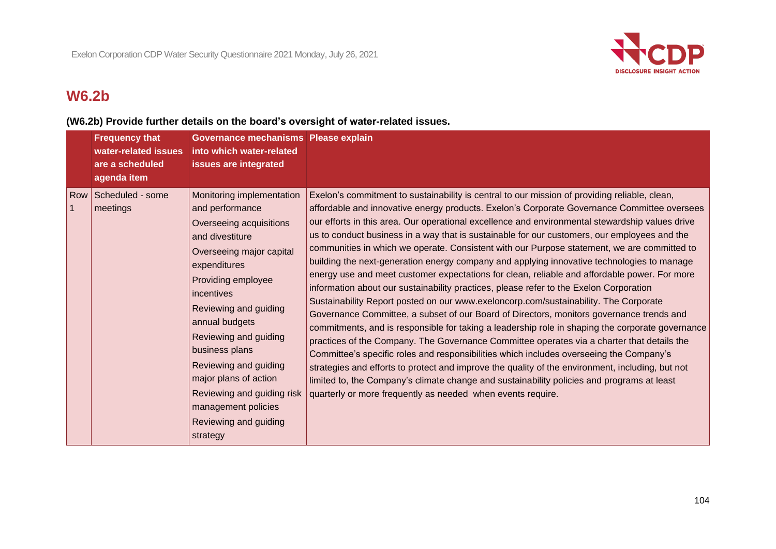

# **W6.2b**

# **(W6.2b) Provide further details on the board's oversight of water-related issues.**

| <b>Frequency that</b><br>water-related issues<br>are a scheduled<br>agenda item | Governance mechanisms Please explain<br>into which water-related<br>issues are integrated                                                                                                                                                                                                                                                                                      |                                                                                                                                                                                                                                                                                                                                                                                                                                                                                                                                                                                                                                                                                                                                                                                                                                                                                                                                                                                                                                                                                                                                                                                                                                                                                                                                                                                                                                                                                                                                                                       |
|---------------------------------------------------------------------------------|--------------------------------------------------------------------------------------------------------------------------------------------------------------------------------------------------------------------------------------------------------------------------------------------------------------------------------------------------------------------------------|-----------------------------------------------------------------------------------------------------------------------------------------------------------------------------------------------------------------------------------------------------------------------------------------------------------------------------------------------------------------------------------------------------------------------------------------------------------------------------------------------------------------------------------------------------------------------------------------------------------------------------------------------------------------------------------------------------------------------------------------------------------------------------------------------------------------------------------------------------------------------------------------------------------------------------------------------------------------------------------------------------------------------------------------------------------------------------------------------------------------------------------------------------------------------------------------------------------------------------------------------------------------------------------------------------------------------------------------------------------------------------------------------------------------------------------------------------------------------------------------------------------------------------------------------------------------------|
| Row Scheduled - some<br>meetings                                                | Monitoring implementation<br>and performance<br>Overseeing acquisitions<br>and divestiture<br>Overseeing major capital<br>expenditures<br>Providing employee<br>incentives<br>Reviewing and guiding<br>annual budgets<br>Reviewing and guiding<br>business plans<br>Reviewing and guiding<br>major plans of action<br>management policies<br>Reviewing and guiding<br>strategy | Exelon's commitment to sustainability is central to our mission of providing reliable, clean,<br>affordable and innovative energy products. Exelon's Corporate Governance Committee oversees<br>our efforts in this area. Our operational excellence and environmental stewardship values drive<br>us to conduct business in a way that is sustainable for our customers, our employees and the<br>communities in which we operate. Consistent with our Purpose statement, we are committed to<br>building the next-generation energy company and applying innovative technologies to manage<br>energy use and meet customer expectations for clean, reliable and affordable power. For more<br>information about our sustainability practices, please refer to the Exelon Corporation<br>Sustainability Report posted on our www.exeloncorp.com/sustainability. The Corporate<br>Governance Committee, a subset of our Board of Directors, monitors governance trends and<br>commitments, and is responsible for taking a leadership role in shaping the corporate governance<br>practices of the Company. The Governance Committee operates via a charter that details the<br>Committee's specific roles and responsibilities which includes overseeing the Company's<br>strategies and efforts to protect and improve the quality of the environment, including, but not<br>limited to, the Company's climate change and sustainability policies and programs at least<br>Reviewing and guiding risk   quarterly or more frequently as needed when events require. |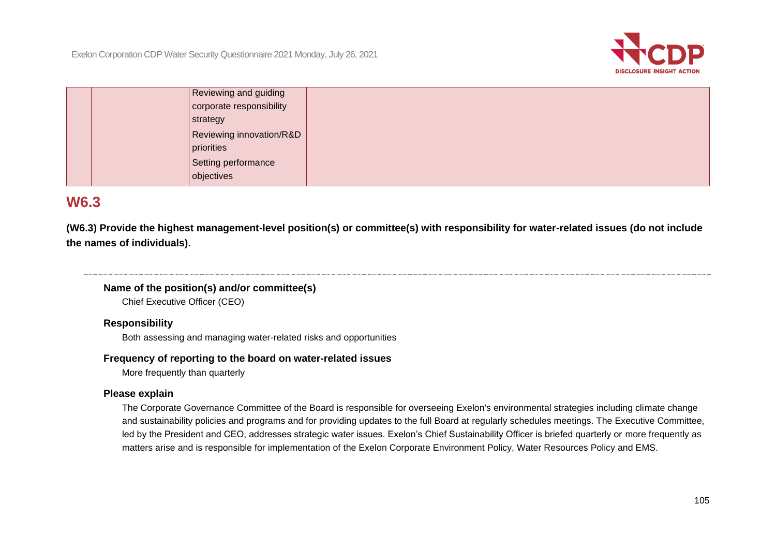

| Reviewing and guiding    |  |
|--------------------------|--|
| corporate responsibility |  |
| strategy                 |  |
| Reviewing innovation/R&D |  |
| priorities               |  |
| Setting performance      |  |
| objectives               |  |

**(W6.3) Provide the highest management-level position(s) or committee(s) with responsibility for water-related issues (do not include the names of individuals).**

# **Name of the position(s) and/or committee(s)**

Chief Executive Officer (CEO)

#### **Responsibility**

Both assessing and managing water-related risks and opportunities

#### **Frequency of reporting to the board on water-related issues**

More frequently than quarterly

#### **Please explain**

The Corporate Governance Committee of the Board is responsible for overseeing Exelon's environmental strategies including climate change and sustainability policies and programs and for providing updates to the full Board at regularly schedules meetings. The Executive Committee, led by the President and CEO, addresses strategic water issues. Exelon's Chief Sustainability Officer is briefed quarterly or more frequently as matters arise and is responsible for implementation of the Exelon Corporate Environment Policy, Water Resources Policy and EMS.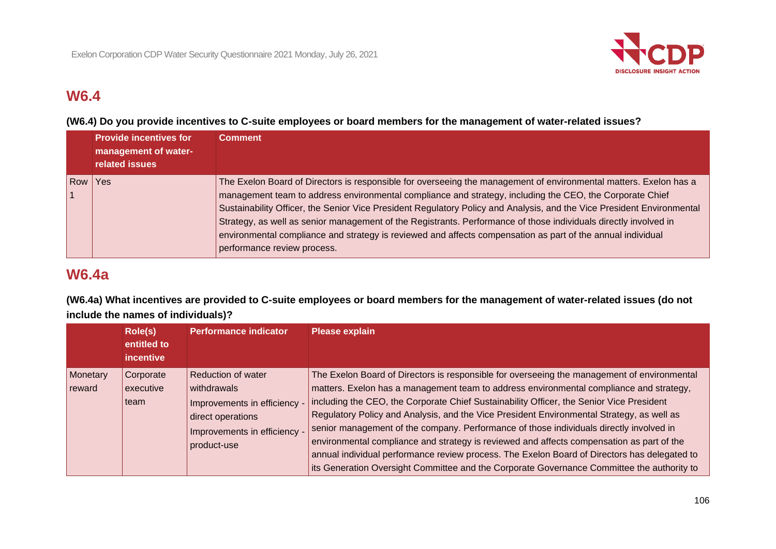

**(W6.4) Do you provide incentives to C-suite employees or board members for the management of water-related issues?**

|     | <b>Provide incentives for</b><br>management of water-<br>related issues | <b>Comment</b>                                                                                                                                                                                                                                                                                                                                                                                                                                                                                                                                                                                                            |
|-----|-------------------------------------------------------------------------|---------------------------------------------------------------------------------------------------------------------------------------------------------------------------------------------------------------------------------------------------------------------------------------------------------------------------------------------------------------------------------------------------------------------------------------------------------------------------------------------------------------------------------------------------------------------------------------------------------------------------|
| Row | <b>Yes</b>                                                              | The Exelon Board of Directors is responsible for overseeing the management of environmental matters. Exelon has a<br>management team to address environmental compliance and strategy, including the CEO, the Corporate Chief<br>Sustainability Officer, the Senior Vice President Regulatory Policy and Analysis, and the Vice President Environmental<br>Strategy, as well as senior management of the Registrants. Performance of those individuals directly involved in<br>environmental compliance and strategy is reviewed and affects compensation as part of the annual individual<br>performance review process. |

# **W6.4a**

**(W6.4a) What incentives are provided to C-suite employees or board members for the management of water-related issues (do not include the names of individuals)?**

|                    | Role(s)<br>entitled to<br>incentive | <b>Performance indicator</b>                                                                                                                 | <b>Please explain</b>                                                                                                                                                                                                                                                                                                                                                                                                                                                                                                                                                                                                                                                                                                                                                 |
|--------------------|-------------------------------------|----------------------------------------------------------------------------------------------------------------------------------------------|-----------------------------------------------------------------------------------------------------------------------------------------------------------------------------------------------------------------------------------------------------------------------------------------------------------------------------------------------------------------------------------------------------------------------------------------------------------------------------------------------------------------------------------------------------------------------------------------------------------------------------------------------------------------------------------------------------------------------------------------------------------------------|
| Monetary<br>reward | Corporate<br>executive<br>team      | <b>Reduction of water</b><br>withdrawals<br>Improvements in efficiency -<br>direct operations<br>Improvements in efficiency -<br>product-use | The Exelon Board of Directors is responsible for overseeing the management of environmental<br>matters. Exelon has a management team to address environmental compliance and strategy,<br>including the CEO, the Corporate Chief Sustainability Officer, the Senior Vice President<br>Regulatory Policy and Analysis, and the Vice President Environmental Strategy, as well as<br>senior management of the company. Performance of those individuals directly involved in<br>environmental compliance and strategy is reviewed and affects compensation as part of the<br>annual individual performance review process. The Exelon Board of Directors has delegated to<br>its Generation Oversight Committee and the Corporate Governance Committee the authority to |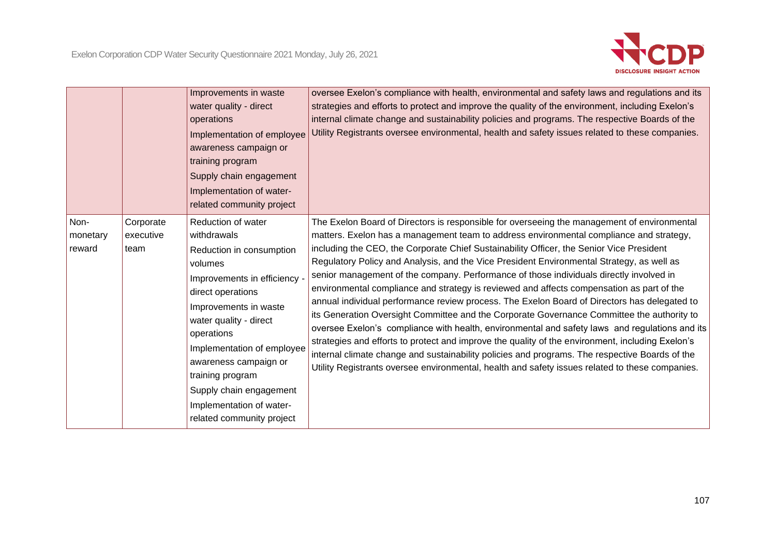

|                            |                                | Improvements in waste<br>water quality - direct<br>operations<br>Implementation of employee<br>awareness campaign or<br>training program<br>Supply chain engagement<br>Implementation of water-<br>related community project                                                                                                                                  | oversee Exelon's compliance with health, environmental and safety laws and regulations and its<br>strategies and efforts to protect and improve the quality of the environment, including Exelon's<br>internal climate change and sustainability policies and programs. The respective Boards of the<br>Utility Registrants oversee environmental, health and safety issues related to these companies.                                                                                                                                                                                                                                                                                                                                                                                                                                                                                                                                                                                                                                                                                                                                                                          |
|----------------------------|--------------------------------|---------------------------------------------------------------------------------------------------------------------------------------------------------------------------------------------------------------------------------------------------------------------------------------------------------------------------------------------------------------|----------------------------------------------------------------------------------------------------------------------------------------------------------------------------------------------------------------------------------------------------------------------------------------------------------------------------------------------------------------------------------------------------------------------------------------------------------------------------------------------------------------------------------------------------------------------------------------------------------------------------------------------------------------------------------------------------------------------------------------------------------------------------------------------------------------------------------------------------------------------------------------------------------------------------------------------------------------------------------------------------------------------------------------------------------------------------------------------------------------------------------------------------------------------------------|
| Non-<br>monetary<br>reward | Corporate<br>executive<br>team | Reduction of water<br>withdrawals<br>Reduction in consumption<br>volumes<br>Improvements in efficiency -<br>direct operations<br>Improvements in waste<br>water quality - direct<br>operations<br>Implementation of employee<br>awareness campaign or<br>training program<br>Supply chain engagement<br>Implementation of water-<br>related community project | The Exelon Board of Directors is responsible for overseeing the management of environmental<br>matters. Exelon has a management team to address environmental compliance and strategy,<br>including the CEO, the Corporate Chief Sustainability Officer, the Senior Vice President<br>Regulatory Policy and Analysis, and the Vice President Environmental Strategy, as well as<br>senior management of the company. Performance of those individuals directly involved in<br>environmental compliance and strategy is reviewed and affects compensation as part of the<br>annual individual performance review process. The Exelon Board of Directors has delegated to<br>its Generation Oversight Committee and the Corporate Governance Committee the authority to<br>oversee Exelon's compliance with health, environmental and safety laws and regulations and its<br>strategies and efforts to protect and improve the quality of the environment, including Exelon's<br>internal climate change and sustainability policies and programs. The respective Boards of the<br>Utility Registrants oversee environmental, health and safety issues related to these companies. |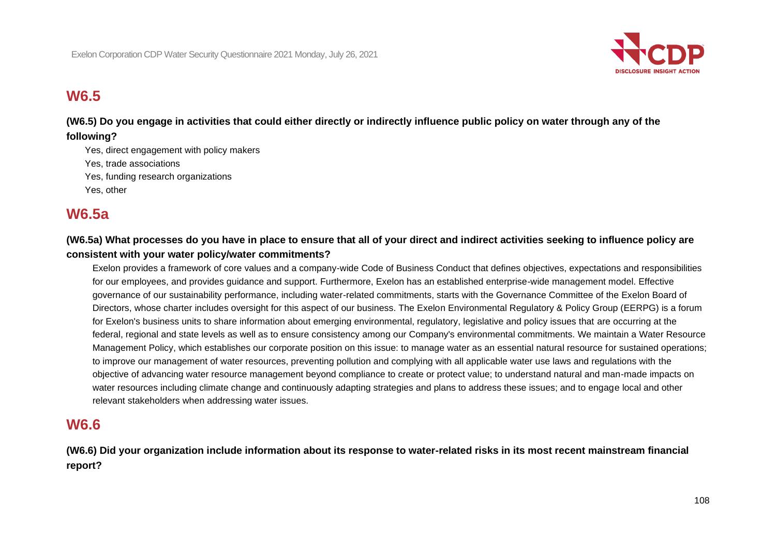

**(W6.5) Do you engage in activities that could either directly or indirectly influence public policy on water through any of the following?**

Yes, direct engagement with policy makers Yes, trade associations Yes, funding research organizations Yes, other

# **W6.5a**

# **(W6.5a) What processes do you have in place to ensure that all of your direct and indirect activities seeking to influence policy are consistent with your water policy/water commitments?**

Exelon provides a framework of core values and a company-wide Code of Business Conduct that defines objectives, expectations and responsibilities for our employees, and provides guidance and support. Furthermore, Exelon has an established enterprise-wide management model. Effective governance of our sustainability performance, including water-related commitments, starts with the Governance Committee of the Exelon Board of Directors, whose charter includes oversight for this aspect of our business. The Exelon Environmental Regulatory & Policy Group (EERPG) is a forum for Exelon's business units to share information about emerging environmental, regulatory, legislative and policy issues that are occurring at the federal, regional and state levels as well as to ensure consistency among our Company's environmental commitments. We maintain a Water Resource Management Policy, which establishes our corporate position on this issue: to manage water as an essential natural resource for sustained operations; to improve our management of water resources, preventing pollution and complying with all applicable water use laws and regulations with the objective of advancing water resource management beyond compliance to create or protect value; to understand natural and man-made impacts on water resources including climate change and continuously adapting strategies and plans to address these issues; and to engage local and other relevant stakeholders when addressing water issues.

# **W6.6**

**(W6.6) Did your organization include information about its response to water-related risks in its most recent mainstream financial report?**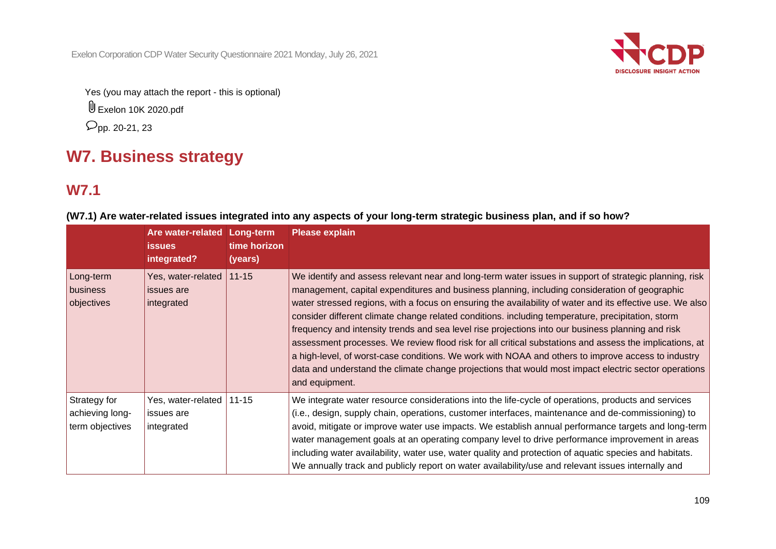Exelon Corporation CDP Water Security Questionnaire 2021 Monday, July 26, 2021



Yes (you may attach the report - this is optional)

Exelon 10K 2020.pdf

 $\rho_{\rm pp. \, 20-21, \, 23}$ 

# **W7. Business strategy**

# **W7.1**

|                                                    | Are water-related<br><b>issues</b><br>integrated? | Long-term<br>time horizon<br>(years) | <b>Please explain</b>                                                                                                                                                                                                                                                                                                                                                                                                                                                                                                                                                                                                                                                                                                                                                                                                                                                     |
|----------------------------------------------------|---------------------------------------------------|--------------------------------------|---------------------------------------------------------------------------------------------------------------------------------------------------------------------------------------------------------------------------------------------------------------------------------------------------------------------------------------------------------------------------------------------------------------------------------------------------------------------------------------------------------------------------------------------------------------------------------------------------------------------------------------------------------------------------------------------------------------------------------------------------------------------------------------------------------------------------------------------------------------------------|
| Long-term<br>business<br>objectives                | Yes, water-related<br>issues are<br>integrated    | $11 - 15$                            | We identify and assess relevant near and long-term water issues in support of strategic planning, risk<br>management, capital expenditures and business planning, including consideration of geographic<br>water stressed regions, with a focus on ensuring the availability of water and its effective use. We also<br>consider different climate change related conditions. including temperature, precipitation, storm<br>frequency and intensity trends and sea level rise projections into our business planning and risk<br>assessment processes. We review flood risk for all critical substations and assess the implications, at<br>a high-level, of worst-case conditions. We work with NOAA and others to improve access to industry<br>data and understand the climate change projections that would most impact electric sector operations<br>and equipment. |
| Strategy for<br>achieving long-<br>term objectives | Yes, water-related<br>issues are<br>integrated    | $11 - 15$                            | We integrate water resource considerations into the life-cycle of operations, products and services<br>(i.e., design, supply chain, operations, customer interfaces, maintenance and de-commissioning) to<br>avoid, mitigate or improve water use impacts. We establish annual performance targets and long-term<br>water management goals at an operating company level to drive performance improvement in areas<br>including water availability, water use, water quality and protection of aquatic species and habitats.<br>We annually track and publicly report on water availability/use and relevant issues internally and                                                                                                                                                                                                                                        |

**(W7.1) Are water-related issues integrated into any aspects of your long-term strategic business plan, and if so how?**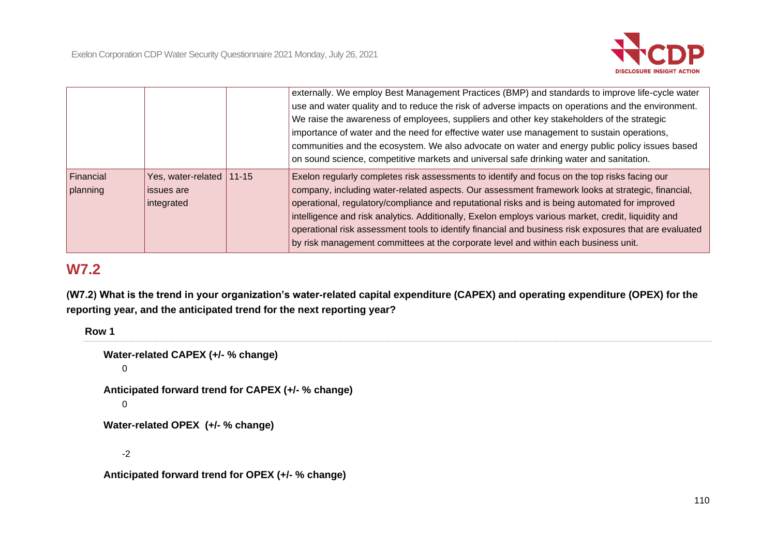

|                       |                                                      | externally. We employ Best Management Practices (BMP) and standards to improve life-cycle water<br>use and water quality and to reduce the risk of adverse impacts on operations and the environment.<br>We raise the awareness of employees, suppliers and other key stakeholders of the strategic<br>importance of water and the need for effective water use management to sustain operations,<br>communities and the ecosystem. We also advocate on water and energy public policy issues based<br>on sound science, competitive markets and universal safe drinking water and sanitation.              |
|-----------------------|------------------------------------------------------|-------------------------------------------------------------------------------------------------------------------------------------------------------------------------------------------------------------------------------------------------------------------------------------------------------------------------------------------------------------------------------------------------------------------------------------------------------------------------------------------------------------------------------------------------------------------------------------------------------------|
| Financial<br>planning | Yes, water-related 11-15<br>issues are<br>integrated | Exelon regularly completes risk assessments to identify and focus on the top risks facing our<br>company, including water-related aspects. Our assessment framework looks at strategic, financial,<br>operational, regulatory/compliance and reputational risks and is being automated for improved<br>intelligence and risk analytics. Additionally, Exelon employs various market, credit, liquidity and<br>operational risk assessment tools to identify financial and business risk exposures that are evaluated<br>by risk management committees at the corporate level and within each business unit. |

# **W7.2**

**(W7.2) What is the trend in your organization's water-related capital expenditure (CAPEX) and operating expenditure (OPEX) for the reporting year, and the anticipated trend for the next reporting year?**

**Row 1**

```
Water-related CAPEX (+/- % change)
\OmegaAnticipated forward trend for CAPEX (+/- % change)
\OmegaWater-related OPEX (+/- % change)
-2
```

```
Anticipated forward trend for OPEX (+/- % change)
```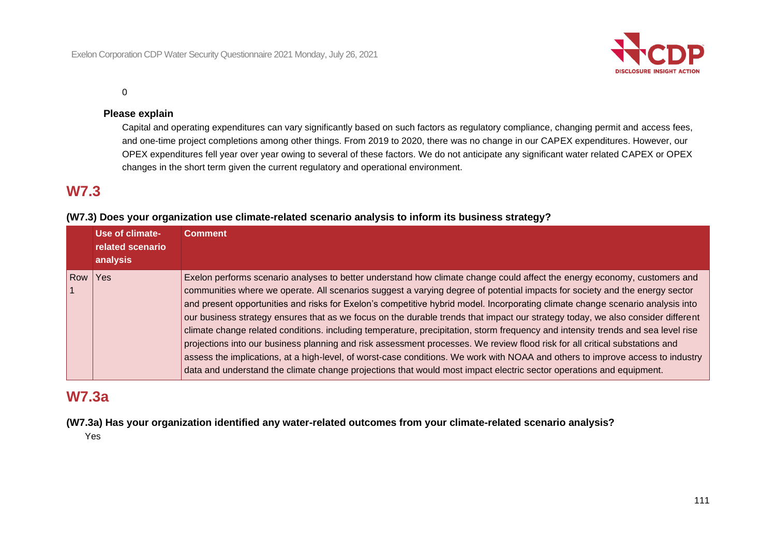

 $\Omega$ 

### **Please explain**

Capital and operating expenditures can vary significantly based on such factors as regulatory compliance, changing permit and access fees, and one-time project completions among other things. From 2019 to 2020, there was no change in our CAPEX expenditures. However, our OPEX expenditures fell year over year owing to several of these factors. We do not anticipate any significant water related CAPEX or OPEX changes in the short term given the current regulatory and operational environment.

## **W7.3**

## **(W7.3) Does your organization use climate-related scenario analysis to inform its business strategy?**

|                | Use of climate-<br>related scenario<br>analysis | <b>Comment</b>                                                                                                                                                                                                                                                                                                                                                                                                                                                                                                                                                                                                                                                                                                                                                                                                                                                                                                                                                                                                                                           |
|----------------|-------------------------------------------------|----------------------------------------------------------------------------------------------------------------------------------------------------------------------------------------------------------------------------------------------------------------------------------------------------------------------------------------------------------------------------------------------------------------------------------------------------------------------------------------------------------------------------------------------------------------------------------------------------------------------------------------------------------------------------------------------------------------------------------------------------------------------------------------------------------------------------------------------------------------------------------------------------------------------------------------------------------------------------------------------------------------------------------------------------------|
| Row <b>Row</b> | Yes                                             | Exelon performs scenario analyses to better understand how climate change could affect the energy economy, customers and<br>communities where we operate. All scenarios suggest a varying degree of potential impacts for society and the energy sector<br>and present opportunities and risks for Exelon's competitive hybrid model. Incorporating climate change scenario analysis into<br>our business strategy ensures that as we focus on the durable trends that impact our strategy today, we also consider different<br>climate change related conditions. including temperature, precipitation, storm frequency and intensity trends and sea level rise<br>projections into our business planning and risk assessment processes. We review flood risk for all critical substations and<br>assess the implications, at a high-level, of worst-case conditions. We work with NOAA and others to improve access to industry<br>data and understand the climate change projections that would most impact electric sector operations and equipment. |

## **W7.3a**

**(W7.3a) Has your organization identified any water-related outcomes from your climate-related scenario analysis?**

Yes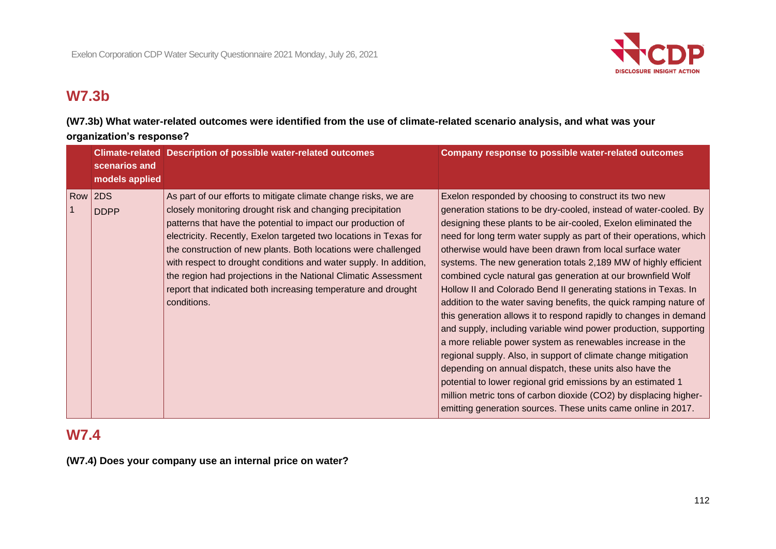

# **W7.3b**

**(W7.3b) What water-related outcomes were identified from the use of climate-related scenario analysis, and what was your organization's response?**

| scenarios and<br>models applied | Climate-related Description of possible water-related outcomes                                                                                                                                                                                                                                                                                                                                                                                                                                                                                              | <b>Company response to possible water-related outcomes</b>                                                                                                                                                                                                                                                                                                                                                                                                                                                                                                                                                                                                                                                                                                                                                                                                                                                                                                                                                                                                                                                                                           |
|---------------------------------|-------------------------------------------------------------------------------------------------------------------------------------------------------------------------------------------------------------------------------------------------------------------------------------------------------------------------------------------------------------------------------------------------------------------------------------------------------------------------------------------------------------------------------------------------------------|------------------------------------------------------------------------------------------------------------------------------------------------------------------------------------------------------------------------------------------------------------------------------------------------------------------------------------------------------------------------------------------------------------------------------------------------------------------------------------------------------------------------------------------------------------------------------------------------------------------------------------------------------------------------------------------------------------------------------------------------------------------------------------------------------------------------------------------------------------------------------------------------------------------------------------------------------------------------------------------------------------------------------------------------------------------------------------------------------------------------------------------------------|
| Row   2DS<br><b>DDPP</b>        | As part of our efforts to mitigate climate change risks, we are<br>closely monitoring drought risk and changing precipitation<br>patterns that have the potential to impact our production of<br>electricity. Recently, Exelon targeted two locations in Texas for<br>the construction of new plants. Both locations were challenged<br>with respect to drought conditions and water supply. In addition,<br>the region had projections in the National Climatic Assessment<br>report that indicated both increasing temperature and drought<br>conditions. | Exelon responded by choosing to construct its two new<br>generation stations to be dry-cooled, instead of water-cooled. By<br>designing these plants to be air-cooled, Exelon eliminated the<br>need for long term water supply as part of their operations, which<br>otherwise would have been drawn from local surface water<br>systems. The new generation totals 2,189 MW of highly efficient<br>combined cycle natural gas generation at our brownfield Wolf<br>Hollow II and Colorado Bend II generating stations in Texas. In<br>addition to the water saving benefits, the quick ramping nature of<br>this generation allows it to respond rapidly to changes in demand<br>and supply, including variable wind power production, supporting<br>a more reliable power system as renewables increase in the<br>regional supply. Also, in support of climate change mitigation<br>depending on annual dispatch, these units also have the<br>potential to lower regional grid emissions by an estimated 1<br>million metric tons of carbon dioxide (CO2) by displacing higher-<br>emitting generation sources. These units came online in 2017. |

# **W7.4**

**(W7.4) Does your company use an internal price on water?**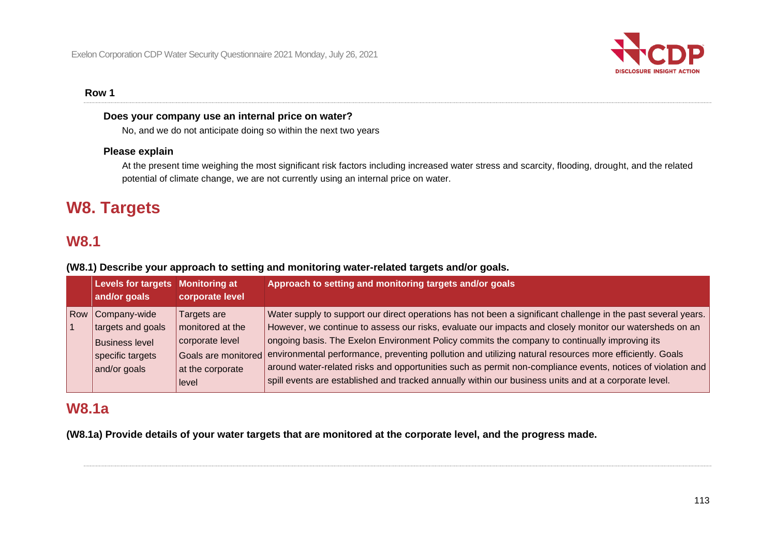

### **Row 1**

#### **Does your company use an internal price on water?**

No, and we do not anticipate doing so within the next two years

## **Please explain**

At the present time weighing the most significant risk factors including increased water stress and scarcity, flooding, drought, and the related potential of climate change, we are not currently using an internal price on water.

# **W8. Targets**

## **W8.1**

**(W8.1) Describe your approach to setting and monitoring water-related targets and/or goals.**

|     | Levels for targets Monitoring at<br>and/or goals                                               | corporate level                                                                                        | Approach to setting and monitoring targets and/or goals                                                                                                                                                                                                                                                                                                                                                                                                                                                                                                                                                                                                      |
|-----|------------------------------------------------------------------------------------------------|--------------------------------------------------------------------------------------------------------|--------------------------------------------------------------------------------------------------------------------------------------------------------------------------------------------------------------------------------------------------------------------------------------------------------------------------------------------------------------------------------------------------------------------------------------------------------------------------------------------------------------------------------------------------------------------------------------------------------------------------------------------------------------|
| Row | Company-wide<br>targets and goals<br><b>Business level</b><br>specific targets<br>and/or goals | Targets are<br>monitored at the<br>corporate level<br>Goals are monitored<br>at the corporate<br>level | Water supply to support our direct operations has not been a significant challenge in the past several years.<br>However, we continue to assess our risks, evaluate our impacts and closely monitor our watersheds on an<br>ongoing basis. The Exelon Environment Policy commits the company to continually improving its<br>environmental performance, preventing pollution and utilizing natural resources more efficiently. Goals<br>around water-related risks and opportunities such as permit non-compliance events, notices of violation and<br>spill events are established and tracked annually within our business units and at a corporate level. |

## **W8.1a**

**(W8.1a) Provide details of your water targets that are monitored at the corporate level, and the progress made.**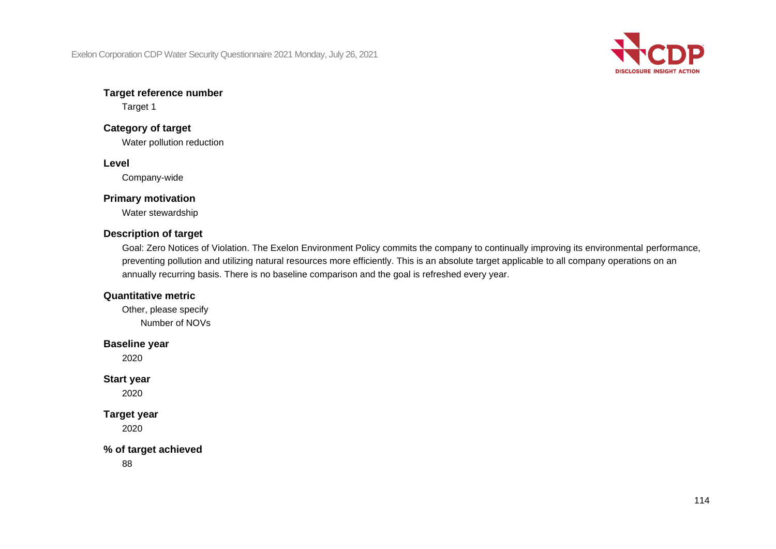Exelon Corporation CDP Water Security Questionnaire 2021 Monday, July 26, 2021



## **Target reference number**

Target 1

## **Category of target**

Water pollution reduction

## **Level**

Company-wide

## **Primary motivation**

Water stewardship

## **Description of target**

Goal: Zero Notices of Violation. The Exelon Environment Policy commits the company to continually improving its environmental performance, preventing pollution and utilizing natural resources more efficiently. This is an absolute target applicable to all company operations on an annually recurring basis. There is no baseline comparison and the goal is refreshed every year.

## **Quantitative metric**

Other, please specify Number of NOVs

## **Baseline year**

2020

## **Start year**

2020

## **Target year**

2020

## **% of target achieved**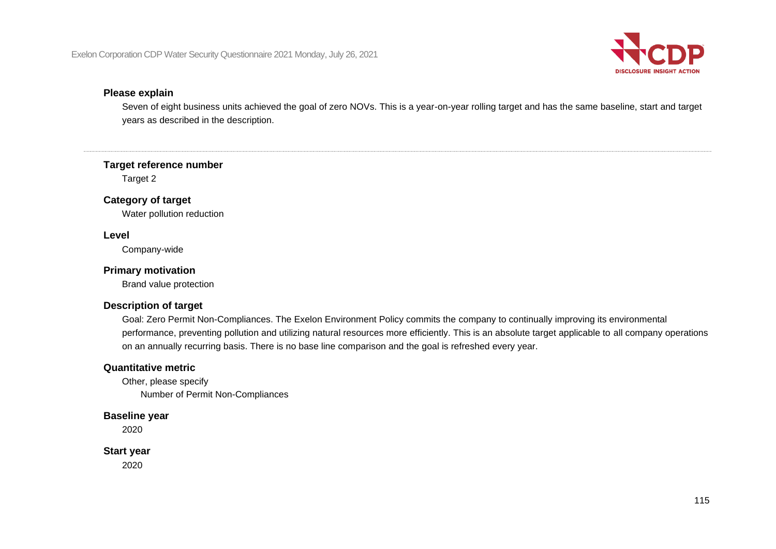

#### **Please explain**

Seven of eight business units achieved the goal of zero NOVs. This is a year-on-year rolling target and has the same baseline, start and target years as described in the description.

#### **Target reference number**

Target 2

#### **Category of target**

Water pollution reduction

#### **Level**

Company-wide

## **Primary motivation**

Brand value protection

#### **Description of target**

Goal: Zero Permit Non-Compliances. The Exelon Environment Policy commits the company to continually improving its environmental performance, preventing pollution and utilizing natural resources more efficiently. This is an absolute target applicable to all company operations on an annually recurring basis. There is no base line comparison and the goal is refreshed every year.

#### **Quantitative metric**

Other, please specify Number of Permit Non-Compliances

#### **Baseline year**

2020

## **Start year**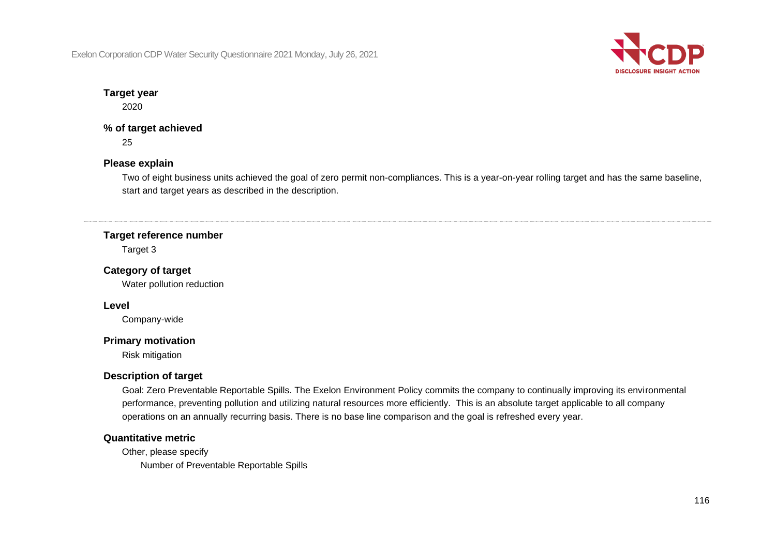Exelon Corporation CDP Water Security Questionnaire 2021 Monday, July 26, 2021



## **Target year**

2020

## **% of target achieved**

25

## **Please explain**

Two of eight business units achieved the goal of zero permit non-compliances. This is a year-on-year rolling target and has the same baseline, start and target years as described in the description.

## **Target reference number**

Target 3

## **Category of target**

Water pollution reduction

#### **Level**

Company-wide

#### **Primary motivation**

Risk mitigation

## **Description of target**

Goal: Zero Preventable Reportable Spills. The Exelon Environment Policy commits the company to continually improving its environmental performance, preventing pollution and utilizing natural resources more efficiently. This is an absolute target applicable to all company operations on an annually recurring basis. There is no base line comparison and the goal is refreshed every year.

## **Quantitative metric**

Other, please specify

Number of Preventable Reportable Spills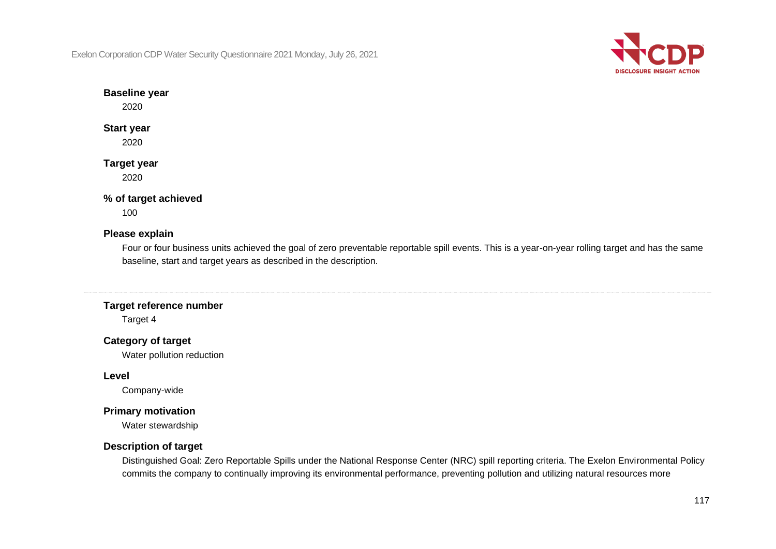Exelon Corporation CDP Water Security Questionnaire 2021 Monday, July 26, 2021



## **Baseline year**

2020

## **Start year**

2020

# **Target year**

2020

## **% of target achieved**

100

## **Please explain**

Four or four business units achieved the goal of zero preventable reportable spill events. This is a year-on-year rolling target and has the same baseline, start and target years as described in the description.

## **Target reference number**

Target 4

## **Category of target**

Water pollution reduction

## **Level**

Company-wide

## **Primary motivation**

Water stewardship

## **Description of target**

Distinguished Goal: Zero Reportable Spills under the National Response Center (NRC) spill reporting criteria. The Exelon Environmental Policy commits the company to continually improving its environmental performance, preventing pollution and utilizing natural resources more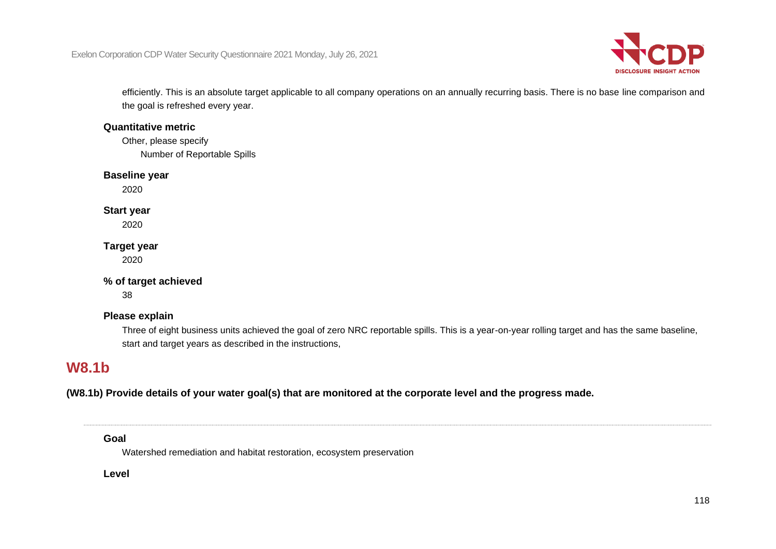

efficiently. This is an absolute target applicable to all company operations on an annually recurring basis. There is no base line comparison and the goal is refreshed every year.

## **Quantitative metric**

Other, please specify Number of Reportable Spills

## **Baseline year**

2020

## **Start year**

2020

## **Target year**

2020

## **% of target achieved**

38

## **Please explain**

Three of eight business units achieved the goal of zero NRC reportable spills. This is a year-on-year rolling target and has the same baseline, start and target years as described in the instructions,

## **W8.1b**

**(W8.1b) Provide details of your water goal(s) that are monitored at the corporate level and the progress made.**

**Goal**

Watershed remediation and habitat restoration, ecosystem preservation

**Level**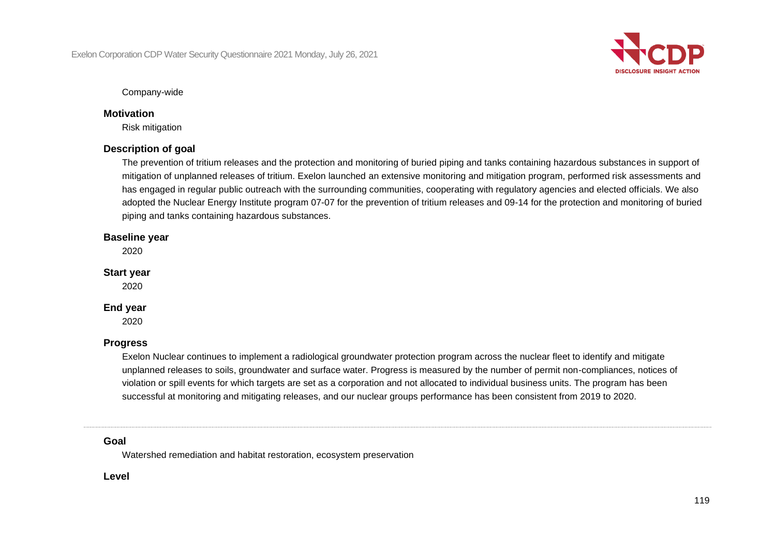

Company-wide

## **Motivation**

Risk mitigation

## **Description of goal**

The prevention of tritium releases and the protection and monitoring of buried piping and tanks containing hazardous substances in support of mitigation of unplanned releases of tritium. Exelon launched an extensive monitoring and mitigation program, performed risk assessments and has engaged in regular public outreach with the surrounding communities, cooperating with regulatory agencies and elected officials. We also adopted the Nuclear Energy Institute program 07-07 for the prevention of tritium releases and 09-14 for the protection and monitoring of buried piping and tanks containing hazardous substances.

## **Baseline year**

2020

## **Start year**

2020

## **End year**

2020

## **Progress**

Exelon Nuclear continues to implement a radiological groundwater protection program across the nuclear fleet to identify and mitigate unplanned releases to soils, groundwater and surface water. Progress is measured by the number of permit non-compliances, notices of violation or spill events for which targets are set as a corporation and not allocated to individual business units. The program has been successful at monitoring and mitigating releases, and our nuclear groups performance has been consistent from 2019 to 2020.

## **Goal**

Watershed remediation and habitat restoration, ecosystem preservation

**Level**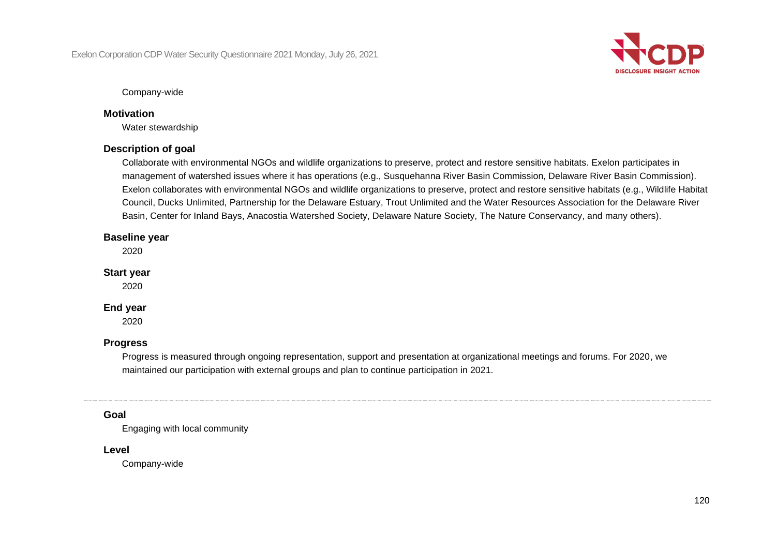

Company-wide

## **Motivation**

Water stewardship

## **Description of goal**

Collaborate with environmental NGOs and wildlife organizations to preserve, protect and restore sensitive habitats. Exelon participates in management of watershed issues where it has operations (e.g., Susquehanna River Basin Commission, Delaware River Basin Commission). Exelon collaborates with environmental NGOs and wildlife organizations to preserve, protect and restore sensitive habitats (e.g., Wildlife Habitat Council, Ducks Unlimited, Partnership for the Delaware Estuary, Trout Unlimited and the Water Resources Association for the Delaware River Basin, Center for Inland Bays, Anacostia Watershed Society, Delaware Nature Society, The Nature Conservancy, and many others).

## **Baseline year**

2020

## **Start year**

2020

## **End year**

2020

## **Progress**

Progress is measured through ongoing representation, support and presentation at organizational meetings and forums. For 2020, we maintained our participation with external groups and plan to continue participation in 2021.

## **Goal**

Engaging with local community

#### **Level**

Company-wide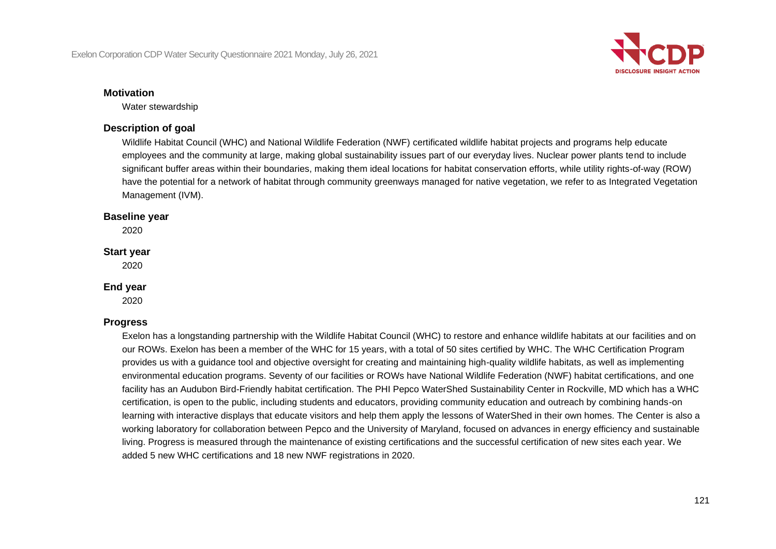

#### **Motivation**

Water stewardship

## **Description of goal**

Wildlife Habitat Council (WHC) and National Wildlife Federation (NWF) certificated wildlife habitat projects and programs help educate employees and the community at large, making global sustainability issues part of our everyday lives. Nuclear power plants tend to include significant buffer areas within their boundaries, making them ideal locations for habitat conservation efforts, while utility rights-of-way (ROW) have the potential for a network of habitat through community greenways managed for native vegetation, we refer to as Integrated Vegetation Management (IVM).

#### **Baseline year**

2020

#### **Start year**

2020

#### **End year**

2020

## **Progress**

Exelon has a longstanding partnership with the Wildlife Habitat Council (WHC) to restore and enhance wildlife habitats at our facilities and on our ROWs. Exelon has been a member of the WHC for 15 years, with a total of 50 sites certified by WHC. The WHC Certification Program provides us with a guidance tool and objective oversight for creating and maintaining high-quality wildlife habitats, as well as implementing environmental education programs. Seventy of our facilities or ROWs have National Wildlife Federation (NWF) habitat certifications, and one facility has an Audubon Bird-Friendly habitat certification. The PHI Pepco WaterShed Sustainability Center in Rockville, MD which has a WHC certification, is open to the public, including students and educators, providing community education and outreach by combining hands-on learning with interactive displays that educate visitors and help them apply the lessons of WaterShed in their own homes. The Center is also a working laboratory for collaboration between Pepco and the University of Maryland, focused on advances in energy efficiency and sustainable living. Progress is measured through the maintenance of existing certifications and the successful certification of new sites each year. We added 5 new WHC certifications and 18 new NWF registrations in 2020.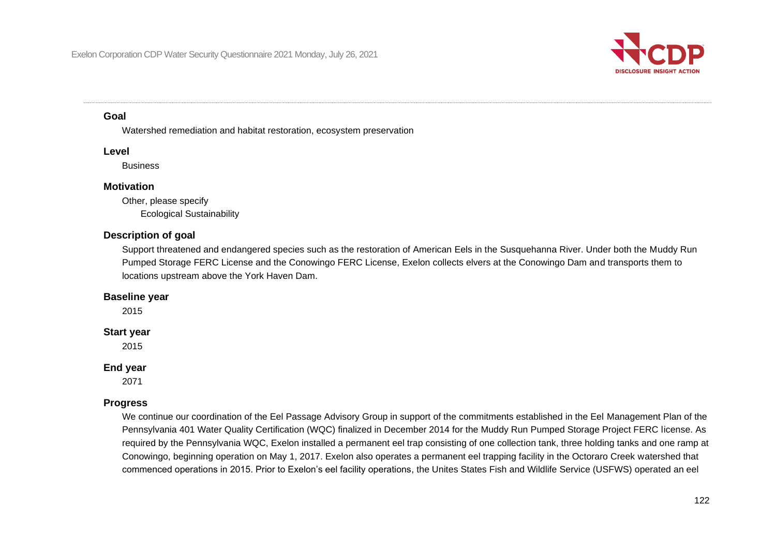

#### **Goal**

Watershed remediation and habitat restoration, ecosystem preservation

#### **Level**

**Business** 

#### **Motivation**

Other, please specify Ecological Sustainability

## **Description of goal**

Support threatened and endangered species such as the restoration of American Eels in the Susquehanna River. Under both the Muddy Run Pumped Storage FERC License and the Conowingo FERC License, Exelon collects elvers at the Conowingo Dam and transports them to locations upstream above the York Haven Dam.

#### **Baseline year**

2015

## **Start year**

2015

#### **End year**

2071

## **Progress**

We continue our coordination of the Eel Passage Advisory Group in support of the commitments established in the Eel Management Plan of the Pennsylvania 401 Water Quality Certification (WQC) finalized in December 2014 for the Muddy Run Pumped Storage Project FERC license. As required by the Pennsylvania WQC, Exelon installed a permanent eel trap consisting of one collection tank, three holding tanks and one ramp at Conowingo, beginning operation on May 1, 2017. Exelon also operates a permanent eel trapping facility in the Octoraro Creek watershed that commenced operations in 2015. Prior to Exelon's eel facility operations, the Unites States Fish and Wildlife Service (USFWS) operated an eel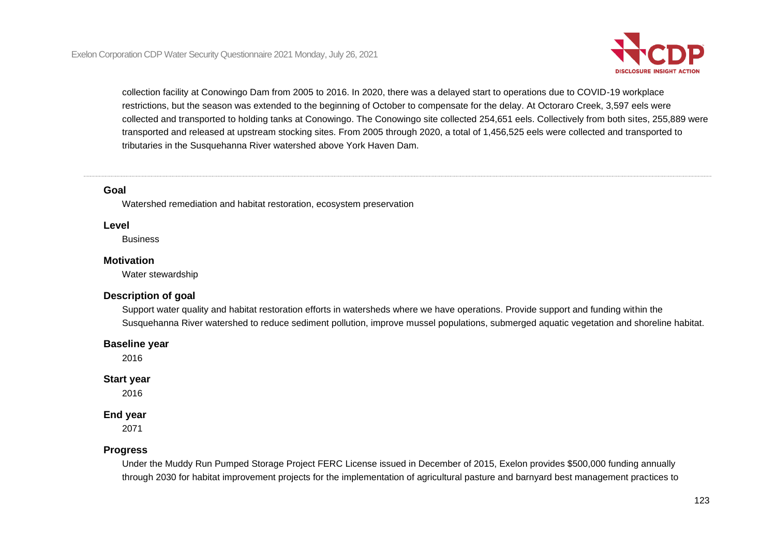

collection facility at Conowingo Dam from 2005 to 2016. In 2020, there was a delayed start to operations due to COVID-19 workplace restrictions, but the season was extended to the beginning of October to compensate for the delay. At Octoraro Creek, 3,597 eels were collected and transported to holding tanks at Conowingo. The Conowingo site collected 254,651 eels. Collectively from both sites, 255,889 were transported and released at upstream stocking sites. From 2005 through 2020, a total of 1,456,525 eels were collected and transported to tributaries in the Susquehanna River watershed above York Haven Dam.

#### **Goal**

Watershed remediation and habitat restoration, ecosystem preservation

#### **Level**

**Business** 

#### **Motivation**

Water stewardship

#### **Description of goal**

Support water quality and habitat restoration efforts in watersheds where we have operations. Provide support and funding within the Susquehanna River watershed to reduce sediment pollution, improve mussel populations, submerged aquatic vegetation and shoreline habitat.

#### **Baseline year**

2016

#### **Start year**

2016

#### **End year**

2071

#### **Progress**

Under the Muddy Run Pumped Storage Project FERC License issued in December of 2015, Exelon provides \$500,000 funding annually through 2030 for habitat improvement projects for the implementation of agricultural pasture and barnyard best management practices to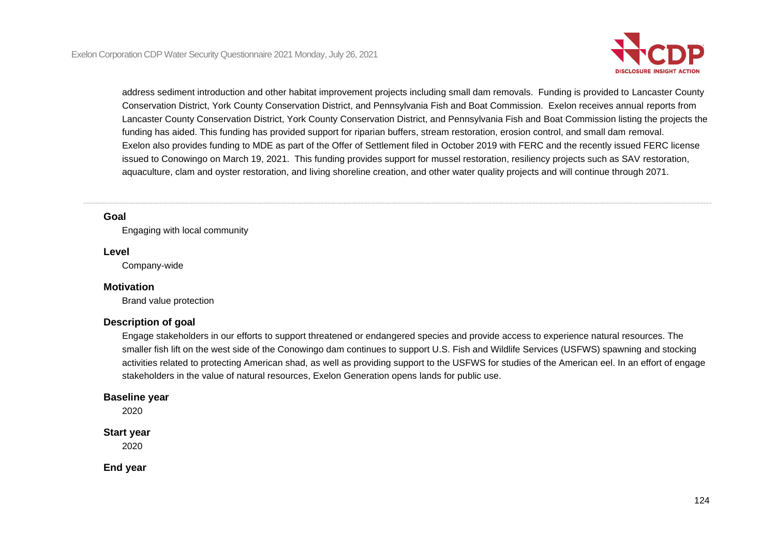

address sediment introduction and other habitat improvement projects including small dam removals. Funding is provided to Lancaster County Conservation District, York County Conservation District, and Pennsylvania Fish and Boat Commission. Exelon receives annual reports from Lancaster County Conservation District, York County Conservation District, and Pennsylvania Fish and Boat Commission listing the projects the funding has aided. This funding has provided support for riparian buffers, stream restoration, erosion control, and small dam removal. Exelon also provides funding to MDE as part of the Offer of Settlement filed in October 2019 with FERC and the recently issued FERC license issued to Conowingo on March 19, 2021. This funding provides support for mussel restoration, resiliency projects such as SAV restoration, aquaculture, clam and oyster restoration, and living shoreline creation, and other water quality projects and will continue through 2071.

#### **Goal**

Engaging with local community

#### **Level**

Company-wide

#### **Motivation**

Brand value protection

#### **Description of goal**

Engage stakeholders in our efforts to support threatened or endangered species and provide access to experience natural resources. The smaller fish lift on the west side of the Conowingo dam continues to support U.S. Fish and Wildlife Services (USFWS) spawning and stocking activities related to protecting American shad, as well as providing support to the USFWS for studies of the American eel. In an effort of engage stakeholders in the value of natural resources, Exelon Generation opens lands for public use.

### **Baseline year**

2020

## **Start year**

2020

**End year**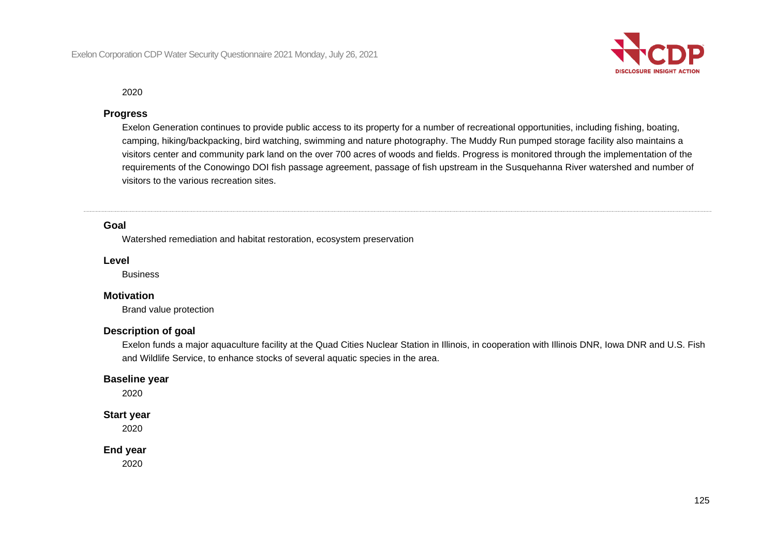

#### 2020

#### **Progress**

Exelon Generation continues to provide public access to its property for a number of recreational opportunities, including fishing, boating, camping, hiking/backpacking, bird watching, swimming and nature photography. The Muddy Run pumped storage facility also maintains a visitors center and community park land on the over 700 acres of woods and fields. Progress is monitored through the implementation of the requirements of the Conowingo DOI fish passage agreement, passage of fish upstream in the Susquehanna River watershed and number of visitors to the various recreation sites.

## **Goal**

Watershed remediation and habitat restoration, ecosystem preservation

#### **Level**

**Business** 

### **Motivation**

Brand value protection

#### **Description of goal**

Exelon funds a major aquaculture facility at the Quad Cities Nuclear Station in Illinois, in cooperation with Illinois DNR, Iowa DNR and U.S. Fish and Wildlife Service, to enhance stocks of several aquatic species in the area.

#### **Baseline year**

2020

#### **Start year**

2020

#### **End year**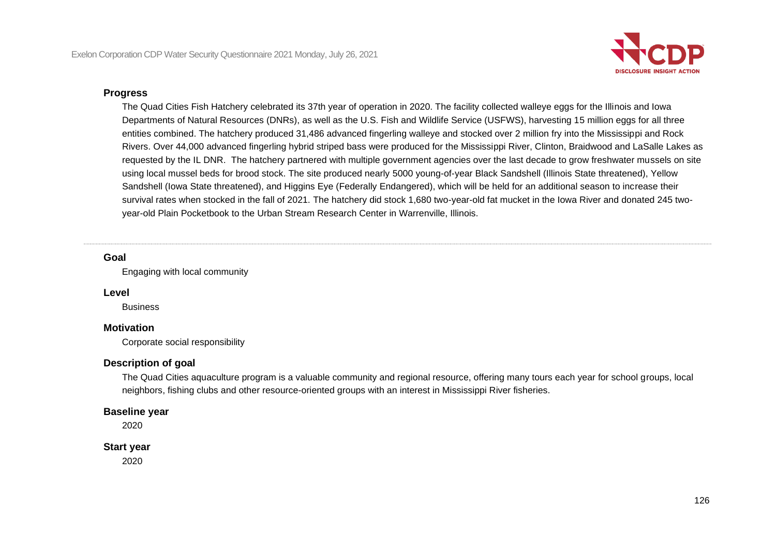

#### **Progress**

The Quad Cities Fish Hatchery celebrated its 37th year of operation in 2020. The facility collected walleye eggs for the Illinois and Iowa Departments of Natural Resources (DNRs), as well as the U.S. Fish and Wildlife Service (USFWS), harvesting 15 million eggs for all three entities combined. The hatchery produced 31,486 advanced fingerling walleye and stocked over 2 million fry into the Mississippi and Rock Rivers. Over 44,000 advanced fingerling hybrid striped bass were produced for the Mississippi River, Clinton, Braidwood and LaSalle Lakes as requested by the IL DNR. The hatchery partnered with multiple government agencies over the last decade to grow freshwater mussels on site using local mussel beds for brood stock. The site produced nearly 5000 young-of-year Black Sandshell (Illinois State threatened), Yellow Sandshell (Iowa State threatened), and Higgins Eye (Federally Endangered), which will be held for an additional season to increase their survival rates when stocked in the fall of 2021. The hatchery did stock 1,680 two-year-old fat mucket in the Iowa River and donated 245 twoyear-old Plain Pocketbook to the Urban Stream Research Center in Warrenville, Illinois.

#### **Goal**

Engaging with local community

#### **Level**

**Business** 

#### **Motivation**

Corporate social responsibility

#### **Description of goal**

The Quad Cities aquaculture program is a valuable community and regional resource, offering many tours each year for school groups, local neighbors, fishing clubs and other resource-oriented groups with an interest in Mississippi River fisheries.

#### **Baseline year**

2020

#### **Start year**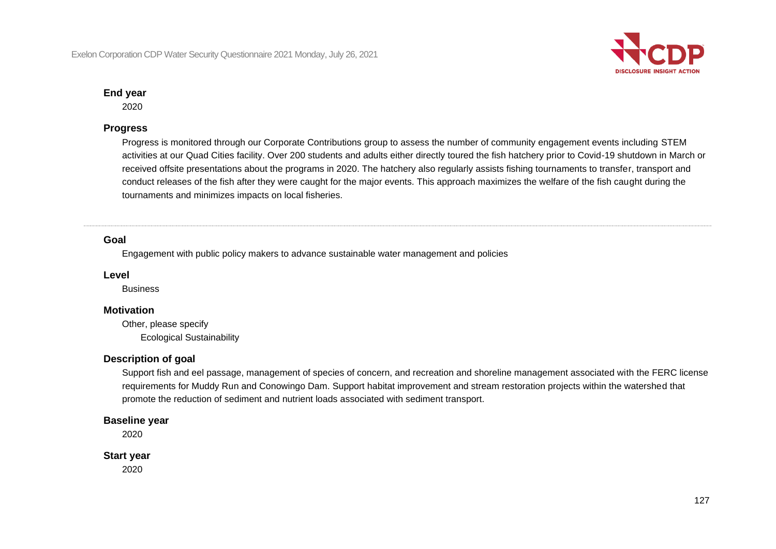

2020

## **Progress**

Progress is monitored through our Corporate Contributions group to assess the number of community engagement events including STEM activities at our Quad Cities facility. Over 200 students and adults either directly toured the fish hatchery prior to Covid-19 shutdown in March or received offsite presentations about the programs in 2020. The hatchery also regularly assists fishing tournaments to transfer, transport and conduct releases of the fish after they were caught for the major events. This approach maximizes the welfare of the fish caught during the tournaments and minimizes impacts on local fisheries.

#### **Goal**

Engagement with public policy makers to advance sustainable water management and policies

#### **Level**

**Business** 

#### **Motivation**

Other, please specify Ecological Sustainability

## **Description of goal**

Support fish and eel passage, management of species of concern, and recreation and shoreline management associated with the FERC license requirements for Muddy Run and Conowingo Dam. Support habitat improvement and stream restoration projects within the watershed that promote the reduction of sediment and nutrient loads associated with sediment transport.

#### **Baseline year**

2020

#### **Start year**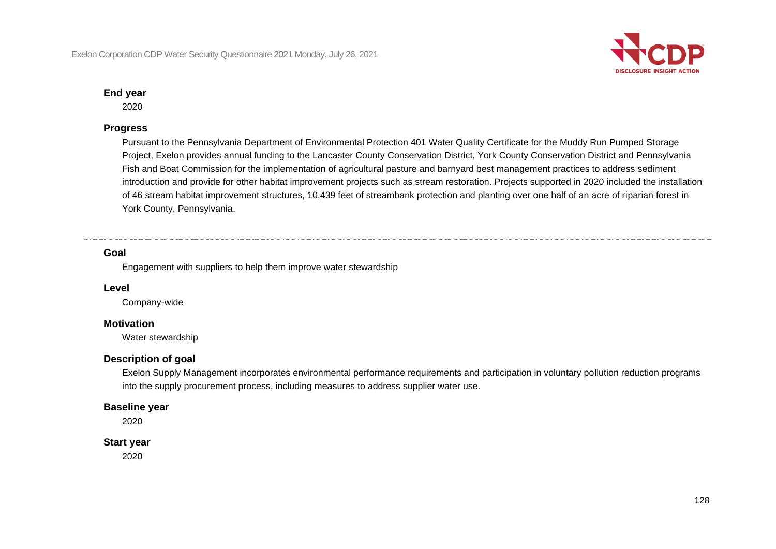

2020

## **Progress**

Pursuant to the Pennsylvania Department of Environmental Protection 401 Water Quality Certificate for the Muddy Run Pumped Storage Project, Exelon provides annual funding to the Lancaster County Conservation District, York County Conservation District and Pennsylvania Fish and Boat Commission for the implementation of agricultural pasture and barnyard best management practices to address sediment introduction and provide for other habitat improvement projects such as stream restoration. Projects supported in 2020 included the installation of 46 stream habitat improvement structures, 10,439 feet of streambank protection and planting over one half of an acre of riparian forest in York County, Pennsylvania.

## **Goal**

Engagement with suppliers to help them improve water stewardship

#### **Level**

Company-wide

## **Motivation**

Water stewardship

## **Description of goal**

Exelon Supply Management incorporates environmental performance requirements and participation in voluntary pollution reduction programs into the supply procurement process, including measures to address supplier water use.

#### **Baseline year**

2020

#### **Start year**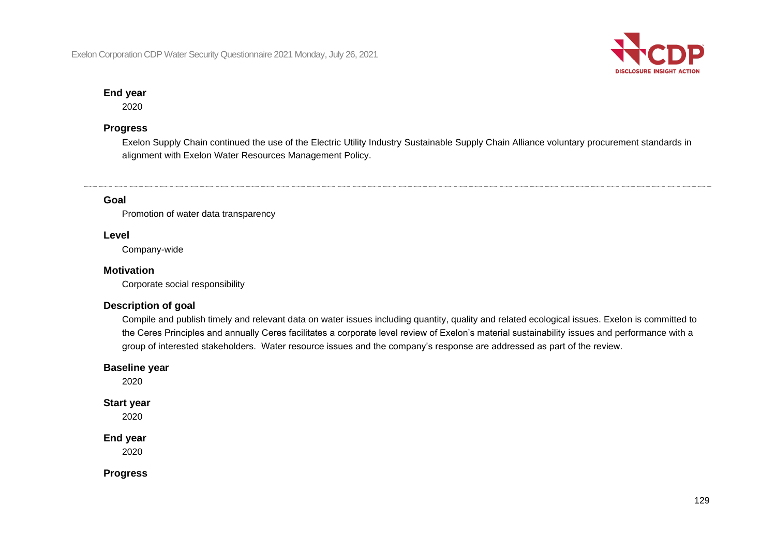

2020

## **Progress**

Exelon Supply Chain continued the use of the Electric Utility Industry Sustainable Supply Chain Alliance voluntary procurement standards in alignment with Exelon Water Resources Management Policy.

## **Goal**

Promotion of water data transparency

#### **Level**

Company-wide

## **Motivation**

Corporate social responsibility

## **Description of goal**

Compile and publish timely and relevant data on water issues including quantity, quality and related ecological issues. Exelon is committed to the Ceres Principles and annually Ceres facilitates a corporate level review of Exelon's material sustainability issues and performance with a group of interested stakeholders. Water resource issues and the company's response are addressed as part of the review.

#### **Baseline year**

2020

## **Start year**

2020

## **End year**

2020

**Progress**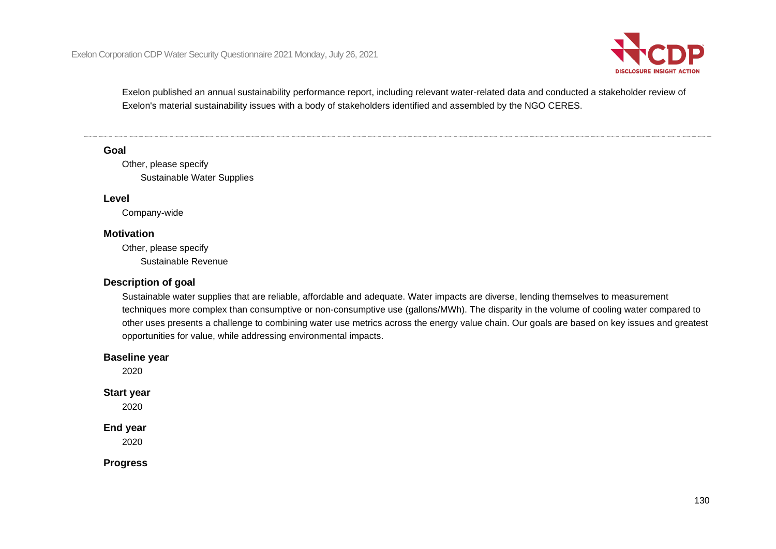

Exelon published an annual sustainability performance report, including relevant water-related data and conducted a stakeholder review of Exelon's material sustainability issues with a body of stakeholders identified and assembled by the NGO CERES.

#### **Goal**

Other, please specify Sustainable Water Supplies

#### **Level**

Company-wide

#### **Motivation**

Other, please specify Sustainable Revenue

## **Description of goal**

Sustainable water supplies that are reliable, affordable and adequate. Water impacts are diverse, lending themselves to measurement techniques more complex than consumptive or non-consumptive use (gallons/MWh). The disparity in the volume of cooling water compared to other uses presents a challenge to combining water use metrics across the energy value chain. Our goals are based on key issues and greatest opportunities for value, while addressing environmental impacts.

#### **Baseline year**

2020

#### **Start year**

2020

#### **End year**

2020

**Progress**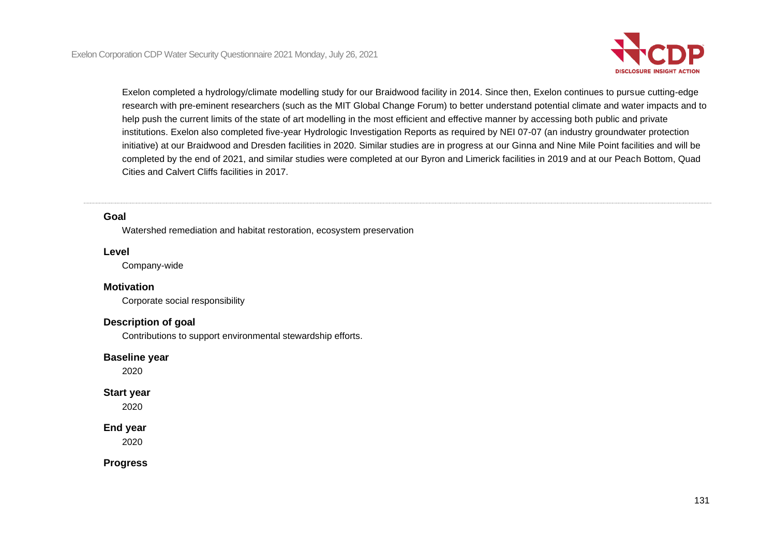

Exelon completed a hydrology/climate modelling study for our Braidwood facility in 2014. Since then, Exelon continues to pursue cutting-edge research with pre-eminent researchers (such as the MIT Global Change Forum) to better understand potential climate and water impacts and to help push the current limits of the state of art modelling in the most efficient and effective manner by accessing both public and private institutions. Exelon also completed five-year Hydrologic Investigation Reports as required by NEI 07-07 (an industry groundwater protection initiative) at our Braidwood and Dresden facilities in 2020. Similar studies are in progress at our Ginna and Nine Mile Point facilities and will be completed by the end of 2021, and similar studies were completed at our Byron and Limerick facilities in 2019 and at our Peach Bottom, Quad Cities and Calvert Cliffs facilities in 2017.

#### **Goal**

Watershed remediation and habitat restoration, ecosystem preservation

#### **Level**

Company-wide

#### **Motivation**

Corporate social responsibility

#### **Description of goal**

Contributions to support environmental stewardship efforts.

#### **Baseline year**

2020

#### **Start year**

2020

#### **End year**

2020

**Progress**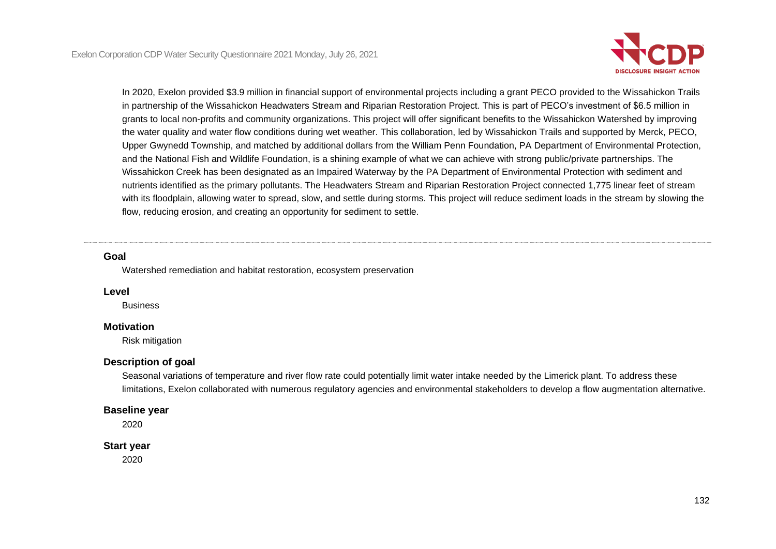

In 2020, Exelon provided \$3.9 million in financial support of environmental projects including a grant PECO provided to the Wissahickon Trails in partnership of the Wissahickon Headwaters Stream and Riparian Restoration Project. This is part of PECO's investment of \$6.5 million in grants to local non-profits and community organizations. This project will offer significant benefits to the Wissahickon Watershed by improving the water quality and water flow conditions during wet weather. This collaboration, led by Wissahickon Trails and supported by Merck, PECO, Upper Gwynedd Township, and matched by additional dollars from the William Penn Foundation, PA Department of Environmental Protection, and the National Fish and Wildlife Foundation, is a shining example of what we can achieve with strong public/private partnerships. The Wissahickon Creek has been designated as an Impaired Waterway by the PA Department of Environmental Protection with sediment and nutrients identified as the primary pollutants. The Headwaters Stream and Riparian Restoration Project connected 1,775 linear feet of stream with its floodplain, allowing water to spread, slow, and settle during storms. This project will reduce sediment loads in the stream by slowing the flow, reducing erosion, and creating an opportunity for sediment to settle.

#### **Goal**

Watershed remediation and habitat restoration, ecosystem preservation

#### **Level**

Business

## **Motivation**

Risk mitigation

## **Description of goal**

Seasonal variations of temperature and river flow rate could potentially limit water intake needed by the Limerick plant. To address these limitations, Exelon collaborated with numerous regulatory agencies and environmental stakeholders to develop a flow augmentation alternative.

## **Baseline year**

2020

## **Start year**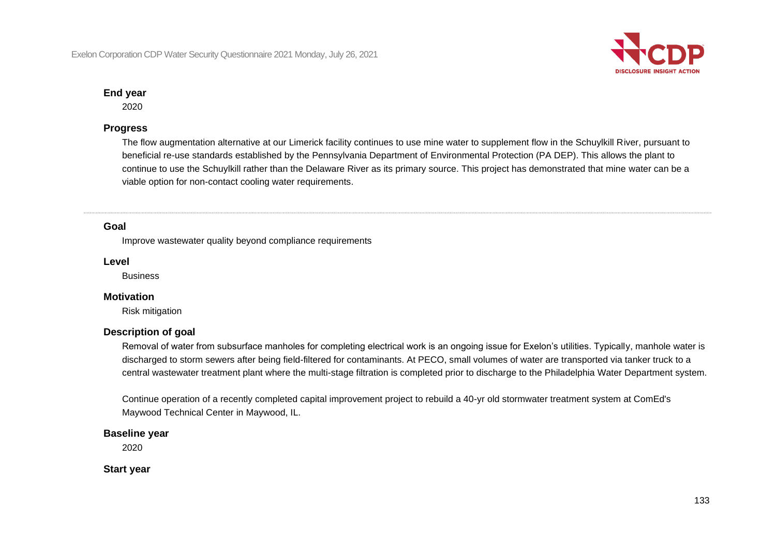

2020

## **Progress**

The flow augmentation alternative at our Limerick facility continues to use mine water to supplement flow in the Schuylkill River, pursuant to beneficial re-use standards established by the Pennsylvania Department of Environmental Protection (PA DEP). This allows the plant to continue to use the Schuylkill rather than the Delaware River as its primary source. This project has demonstrated that mine water can be a viable option for non-contact cooling water requirements.

## **Goal**

Improve wastewater quality beyond compliance requirements

#### **Level**

**Business** 

## **Motivation**

Risk mitigation

## **Description of goal**

Removal of water from subsurface manholes for completing electrical work is an ongoing issue for Exelon's utilities. Typically, manhole water is discharged to storm sewers after being field-filtered for contaminants. At PECO, small volumes of water are transported via tanker truck to a central wastewater treatment plant where the multi-stage filtration is completed prior to discharge to the Philadelphia Water Department system.

Continue operation of a recently completed capital improvement project to rebuild a 40-yr old stormwater treatment system at ComEd's Maywood Technical Center in Maywood, IL.

## **Baseline year**

2020

**Start year**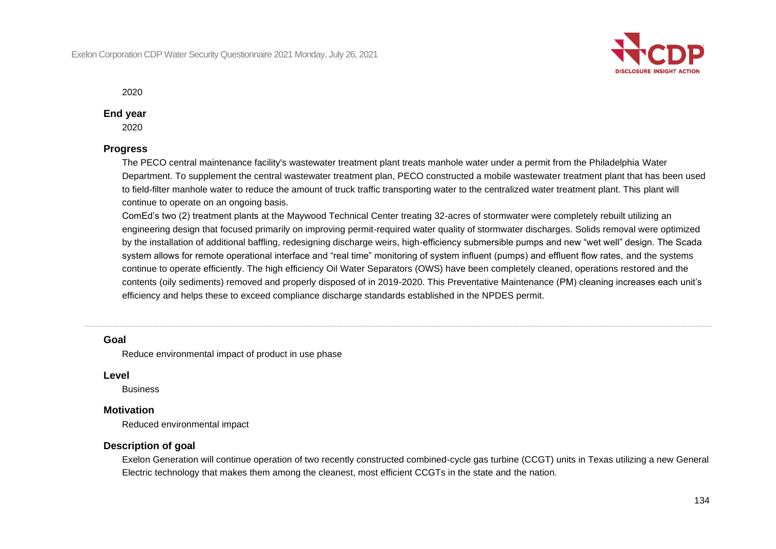

2020

#### **End year**

2020

## **Progress**

The PECO central maintenance facility's wastewater treatment plant treats manhole water under a permit from the Philadelphia Water Department. To supplement the central wastewater treatment plan, PECO constructed a mobile wastewater treatment plant that has been used to field-filter manhole water to reduce the amount of truck traffic transporting water to the centralized water treatment plant. This plant will continue to operate on an ongoing basis.

ComEd's two (2) treatment plants at the Maywood Technical Center treating 32-acres of stormwater were completely rebuilt utilizing an engineering design that focused primarily on improving permit-required water quality of stormwater discharges. Solids removal were optimized by the installation of additional baffling, redesigning discharge weirs, high-efficiency submersible pumps and new "wet well" design. The Scada system allows for remote operational interface and "real time" monitoring of system influent (pumps) and effluent flow rates, and the systems continue to operate efficiently. The high efficiency Oil Water Separators (OWS) have been completely cleaned, operations restored and the contents (oily sediments) removed and properly disposed of in 2019-2020. This Preventative Maintenance (PM) cleaning increases each unit's efficiency and helps these to exceed compliance discharge standards established in the NPDES permit.

#### **Goal**

Reduce environmental impact of product in use phase

#### **Level**

**Business** 

#### **Motivation**

Reduced environmental impact

## **Description of goal**

Exelon Generation will continue operation of two recently constructed combined-cycle gas turbine (CCGT) units in Texas utilizing a new General Electric technology that makes them among the cleanest, most efficient CCGTs in the state and the nation.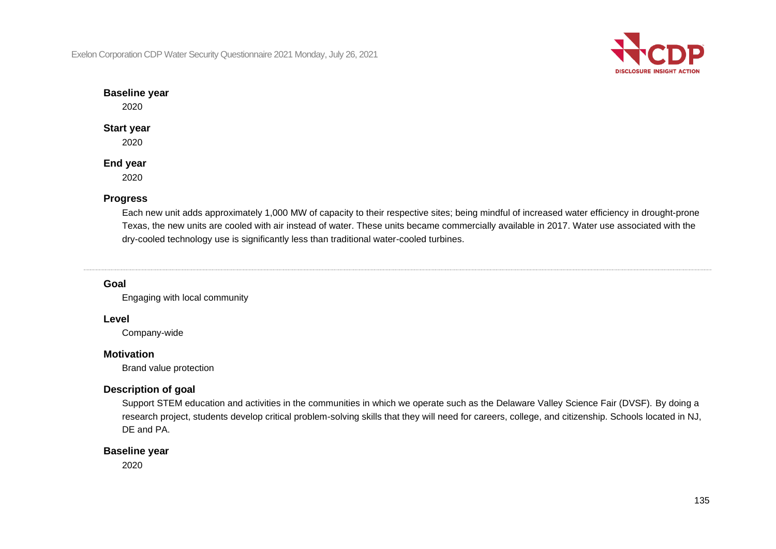Exelon Corporation CDP Water Security Questionnaire 2021 Monday, July 26, 2021



## **Baseline year**

2020

## **Start year**

2020

## **End year**

2020

## **Progress**

Each new unit adds approximately 1,000 MW of capacity to their respective sites; being mindful of increased water efficiency in drought-prone Texas, the new units are cooled with air instead of water. These units became commercially available in 2017. Water use associated with the dry-cooled technology use is significantly less than traditional water-cooled turbines.

## **Goal**

Engaging with local community

## **Level**

Company-wide

## **Motivation**

Brand value protection

## **Description of goal**

Support STEM education and activities in the communities in which we operate such as the Delaware Valley Science Fair (DVSF). By doing a research project, students develop critical problem-solving skills that they will need for careers, college, and citizenship. Schools located in NJ, DE and PA.

## **Baseline year**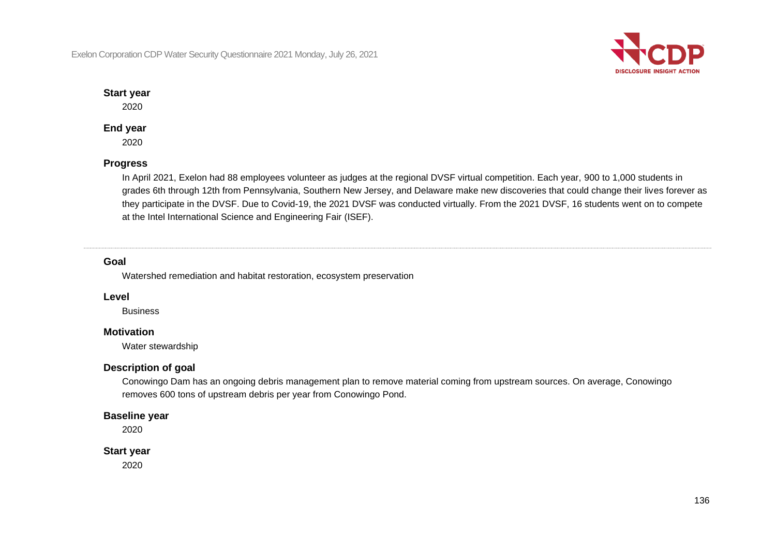Exelon Corporation CDP Water Security Questionnaire 2021 Monday, July 26, 2021



## **Start year**

2020

## **End year**

2020

## **Progress**

In April 2021, Exelon had 88 employees volunteer as judges at the regional DVSF virtual competition. Each year, 900 to 1,000 students in grades 6th through 12th from Pennsylvania, Southern New Jersey, and Delaware make new discoveries that could change their lives forever as they participate in the DVSF. Due to Covid-19, the 2021 DVSF was conducted virtually. From the 2021 DVSF, 16 students went on to compete at the Intel International Science and Engineering Fair (ISEF).

## **Goal**

Watershed remediation and habitat restoration, ecosystem preservation

## **Level**

**Business** 

## **Motivation**

Water stewardship

## **Description of goal**

Conowingo Dam has an ongoing debris management plan to remove material coming from upstream sources. On average, Conowingo removes 600 tons of upstream debris per year from Conowingo Pond.

## **Baseline year**

2020

## **Start year**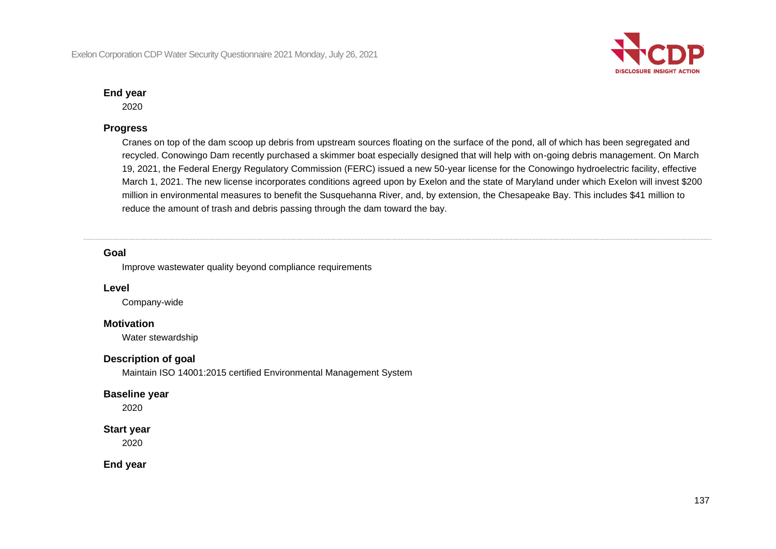

2020

## **Progress**

Cranes on top of the dam scoop up debris from upstream sources floating on the surface of the pond, all of which has been segregated and recycled. Conowingo Dam recently purchased a skimmer boat especially designed that will help with on-going debris management. On March 19, 2021, the Federal Energy Regulatory Commission (FERC) issued a new 50-year license for the Conowingo hydroelectric facility, effective March 1, 2021. The new license incorporates conditions agreed upon by Exelon and the state of Maryland under which Exelon will invest \$200 million in environmental measures to benefit the Susquehanna River, and, by extension, the Chesapeake Bay. This includes \$41 million to reduce the amount of trash and debris passing through the dam toward the bay.

## **Goal**

Improve wastewater quality beyond compliance requirements

#### **Level**

Company-wide

## **Motivation**

Water stewardship

## **Description of goal**

Maintain ISO 14001:2015 certified Environmental Management System

#### **Baseline year**

2020

#### **Start year**

2020

**End year**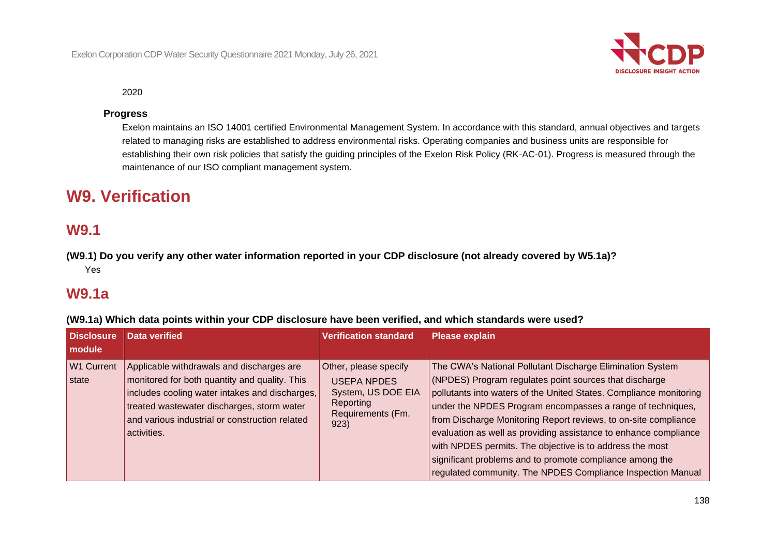

2020

## **Progress**

Exelon maintains an ISO 14001 certified Environmental Management System. In accordance with this standard, annual objectives and targets related to managing risks are established to address environmental risks. Operating companies and business units are responsible for establishing their own risk policies that satisfy the guiding principles of the Exelon Risk Policy (RK-AC-01). Progress is measured through the maintenance of our ISO compliant management system.

# **W9. Verification**

## **W9.1**

**(W9.1) Do you verify any other water information reported in your CDP disclosure (not already covered by W5.1a)?** Yes

## **W9.1a**

|  | (W9.1a) Which data points within your CDP disclosure have been verified, and which standards were used? |  |
|--|---------------------------------------------------------------------------------------------------------|--|
|--|---------------------------------------------------------------------------------------------------------|--|

| <b>Disclosure</b><br>module | Data verified                                                                                                                                                                                                                                               | <b>Verification standard</b>                                                                                | <b>Please explain</b>                                                                                                                                                                                                                                                                                                                                                                                                                                                                                                                                                                 |
|-----------------------------|-------------------------------------------------------------------------------------------------------------------------------------------------------------------------------------------------------------------------------------------------------------|-------------------------------------------------------------------------------------------------------------|---------------------------------------------------------------------------------------------------------------------------------------------------------------------------------------------------------------------------------------------------------------------------------------------------------------------------------------------------------------------------------------------------------------------------------------------------------------------------------------------------------------------------------------------------------------------------------------|
| <b>W1 Current</b><br>state  | Applicable withdrawals and discharges are<br>monitored for both quantity and quality. This<br>includes cooling water intakes and discharges,<br>treated wastewater discharges, storm water<br>and various industrial or construction related<br>activities. | Other, please specify<br><b>USEPA NPDES</b><br>System, US DOE EIA<br>Reporting<br>Requirements (Fm.<br>923) | The CWA's National Pollutant Discharge Elimination System<br>(NPDES) Program regulates point sources that discharge<br>pollutants into waters of the United States. Compliance monitoring<br>under the NPDES Program encompasses a range of techniques,<br>from Discharge Monitoring Report reviews, to on-site compliance<br>evaluation as well as providing assistance to enhance compliance<br>with NPDES permits. The objective is to address the most<br>significant problems and to promote compliance among the<br>regulated community. The NPDES Compliance Inspection Manual |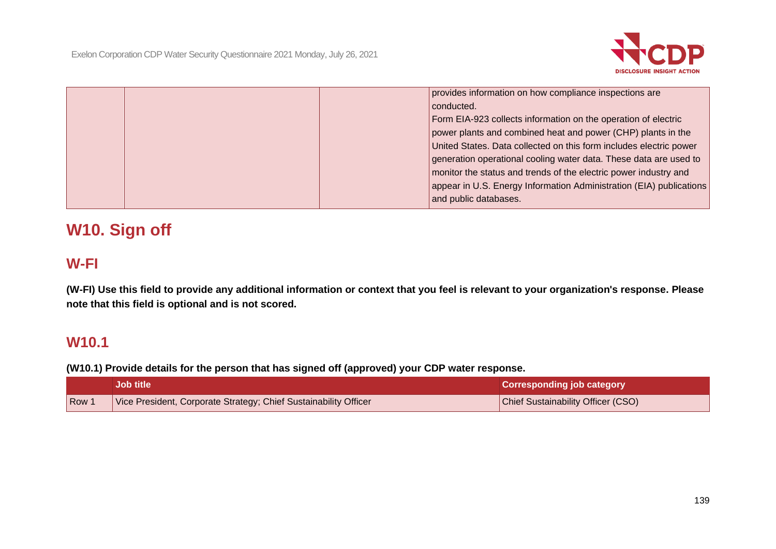

| provides information on how compliance inspections are              |
|---------------------------------------------------------------------|
| conducted.                                                          |
| Form EIA-923 collects information on the operation of electric      |
| power plants and combined heat and power (CHP) plants in the        |
| United States. Data collected on this form includes electric power  |
| generation operational cooling water data. These data are used to   |
| monitor the status and trends of the electric power industry and    |
| appear in U.S. Energy Information Administration (EIA) publications |
| and public databases.                                               |

# **W10. Sign off**

# **W-FI**

**(W-FI) Use this field to provide any additional information or context that you feel is relevant to your organization's response. Please note that this field is optional and is not scored.**

## **W10.1**

**(W10.1) Provide details for the person that has signed off (approved) your CDP water response.**

|       | <b>Job title</b>                                                 | <b>Corresponding job category</b>  |
|-------|------------------------------------------------------------------|------------------------------------|
| Row 1 | Vice President, Corporate Strategy; Chief Sustainability Officer | Chief Sustainability Officer (CSO) |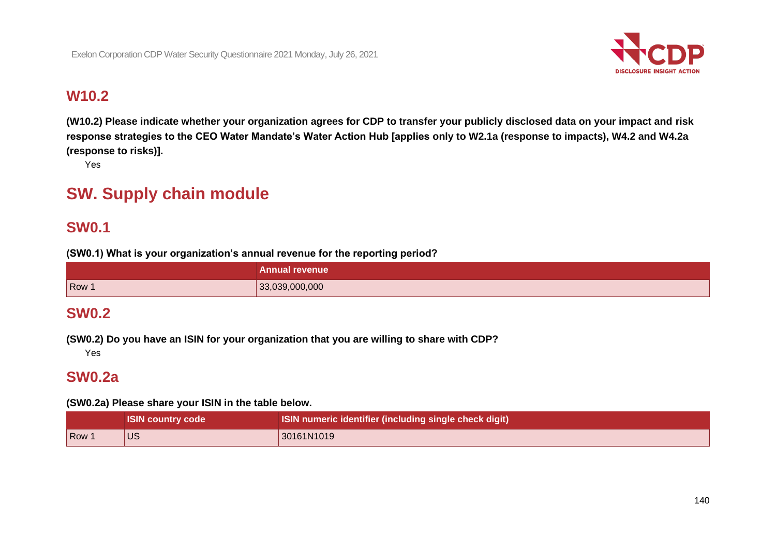

# **W10.2**

**(W10.2) Please indicate whether your organization agrees for CDP to transfer your publicly disclosed data on your impact and risk response strategies to the CEO Water Mandate's Water Action Hub [applies only to W2.1a (response to impacts), W4.2 and W4.2a (response to risks)].**

Yes

# **SW. Supply chain module**

# **SW0.1**

**(SW0.1) What is your organization's annual revenue for the reporting period?**

|       | <b>Annual revenue</b> |
|-------|-----------------------|
| Row 1 | 33,039,000,000        |

## **SW0.2**

**(SW0.2) Do you have an ISIN for your organization that you are willing to share with CDP?**

Yes

# **SW0.2a**

**(SW0.2a) Please share your ISIN in the table below.**

|     | <b>ISIN country code</b> | ISIN numeric identifier (including single check digit) |
|-----|--------------------------|--------------------------------------------------------|
| Row | <b>US</b>                | 30161N1019                                             |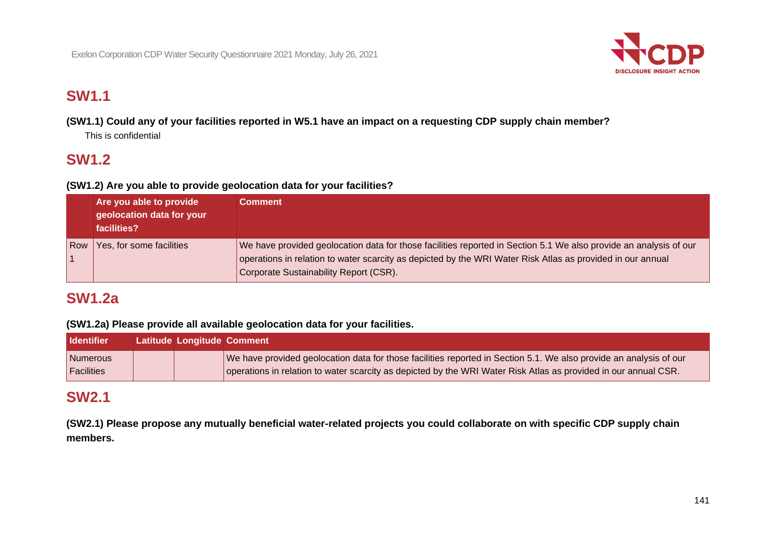

# **SW1.1**

**(SW1.1) Could any of your facilities reported in W5.1 have an impact on a requesting CDP supply chain member?**

This is confidential

# **SW1.2**

## **(SW1.2) Are you able to provide geolocation data for your facilities?**

|       | Are you able to provide<br>geolocation data for your<br>facilities? | Comment                                                                                                                                                                                                                                                                   |
|-------|---------------------------------------------------------------------|---------------------------------------------------------------------------------------------------------------------------------------------------------------------------------------------------------------------------------------------------------------------------|
| l Row | Yes, for some facilities                                            | We have provided geolocation data for those facilities reported in Section 5.1 We also provide an analysis of our<br>operations in relation to water scarcity as depicted by the WRI Water Risk Atlas as provided in our annual<br>Corporate Sustainability Report (CSR). |

# **SW1.2a**

## **(SW1.2a) Please provide all available geolocation data for your facilities.**

| <b>Identifier</b> | Latitude Longitude Comment |                                                                                                                    |
|-------------------|----------------------------|--------------------------------------------------------------------------------------------------------------------|
| Numerous          |                            | We have provided geolocation data for those facilities reported in Section 5.1. We also provide an analysis of our |
| <b>Facilities</b> |                            | operations in relation to water scarcity as depicted by the WRI Water Risk Atlas as provided in our annual CSR.    |

## **SW2.1**

**(SW2.1) Please propose any mutually beneficial water-related projects you could collaborate on with specific CDP supply chain members.**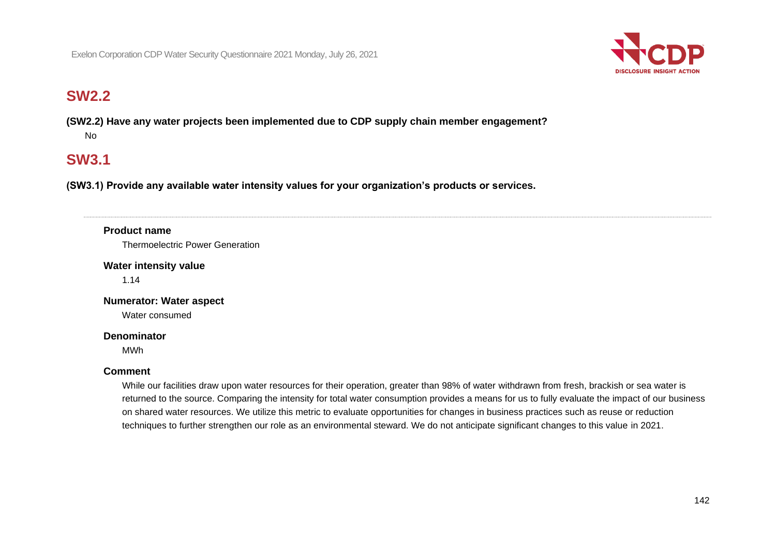

# **SW2.2**

**(SW2.2) Have any water projects been implemented due to CDP supply chain member engagement?** No

# **SW3.1**

**(SW3.1) Provide any available water intensity values for your organization's products or services.**

## **Product name**

Thermoelectric Power Generation

**Water intensity value**

1.14

**Numerator: Water aspect** Water consumed

#### **Denominator**

MWh

## **Comment**

While our facilities draw upon water resources for their operation, greater than 98% of water withdrawn from fresh, brackish or sea water is returned to the source. Comparing the intensity for total water consumption provides a means for us to fully evaluate the impact of our business on shared water resources. We utilize this metric to evaluate opportunities for changes in business practices such as reuse or reduction techniques to further strengthen our role as an environmental steward. We do not anticipate significant changes to this value in 2021.